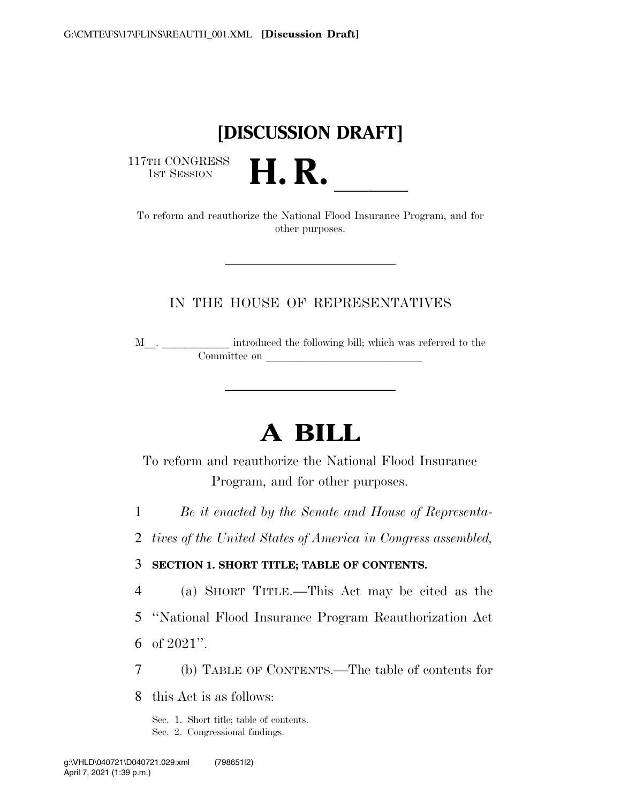## **[DISCUSSION DRAFT]**

117TH CONGRESS<br>1st Session

17TH CONGRESS<br>1st SESSION **H. R.** <u>Indicate the National Flood Insurance Program, and for</u> other purposes.

## IN THE HOUSE OF REPRESENTATIVES

<sup>M</sup>l. llllll introduced the following bill; which was referred to the Committee on leads on later was a set of the contract of the contract of the contract of the contract of the contract of the contract of the contract of the contract of the contract of the contract of the contract of the c

# **A BILL**

To reform and reauthorize the National Flood Insurance Program, and for other purposes.

1 *Be it enacted by the Senate and House of Representa-*

2 *tives of the United States of America in Congress assembled,* 

### 3 **SECTION 1. SHORT TITLE; TABLE OF CONTENTS.**

4 (a) SHORT TITLE.—This Act may be cited as the

5 ''National Flood Insurance Program Reauthorization Act

6 of 2021''.

7 (b) TABLE OF CONTENTS.—The table of contents for

8 this Act is as follows:

Sec. 1. Short title; table of contents. Sec. 2. Congressional findings.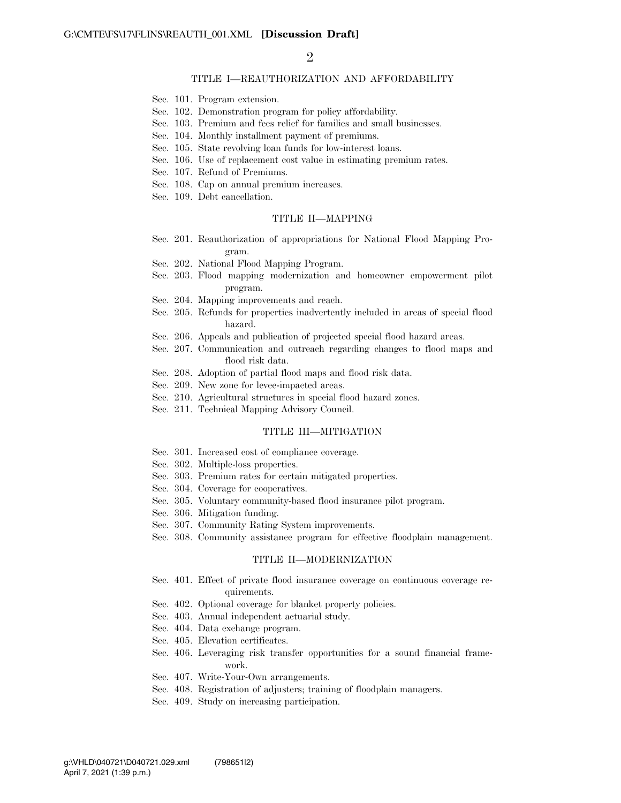#### TITLE I—REAUTHORIZATION AND AFFORDABILITY

- Sec. 101. Program extension.
- Sec. 102. Demonstration program for policy affordability.
- Sec. 103. Premium and fees relief for families and small businesses.
- Sec. 104. Monthly installment payment of premiums.
- Sec. 105. State revolving loan funds for low-interest loans.
- Sec. 106. Use of replacement cost value in estimating premium rates.
- Sec. 107. Refund of Premiums.
- Sec. 108. Cap on annual premium increases.
- Sec. 109. Debt cancellation.

#### TITLE II—MAPPING

- Sec. 201. Reauthorization of appropriations for National Flood Mapping Program.
- Sec. 202. National Flood Mapping Program.
- Sec. 203. Flood mapping modernization and homeowner empowerment pilot program.
- Sec. 204. Mapping improvements and reach.
- Sec. 205. Refunds for properties inadvertently included in areas of special flood hazard.
- Sec. 206. Appeals and publication of projected special flood hazard areas.
- Sec. 207. Communication and outreach regarding changes to flood maps and flood risk data.
- Sec. 208. Adoption of partial flood maps and flood risk data.
- Sec. 209. New zone for levee-impacted areas.
- Sec. 210. Agricultural structures in special flood hazard zones.
- Sec. 211. Technical Mapping Advisory Council.

#### TITLE III—MITIGATION

- Sec. 301. Increased cost of compliance coverage.
- Sec. 302. Multiple-loss properties.
- Sec. 303. Premium rates for certain mitigated properties.
- Sec. 304. Coverage for cooperatives.
- Sec. 305. Voluntary community-based flood insurance pilot program.
- Sec. 306. Mitigation funding.
- Sec. 307. Community Rating System improvements.
- Sec. 308. Community assistance program for effective floodplain management.

#### TITLE II—MODERNIZATION

- Sec. 401. Effect of private flood insurance coverage on continuous coverage requirements.
- Sec. 402. Optional coverage for blanket property policies.
- Sec. 403. Annual independent actuarial study.
- Sec. 404. Data exchange program.
- Sec. 405. Elevation certificates.
- Sec. 406. Leveraging risk transfer opportunities for a sound financial framework.
- Sec. 407. Write-Your-Own arrangements.
- Sec. 408. Registration of adjusters; training of floodplain managers.
- Sec. 409. Study on increasing participation.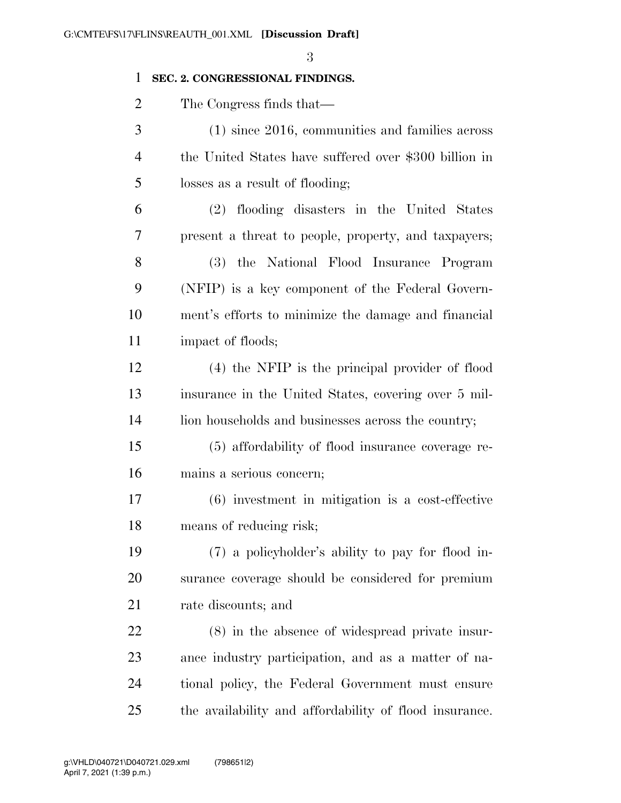### **SEC. 2. CONGRESSIONAL FINDINGS.**

The Congress finds that—

 (1) since 2016, communities and families across the United States have suffered over \$300 billion in losses as a result of flooding;

 (2) flooding disasters in the United States present a threat to people, property, and taxpayers; (3) the National Flood Insurance Program (NFIP) is a key component of the Federal Govern- ment's efforts to minimize the damage and financial impact of floods;

 (4) the NFIP is the principal provider of flood insurance in the United States, covering over 5 mil-14 lion households and businesses across the country;

 (5) affordability of flood insurance coverage re-mains a serious concern;

 (6) investment in mitigation is a cost-effective means of reducing risk;

 (7) a policyholder's ability to pay for flood in- surance coverage should be considered for premium rate discounts; and

 (8) in the absence of widespread private insur- ance industry participation, and as a matter of na- tional policy, the Federal Government must ensure the availability and affordability of flood insurance.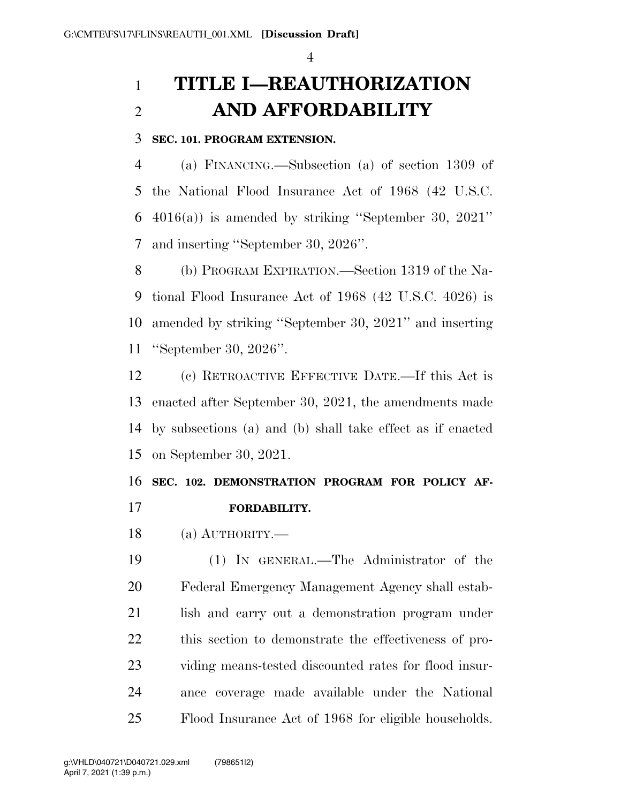## **TITLE I—REAUTHORIZATION AND AFFORDABILITY**

### **SEC. 101. PROGRAM EXTENSION.**

 (a) FINANCING.—Subsection (a) of section 1309 of the National Flood Insurance Act of 1968 (42 U.S.C. 4016(a)) is amended by striking ''September 30, 2021'' and inserting ''September 30, 2026''.

 (b) PROGRAM EXPIRATION.—Section 1319 of the Na- tional Flood Insurance Act of 1968 (42 U.S.C. 4026) is amended by striking ''September 30, 2021'' and inserting ''September 30, 2026''.

 (c) RETROACTIVE EFFECTIVE DATE.—If this Act is enacted after September 30, 2021, the amendments made by subsections (a) and (b) shall take effect as if enacted on September 30, 2021.

## **SEC. 102. DEMONSTRATION PROGRAM FOR POLICY AF-FORDABILITY.**

(a) AUTHORITY.—

 (1) IN GENERAL.—The Administrator of the Federal Emergency Management Agency shall estab- lish and carry out a demonstration program under this section to demonstrate the effectiveness of pro- viding means-tested discounted rates for flood insur- ance coverage made available under the National Flood Insurance Act of 1968 for eligible households.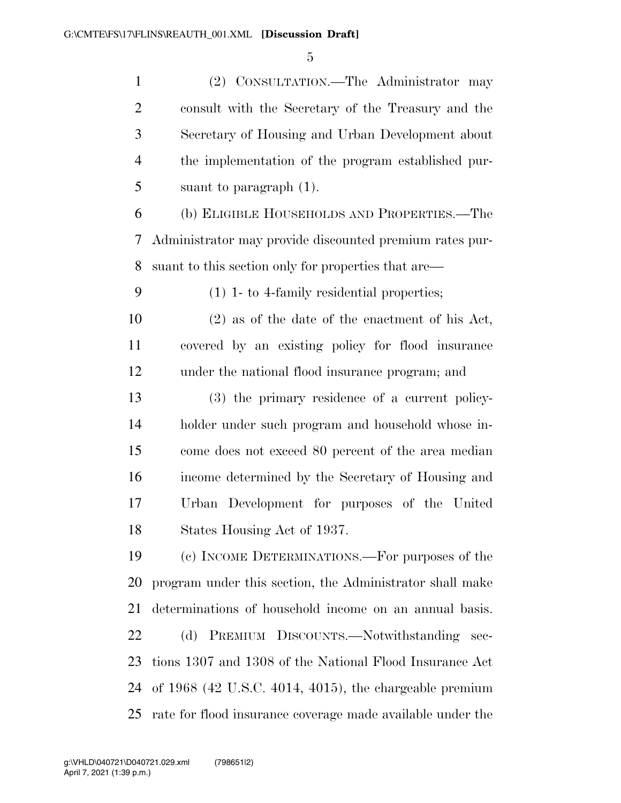(2) CONSULTATION.—The Administrator may consult with the Secretary of the Treasury and the Secretary of Housing and Urban Development about the implementation of the program established pur-suant to paragraph (1).

 (b) ELIGIBLE HOUSEHOLDS AND PROPERTIES.—The Administrator may provide discounted premium rates pur-suant to this section only for properties that are—

(1) 1- to 4-family residential properties;

 (2) as of the date of the enactment of his Act, covered by an existing policy for flood insurance under the national flood insurance program; and

 (3) the primary residence of a current policy- holder under such program and household whose in- come does not exceed 80 percent of the area median income determined by the Secretary of Housing and Urban Development for purposes of the United States Housing Act of 1937.

 (c) INCOME DETERMINATIONS.—For purposes of the program under this section, the Administrator shall make determinations of household income on an annual basis. (d) PREMIUM DISCOUNTS.—Notwithstanding sec- tions 1307 and 1308 of the National Flood Insurance Act of 1968 (42 U.S.C. 4014, 4015), the chargeable premium rate for flood insurance coverage made available under the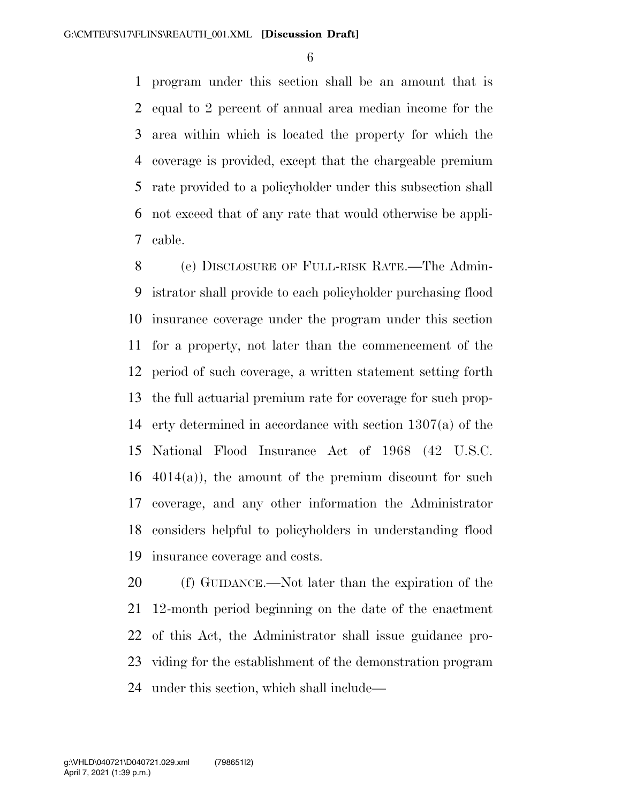program under this section shall be an amount that is equal to 2 percent of annual area median income for the area within which is located the property for which the coverage is provided, except that the chargeable premium rate provided to a policyholder under this subsection shall not exceed that of any rate that would otherwise be appli-cable.

 (e) DISCLOSURE OF FULL-RISK RATE.—The Admin- istrator shall provide to each policyholder purchasing flood insurance coverage under the program under this section for a property, not later than the commencement of the period of such coverage, a written statement setting forth the full actuarial premium rate for coverage for such prop- erty determined in accordance with section 1307(a) of the National Flood Insurance Act of 1968 (42 U.S.C.  $4014(a)$ , the amount of the premium discount for such coverage, and any other information the Administrator considers helpful to policyholders in understanding flood insurance coverage and costs.

 (f) GUIDANCE.—Not later than the expiration of the 12-month period beginning on the date of the enactment of this Act, the Administrator shall issue guidance pro- viding for the establishment of the demonstration program under this section, which shall include—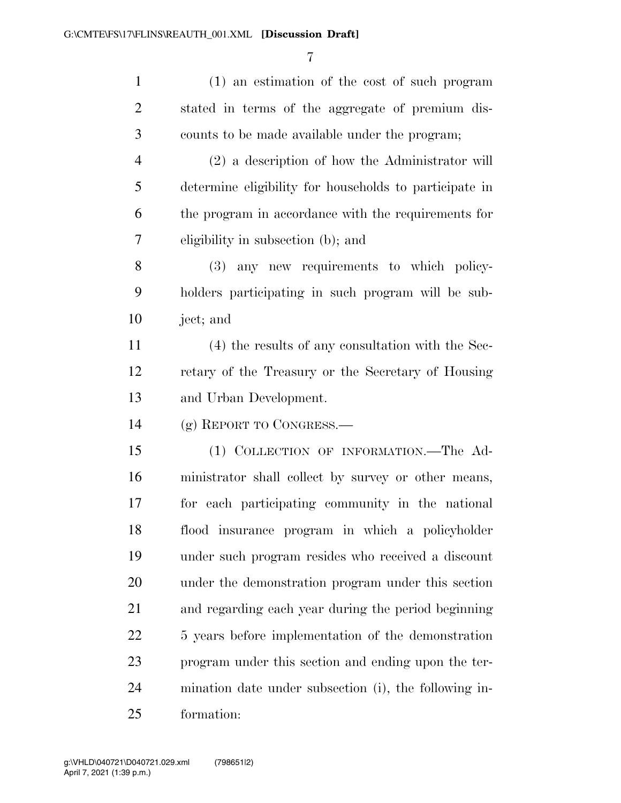| $\mathbf{1}$   | (1) an estimation of the cost of such program          |
|----------------|--------------------------------------------------------|
| $\overline{2}$ | stated in terms of the aggregate of premium dis-       |
| 3              | counts to be made available under the program;         |
| $\overline{4}$ | (2) a description of how the Administrator will        |
| 5              | determine eligibility for households to participate in |
| 6              | the program in accordance with the requirements for    |
| 7              | eligibility in subsection (b); and                     |
| $8\,$          | (3) any new requirements to which policy-              |
| 9              | holders participating in such program will be sub-     |
| 10             | ject; and                                              |
| 11             | (4) the results of any consultation with the Sec-      |
| 12             | retary of the Treasury or the Secretary of Housing     |
| 13             | and Urban Development.                                 |
| 14             | (g) REPORT TO CONGRESS.—                               |
| 15             | (1) COLLECTION OF INFORMATION.—The Ad-                 |
| 16             | ministrator shall collect by survey or other means,    |
| 17             | for each participating community in the national       |
| 18             | flood insurance program in which a policyholder        |
| 19             | under such program resides who received a discount     |
| 20             | under the demonstration program under this section     |
| 21             | and regarding each year during the period beginning    |
| 22             | 5 years before implementation of the demonstration     |
| 23             | program under this section and ending upon the ter-    |
| 24             | mination date under subsection (i), the following in-  |
| 25             | formation:                                             |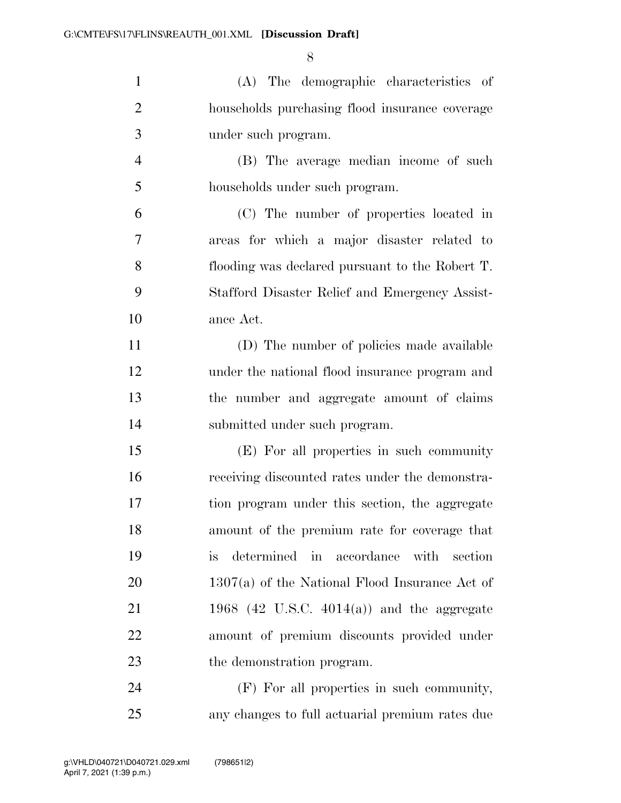| $\mathbf{1}$   | (A) The demographic characteristics of             |
|----------------|----------------------------------------------------|
| $\overline{2}$ | households purchasing flood insurance coverage     |
| 3              | under such program.                                |
| $\overline{4}$ | (B) The average median income of such              |
| 5              | households under such program.                     |
| 6              | (C) The number of properties located in            |
| $\tau$         | areas for which a major disaster related to        |
| 8              | flooding was declared pursuant to the Robert T.    |
| 9              | Stafford Disaster Relief and Emergency Assist-     |
| 10             | ance Act.                                          |
| 11             | (D) The number of policies made available          |
| 12             | under the national flood insurance program and     |
| 13             | the number and aggregate amount of claims          |
| 14             | submitted under such program.                      |
| 15             | (E) For all properties in such community           |
| 16             | receiving discounted rates under the demonstra-    |
| 17             | tion program under this section, the aggregate     |
| 18             | amount of the premium rate for coverage that       |
| 19             | determined in accordance with section<br><i>is</i> |
| 20             | $1307(a)$ of the National Flood Insurance Act of   |
| 21             | 1968 (42 U.S.C. $4014(a)$ ) and the aggregate      |
| 22             | amount of premium discounts provided under         |
| 23             | the demonstration program.                         |
| 24             | (F) For all properties in such community,          |

any changes to full actuarial premium rates due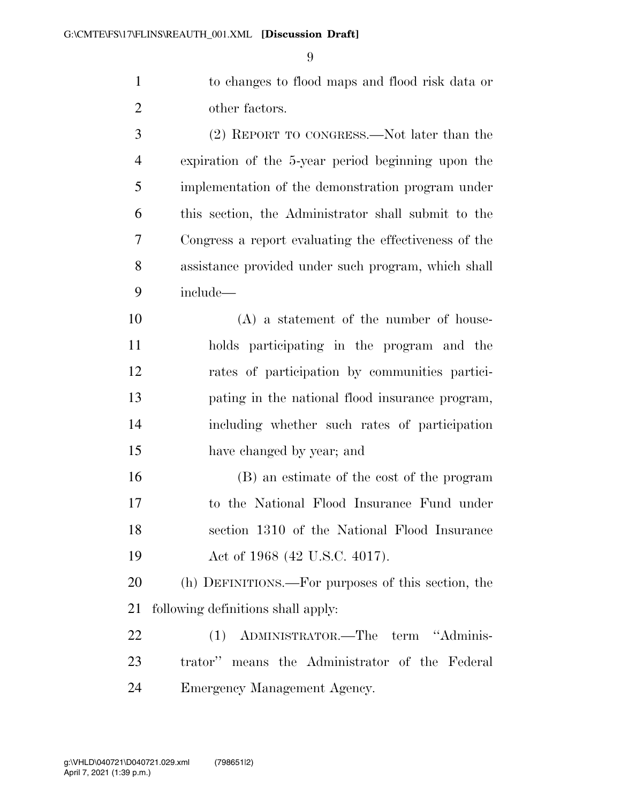to changes to flood maps and flood risk data or other factors.

 (2) REPORT TO CONGRESS.—Not later than the expiration of the 5-year period beginning upon the implementation of the demonstration program under this section, the Administrator shall submit to the Congress a report evaluating the effectiveness of the assistance provided under such program, which shall include— (A) a statement of the number of house- holds participating in the program and the rates of participation by communities partici- pating in the national flood insurance program, including whether such rates of participation

have changed by year; and

 (B) an estimate of the cost of the program to the National Flood Insurance Fund under section 1310 of the National Flood Insurance 19 Act of 1968 (42 U.S.C. 4017).

 (h) DEFINITIONS.—For purposes of this section, the following definitions shall apply:

 (1) ADMINISTRATOR.—The term ''Adminis- trator'' means the Administrator of the Federal Emergency Management Agency.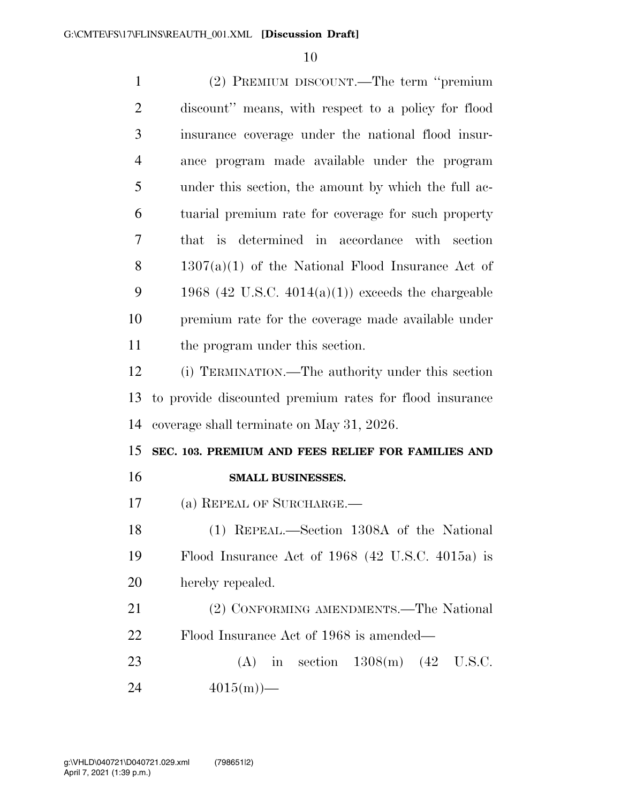| $\mathbf{1}$   | (2) PREMIUM DISCOUNT.—The term "premium                 |
|----------------|---------------------------------------------------------|
| $\overline{2}$ | discount" means, with respect to a policy for flood     |
| 3              | insurance coverage under the national flood insur-      |
| $\overline{4}$ | ance program made available under the program           |
| 5              | under this section, the amount by which the full ac-    |
| 6              | tuarial premium rate for coverage for such property     |
| 7              | that is determined in accordance with section           |
| 8              | $1307(a)(1)$ of the National Flood Insurance Act of     |
| 9              | 1968 (42 U.S.C. $4014(a)(1)$ ) exceeds the chargeable   |
| 10             | premium rate for the coverage made available under      |
| 11             | the program under this section.                         |
| 12             | (i) TERMINATION.—The authority under this section       |
| 13             | to provide discounted premium rates for flood insurance |
| 14             | coverage shall terminate on May 31, 2026.               |
| 15             | SEC. 103. PREMIUM AND FEES RELIEF FOR FAMILIES AND      |
| 16             | SMALL BUSINESSES.                                       |
| 17             | (a) REPEAL OF SURCHARGE.                                |
| 18             | (1) REPEAL.—Section 1308A of the National               |
| 19             | Flood Insurance Act of $1968$ (42 U.S.C. 4015a) is      |
| 20             | hereby repealed.                                        |
| 21             | (2) CONFORMING AMENDMENTS.—The National                 |
| 22             | Flood Insurance Act of 1968 is amended—                 |
| 23             | (A) in section $1308(m)$ (42 U.S.C.                     |
| 24             | $4015(m)$ —                                             |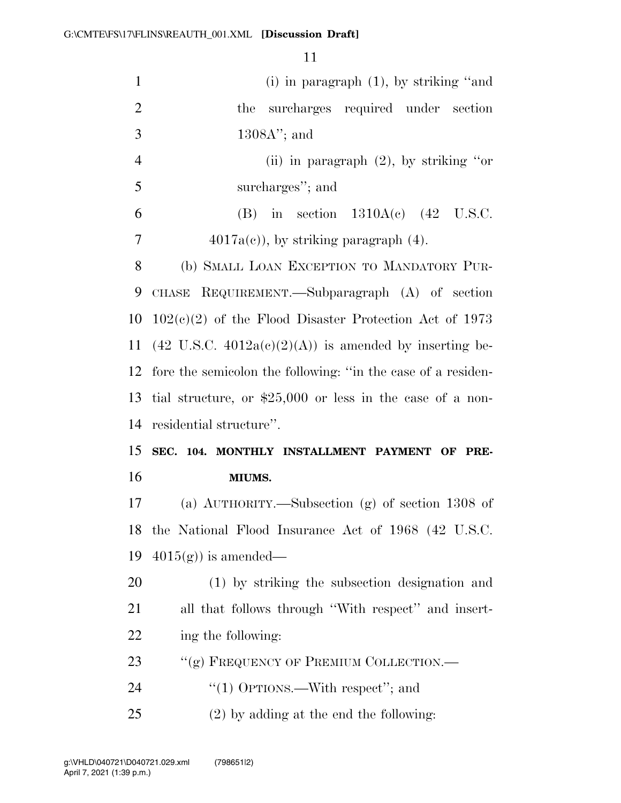| $\mathbf{1}$   | (i) in paragraph $(1)$ , by striking "and                         |
|----------------|-------------------------------------------------------------------|
| $\overline{2}$ | surcharges required under section<br>the                          |
| 3              | $1308A$ "; and                                                    |
| $\overline{4}$ | (ii) in paragraph $(2)$ , by striking "or                         |
| 5              | surcharges"; and                                                  |
| 6              | (B) in section $1310A(c)$ (42 U.S.C.                              |
| 7              | $4017a(c)$ , by striking paragraph $(4)$ .                        |
| 8              | (b) SMALL LOAN EXCEPTION TO MANDATORY PUR-                        |
| 9              | CHASE REQUIREMENT.—Subparagraph (A) of section                    |
| 10             | $102(c)(2)$ of the Flood Disaster Protection Act of 1973          |
| 11             | $(42 \text{ U.S.C. } 4012a(c)(2)(A))$ is amended by inserting be- |
| 12             | fore the semicolon the following: "in the case of a residen-      |
| 13             | tial structure, or $$25,000$ or less in the case of a non-        |
| 14             | residential structure".                                           |
| 15             | SEC. 104. MONTHLY INSTALLMENT PAYMENT OF PRE-                     |
| 16             | MIUMS.                                                            |
| 17             | (a) $\text{AUTHORITY}$ . Subsection (g) of section 1308 of        |
| 18             |                                                                   |
|                | the National Flood Insurance Act of 1968 (42 U.S.C.               |
| 19             | $4015(g)$ is amended—                                             |
| 20             | (1) by striking the subsection designation and                    |
| 21             | all that follows through "With respect" and insert-               |
| 22             | ing the following:                                                |
| 23             | "(g) FREQUENCY OF PREMIUM COLLECTION.—                            |
| 24             | "(1) OPTIONS.—With respect"; and                                  |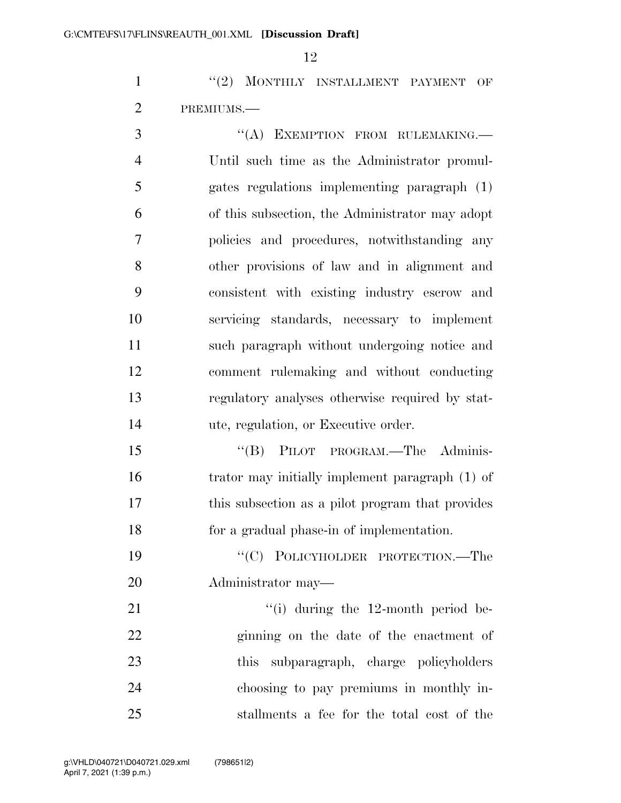1 ''(2) MONTHLY INSTALLMENT PAYMENT OF PREMIUMS.—

3 "(A) EXEMPTION FROM RULEMAKING. Until such time as the Administrator promul- gates regulations implementing paragraph (1) of this subsection, the Administrator may adopt policies and procedures, notwithstanding any other provisions of law and in alignment and consistent with existing industry escrow and servicing standards, necessary to implement such paragraph without undergoing notice and comment rulemaking and without conducting regulatory analyses otherwise required by stat-ute, regulation, or Executive order.

15 "(B) PILOT PROGRAM.—The Adminis- trator may initially implement paragraph (1) of this subsection as a pilot program that provides for a gradual phase-in of implementation.

 ''(C) POLICYHOLDER PROTECTION.—The Administrator may—

21 ''(i) during the 12-month period be- ginning on the date of the enactment of this subparagraph, charge policyholders choosing to pay premiums in monthly in-stallments a fee for the total cost of the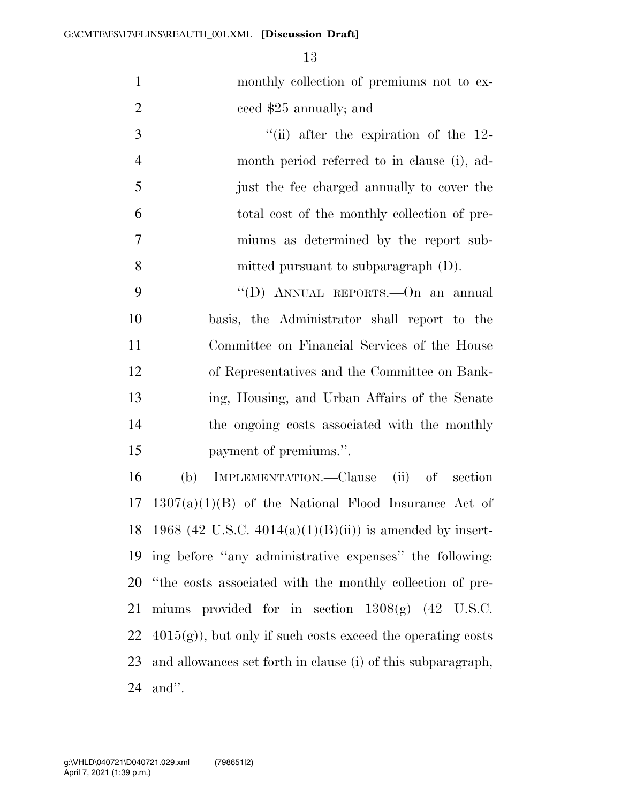monthly collection of premiums not to ex-ceed \$25 annually; and

3 ''(ii) after the expiration of the 12- month period referred to in clause (i), ad- just the fee charged annually to cover the total cost of the monthly collection of pre- miums as determined by the report sub-mitted pursuant to subparagraph (D).

 ''(D) ANNUAL REPORTS.—On an annual basis, the Administrator shall report to the Committee on Financial Services of the House of Representatives and the Committee on Bank- ing, Housing, and Urban Affairs of the Senate the ongoing costs associated with the monthly payment of premiums.''.

 (b) IMPLEMENTATION.—Clause (ii) of section  $17 \quad 1307(a)(1)(B)$  of the National Flood Insurance Act of 18 1968 (42 U.S.C.  $4014(a)(1)(B(ii))$  is amended by insert- ing before ''any administrative expenses'' the following: ''the costs associated with the monthly collection of pre- miums provided for in section 1308(g) (42 U.S.C.  $4015(g)$ , but only if such costs exceed the operating costs and allowances set forth in clause (i) of this subparagraph, and''.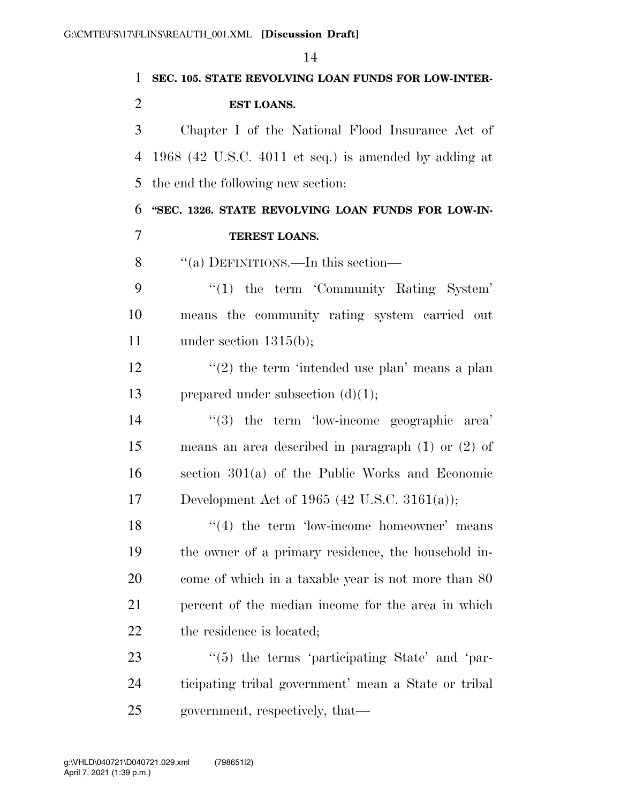|                | 14                                                     |
|----------------|--------------------------------------------------------|
| $\mathbf{1}$   | SEC. 105. STATE REVOLVING LOAN FUNDS FOR LOW-INTER-    |
| $\overline{2}$ | EST LOANS.                                             |
| 3              | Chapter I of the National Flood Insurance Act of       |
| $\overline{4}$ | 1968 (42 U.S.C. 4011 et seq.) is amended by adding at  |
| 5              | the end the following new section:                     |
| 6              | "SEC. 1326. STATE REVOLVING LOAN FUNDS FOR LOW-IN-     |
| $\overline{7}$ | TEREST LOANS.                                          |
| 8              | "(a) DEFINITIONS.—In this section—                     |
| 9              | $\lq(1)$ the term 'Community Rating System'            |
| 10             | means the community rating system carried out          |
| 11             | under section $1315(b)$ ;                              |
| 12             | $\lq(2)$ the term 'intended use plan' means a plan     |
| 13             | prepared under subsection $(d)(1);$                    |
| 14             | $\cdot$ (3) the term 'low-income geographic area'      |
| 15             | means an area described in paragraph $(1)$ or $(2)$ of |
| 16             | section $301(a)$ of the Public Works and Economic      |
| 17             | Development Act of 1965 (42 U.S.C. 3161(a));           |
| 18             | $((4)$ the term 'low-income homeowner' means           |
| 19             | the owner of a primary residence, the household in-    |
| 20             | come of which in a taxable year is not more than 80    |
| 21             | percent of the median income for the area in which     |
| 22             | the residence is located;                              |
| 23             | $\cdot$ (5) the terms 'participating State' and 'par-  |
| 24             | ticipating tribal government' mean a State or tribal   |
| 25             | government, respectively, that—                        |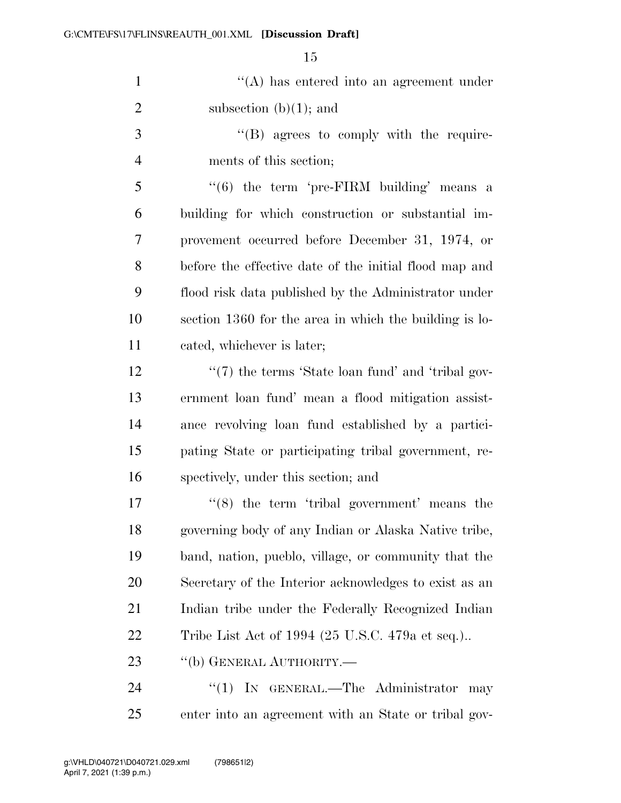1 ''(A) has entered into an agreement under 2 subsection  $(b)(1)$ ; and

3  $\langle$  (B) agrees to comply with the require-ments of this section;

 "(6) the term 'pre-FIRM building' means a building for which construction or substantial im- provement occurred before December 31, 1974, or before the effective date of the initial flood map and flood risk data published by the Administrator under section 1360 for the area in which the building is lo-cated, whichever is later;

12 ''(7) the terms 'State loan fund' and 'tribal gov- ernment loan fund' mean a flood mitigation assist- ance revolving loan fund established by a partici- pating State or participating tribal government, re-spectively, under this section; and

 $(8)$  the term 'tribal government' means the governing body of any Indian or Alaska Native tribe, band, nation, pueblo, village, or community that the Secretary of the Interior acknowledges to exist as an Indian tribe under the Federally Recognized Indian Tribe List Act of 1994 (25 U.S.C. 479a et seq.)..

23 "(b) GENERAL AUTHORITY.—

24 "(1) IN GENERAL.—The Administrator may enter into an agreement with an State or tribal gov-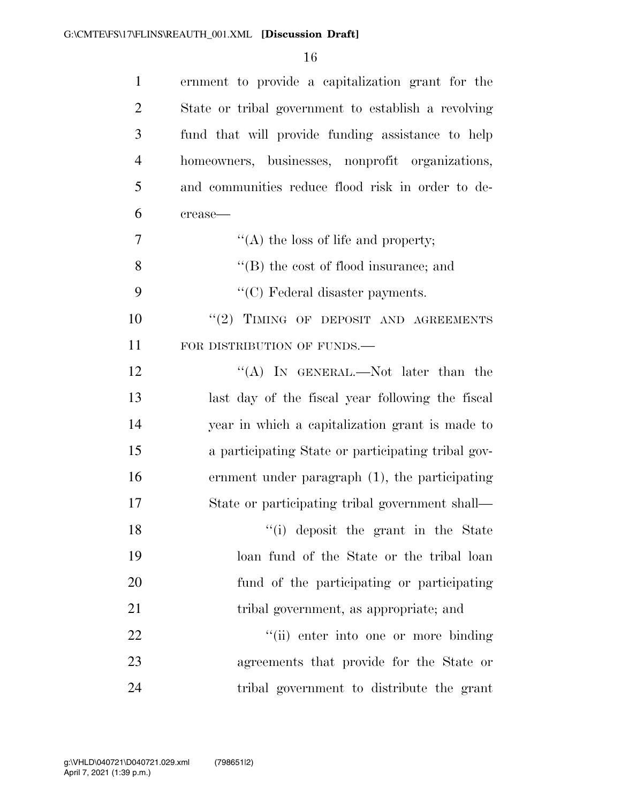| $\mathbf{1}$   | ernment to provide a capitalization grant for the   |
|----------------|-----------------------------------------------------|
| $\overline{2}$ | State or tribal government to establish a revolving |
| 3              | fund that will provide funding assistance to help   |
| $\overline{4}$ | homeowners, businesses, nonprofit organizations,    |
| 5              | and communities reduce flood risk in order to de-   |
| 6              | crease-                                             |
| 7              | "(A) the loss of life and property;                 |
| 8              | $\lq\lq$ the cost of flood insurance; and           |
| 9              | $\lq\lq$ Federal disaster payments.                 |
| 10             | "(2) TIMING OF DEPOSIT AND AGREEMENTS               |
| 11             | FOR DISTRIBUTION OF FUNDS.                          |
| 12             | "(A) IN GENERAL.—Not later than the                 |
| 13             | last day of the fiscal year following the fiscal    |
| 14             | year in which a capitalization grant is made to     |
| 15             | a participating State or participating tribal gov-  |
| 16             | ernment under paragraph $(1)$ , the participating   |
| 17             | State or participating tribal government shall—     |
| 18             | "(i) deposit the grant in the State                 |
| 19             | loan fund of the State or the tribal loan           |
| 20             | fund of the participating or participating          |
| 21             | tribal government, as appropriate; and              |
| 22             | "(ii) enter into one or more binding                |
| 23             | agreements that provide for the State or            |
| 24             | tribal government to distribute the grant           |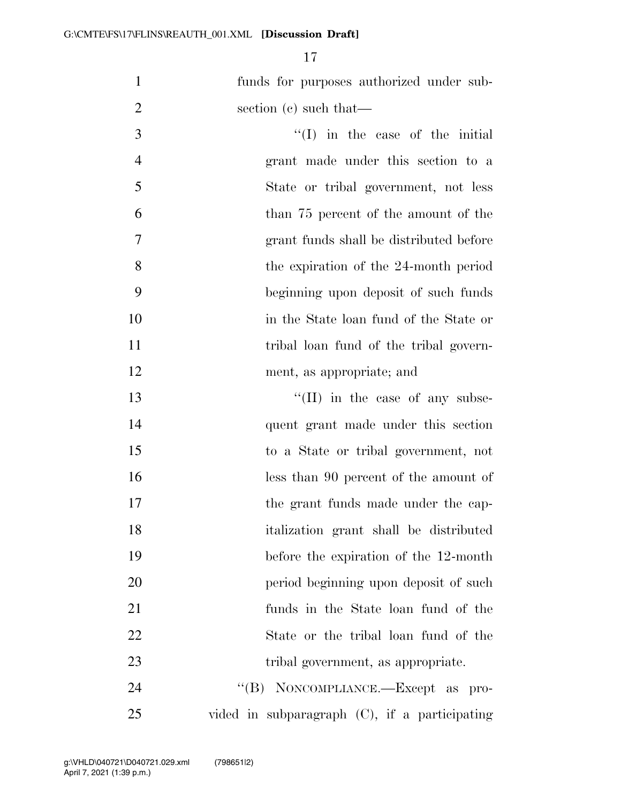funds for purposes authorized under sub-2 section (c) such that—

3 ''(I) in the case of the initial grant made under this section to a State or tribal government, not less than 75 percent of the amount of the grant funds shall be distributed before the expiration of the 24-month period beginning upon deposit of such funds in the State loan fund of the State or 11 tribal loan fund of the tribal govern-ment, as appropriate; and

 $\text{``(II)}$  in the case of any subse- quent grant made under this section to a State or tribal government, not less than 90 percent of the amount of 17 the grant funds made under the cap- italization grant shall be distributed before the expiration of the 12-month period beginning upon deposit of such funds in the State loan fund of the State or the tribal loan fund of the 23 tribal government, as appropriate. 24 "(B) NONCOMPLIANCE.—Except as pro-

vided in subparagraph (C), if a participating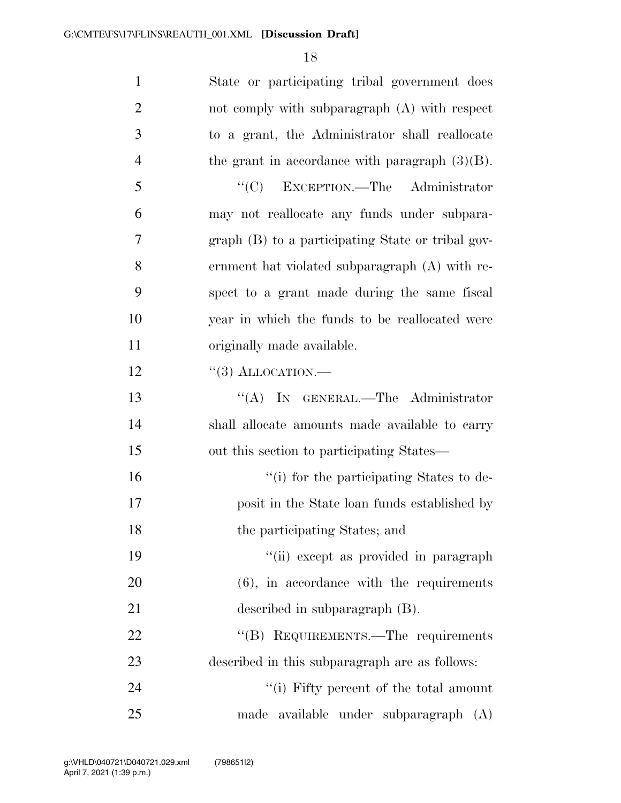| $\mathbf{1}$   | State or participating tribal government does     |
|----------------|---------------------------------------------------|
| $\overline{2}$ | not comply with subparagraph (A) with respect     |
| 3              | to a grant, the Administrator shall reallocate    |
| $\overline{4}$ | the grant in accordance with paragraph $(3)(B)$ . |
| 5              | $\lq\lq$ EXCEPTION. The Administrator             |
| 6              | may not reallocate any funds under subpara-       |
| 7              | graph (B) to a participating State or tribal gov- |
| 8              | ernment hat violated subparagraph (A) with re-    |
| 9              | spect to a grant made during the same fiscal      |
| 10             | year in which the funds to be reallocated were    |
| 11             | originally made available.                        |
| 12             | $\lq(3)$ ALLOCATION.—                             |
| 13             | "(A) IN GENERAL.—The Administrator                |
| 14             | shall allocate amounts made available to carry    |
| 15             | out this section to participating States—         |
| 16             | "(i) for the participating States to de-          |
| 17             | posit in the State loan funds established by      |
| 18             | the participating States; and                     |
| 19             | "(ii) except as provided in paragraph             |
| 20             | $(6)$ , in accordance with the requirements       |
| 21             | described in subparagraph (B).                    |
| 22             | "(B) REQUIREMENTS.—The requirements               |
| 23             | described in this subparagraph are as follows:    |
| 24             | "(i) Fifty percent of the total amount            |
| 25             | made available under subparagraph (A)             |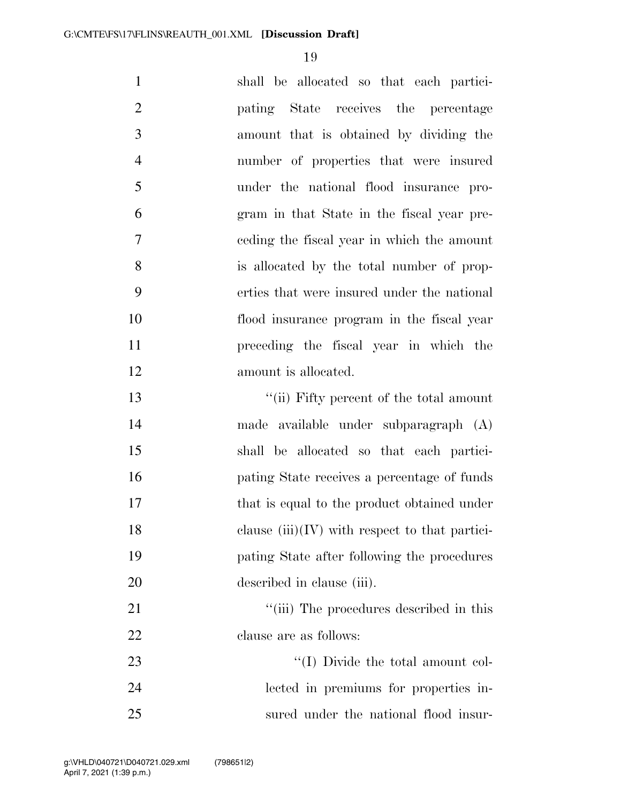| $\mathbf{1}$   | shall be allocated so that each partici-         |
|----------------|--------------------------------------------------|
| $\overline{2}$ | pating State receives the percentage             |
| 3              | amount that is obtained by dividing the          |
| $\overline{4}$ | number of properties that were insured           |
| 5              | under the national flood insurance pro-          |
| 6              | gram in that State in the fiscal year pre-       |
| 7              | eeding the fiscal year in which the amount       |
| 8              | is allocated by the total number of prop-        |
| 9              | erties that were insured under the national      |
| 10             | flood insurance program in the fiscal year       |
| 11             | preceding the fiscal year in which the           |
| 12             | amount is allocated.                             |
| 13             | "(ii) Fifty percent of the total amount          |
| 14             | made available under subparagraph (A)            |
| 15             | shall be allocated so that each partici-         |
| 16             | pating State receives a percentage of funds      |
| 17             | that is equal to the product obtained under      |
| 18             | clause $(iii)(IV)$ with respect to that partici- |
| 19             | pating State after following the procedures      |
| 20             | described in clause (iii).                       |
| 21             | "(iii) The procedures described in this          |
| 22             | clause are as follows:                           |
| 23             | "(I) Divide the total amount col-                |
| 24             | lected in premiums for properties in-            |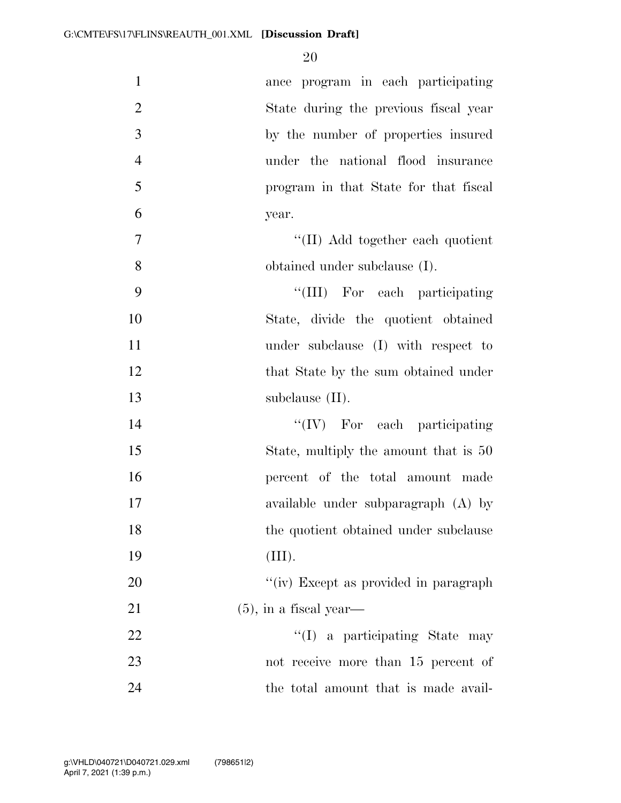| $\mathbf{1}$   | ance program in each participating    |
|----------------|---------------------------------------|
| $\overline{2}$ | State during the previous fiscal year |
| 3              | by the number of properties insured   |
| $\overline{4}$ | under the national flood insurance    |
| 5              | program in that State for that fiscal |
| 6              | year.                                 |
| $\overline{7}$ | "(II) Add together each quotient      |
| 8              | obtained under subclause (I).         |
| 9              | "(III) For each participating         |
| 10             | State, divide the quotient obtained   |
| 11             | under subclause (I) with respect to   |
| 12             | that State by the sum obtained under  |
| 13             | subclause $(II)$ .                    |
| 14             | $\lq\lq (IV)$ For each participating  |
| 15             | State, multiply the amount that is 50 |
| 16             | percent of the total amount made      |
| 17             | available under subparagraph (A) by   |
| 18             | the quotient obtained under subclause |
|                |                                       |
| 19             | (III).                                |
| 20             | "(iv) Except as provided in paragraph |
| 21             | $(5)$ , in a fiscal year—             |
| 22             | "(I) a participating State may        |
| 23             | not receive more than 15 percent of   |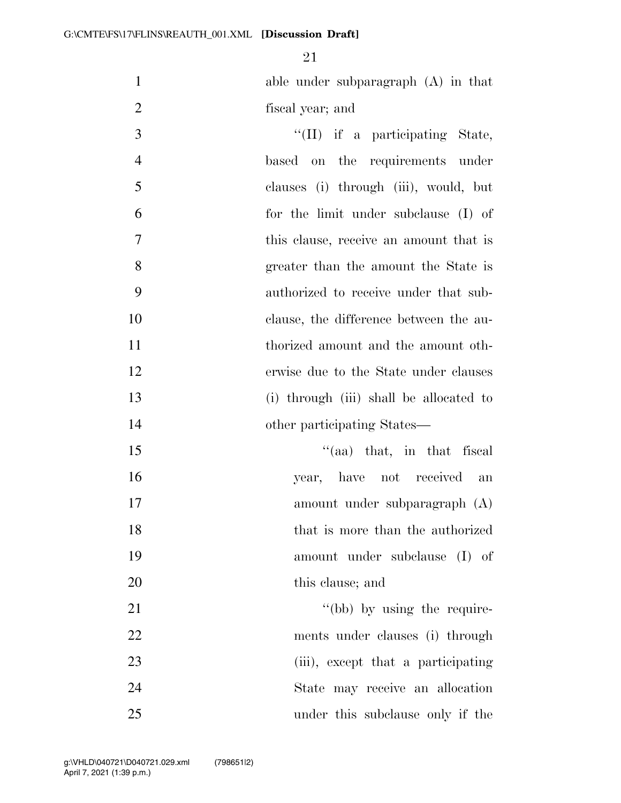able under subparagraph (A) in that fiscal year; and

 ''(II) if a participating State, based on the requirements under clauses (i) through (iii), would, but for the limit under subclause (I) of this clause, receive an amount that is greater than the amount the State is authorized to receive under that sub- clause, the difference between the au- thorized amount and the amount oth- erwise due to the State under clauses (i) through (iii) shall be allocated to 14 other participating States— 15 ''(aa) that, in that fiscal year, have not received an amount under subparagraph (A)

18 that is more than the authorized

 amount under subclause (I) of 20 this clause; and

21 ''(bb) by using the require- ments under clauses (i) through 23 (iii), except that a participating State may receive an allocation under this subclause only if the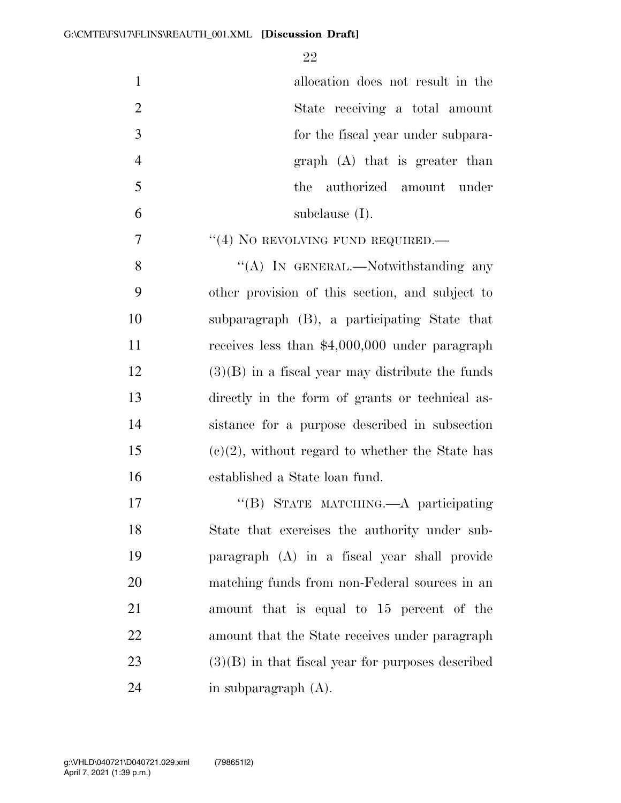| $\mathbf{1}$   | allocation does not result in the                   |
|----------------|-----------------------------------------------------|
| $\overline{2}$ | State receiving a total amount                      |
| $\overline{3}$ | for the fiscal year under subpara-                  |
| $\overline{4}$ | $graph$ (A) that is greater than                    |
| 5              | authorized amount under<br>the                      |
| 6              | subclause $(I)$ .                                   |
| $\overline{7}$ | $``(4)$ No REVOLVING FUND REQUIRED.—                |
| 8              | "(A) IN GENERAL.—Notwithstanding any                |
| 9              | other provision of this section, and subject to     |
| 10             | subparagraph (B), a participating State that        |
| 11             | receives less than $$4,000,000$ under paragraph     |
| 12             | $(3)(B)$ in a fiscal year may distribute the funds  |
| 13             | directly in the form of grants or technical as-     |
| 14             | sistance for a purpose described in subsection      |
| 15             | $(e)(2)$ , without regard to whether the State has  |
| 16             | established a State loan fund.                      |
| 17             | "(B) STATE MATCHING.—A participating                |
| 18             | State that exercises the authority under sub-       |
| 19             | paragraph (A) in a fiscal year shall provide        |
| 20             | matching funds from non-Federal sources in an       |
| 21             | amount that is equal to 15 percent of the           |
| 22             | amount that the State receives under paragraph      |
| 23             | $(3)(B)$ in that fiscal year for purposes described |
| 24             | in subparagraph $(A)$ .                             |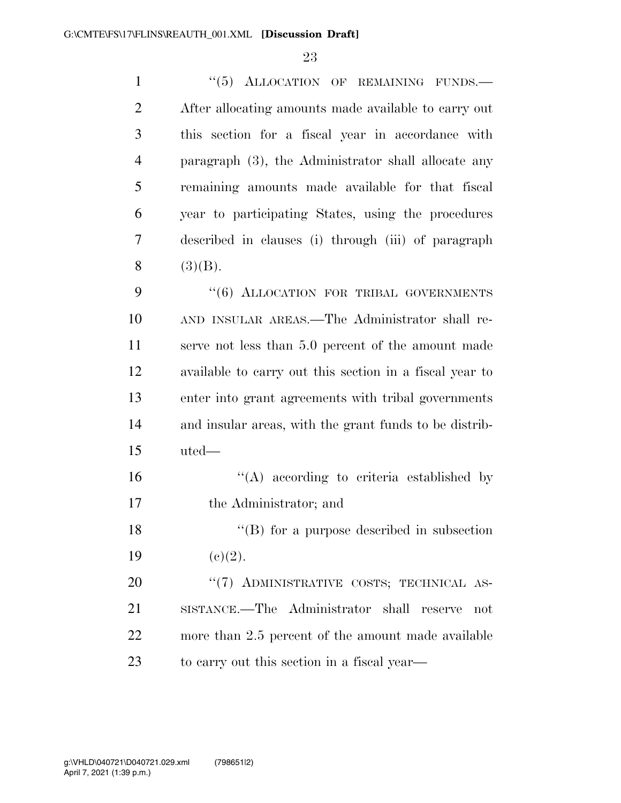| $\mathbf{1}$   | "(5) ALLOCATION OF REMAINING FUNDS.-                    |
|----------------|---------------------------------------------------------|
| $\overline{2}$ | After allocating amounts made available to carry out    |
| 3              | this section for a fiscal year in accordance with       |
| $\overline{4}$ | paragraph (3), the Administrator shall allocate any     |
| 5              | remaining amounts made available for that fiscal        |
| 6              | year to participating States, using the procedures      |
| 7              | described in clauses (i) through (iii) of paragraph     |
| 8              | (3)(B).                                                 |
| 9              | "(6) ALLOCATION FOR TRIBAL GOVERNMENTS                  |
| 10             | AND INSULAR AREAS.—The Administrator shall re-          |
| 11             | serve not less than 5.0 percent of the amount made      |
| 12             | available to carry out this section in a fiscal year to |
| 13             | enter into grant agreements with tribal governments     |
| 14             | and insular areas, with the grant funds to be distrib-  |
| 15             | uted—                                                   |
| 16             | $\lq\lq$ according to criteria established by           |
| 17             | the Administrator; and                                  |
| 18             | $\lq\lq$ (B) for a purpose described in subsection      |
| 19             | (c)(2).                                                 |
| 20             | "(7) ADMINISTRATIVE COSTS; TECHNICAL AS-                |
| 21             | SISTANCE.—The Administrator shall reserve<br>not        |
| 22             | more than 2.5 percent of the amount made available      |
| 23             | to carry out this section in a fiscal year—             |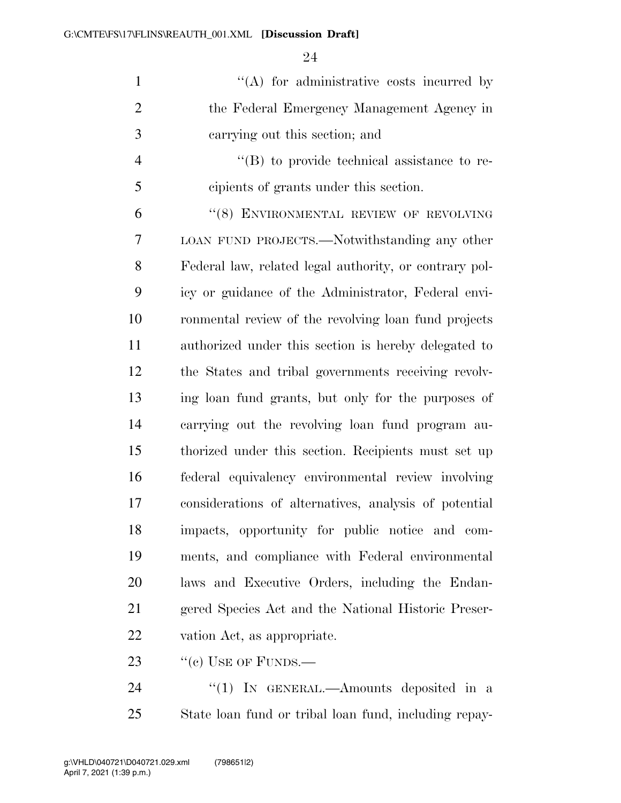| $\mathbf{1}$   | $\lq\lq$ for administrative costs incurred by                    |
|----------------|------------------------------------------------------------------|
| $\overline{2}$ | the Federal Emergency Management Agency in                       |
| 3              | carrying out this section; and                                   |
| $\overline{4}$ | $\lq\lq (B)$ to provide technical assistance to re-              |
| 5              | cipients of grants under this section.                           |
| 6              | "(8) ENVIRONMENTAL REVIEW OF REVOLVING                           |
| 7              | LOAN FUND PROJECTS.—Notwithstanding any other                    |
| 8              | Federal law, related legal authority, or contrary pol-           |
| 9              | icy or guidance of the Administrator, Federal envi-              |
| 10             | ronmental review of the revolving loan fund projects             |
| 11             | authorized under this section is hereby delegated to             |
| 12             | the States and tribal governments receiving revolv-              |
| 13             | ing loan fund grants, but only for the purposes of               |
| 14             | carrying out the revolving loan fund program au-                 |
| 15             | thorized under this section. Recipients must set up              |
| 1 <sup>C</sup> | $f_{\alpha}$ done) conjugalence environmental novieur investigac |

 federal equivalency environmental review involving considerations of alternatives, analysis of potential impacts, opportunity for public notice and com- ments, and compliance with Federal environmental laws and Executive Orders, including the Endan- gered Species Act and the National Historic Preser-vation Act, as appropriate.

23  $"$ (c) USE OF FUNDS.—

24 "(1) IN GENERAL.—Amounts deposited in a State loan fund or tribal loan fund, including repay-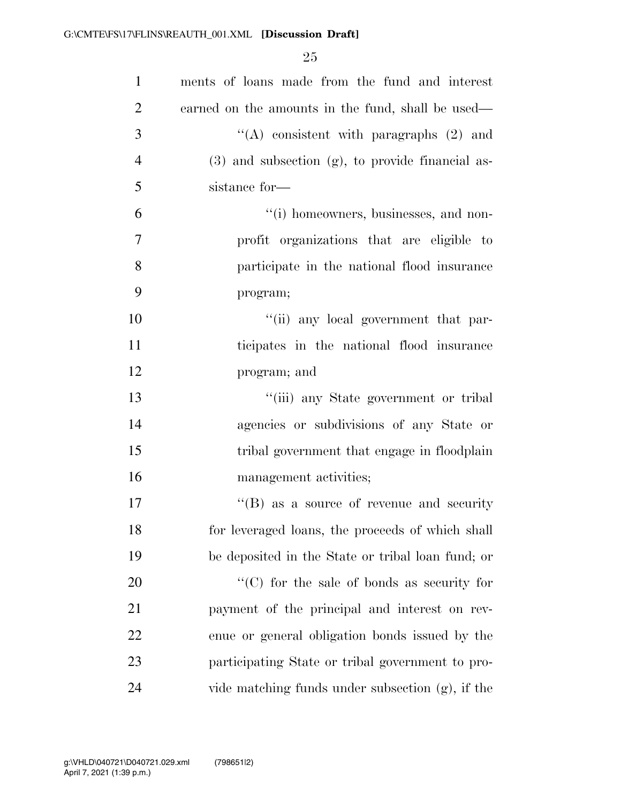| $\mathbf{1}$   | ments of loans made from the fund and interest        |
|----------------|-------------------------------------------------------|
| $\overline{2}$ | earned on the amounts in the fund, shall be used—     |
| 3              | "(A) consistent with paragraphs $(2)$ and             |
| $\overline{4}$ | $(3)$ and subsection $(g)$ , to provide financial as- |
| 5              | sistance for-                                         |
| 6              | "(i) homeowners, businesses, and non-                 |
| $\tau$         | profit organizations that are eligible to             |
| 8              | participate in the national flood insurance           |
| 9              | program;                                              |
| 10             | "(ii) any local government that par-                  |
| 11             | ticipates in the national flood insurance             |
| 12             | program; and                                          |
| 13             | "(iii) any State government or tribal                 |
| 14             | agencies or subdivisions of any State or              |
| 15             | tribal government that engage in floodplain           |
| 16             | management activities;                                |
| 17             | $\lq\lq (B)$ as a source of revenue and security      |
| 18             | for leveraged loans, the proceeds of which shall      |
| 19             | be deposited in the State or tribal loan fund; or     |
| <b>20</b>      | $\lq\lq$ (C) for the sale of bonds as security for    |
| 21             | payment of the principal and interest on rev-         |
| 22             | enue or general obligation bonds issued by the        |
| 23             | participating State or tribal government to pro-      |
| 24             | vide matching funds under subsection (g), if the      |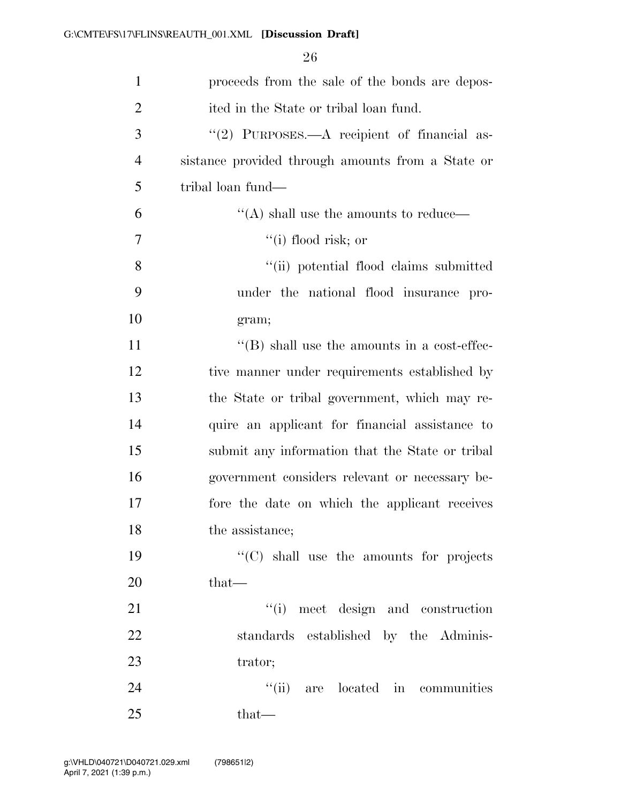| $\mathbf{1}$   | proceeds from the sale of the bonds are depos-      |
|----------------|-----------------------------------------------------|
| $\overline{2}$ | ited in the State or tribal loan fund.              |
| 3              | "(2) PURPOSES.—A recipient of financial as-         |
| 4              | sistance provided through amounts from a State or   |
| 5              | tribal loan fund—                                   |
| 6              | "(A) shall use the amounts to reduce—               |
| 7              | $``(i)$ flood risk; or                              |
| 8              | "(ii) potential flood claims submitted              |
| 9              | under the national flood insurance pro-             |
| 10             | gram;                                               |
| 11             | $\lq\lq$ (B) shall use the amounts in a cost-effec- |
| 12             | tive manner under requirements established by       |
| 13             | the State or tribal government, which may re-       |
| 14             | quire an applicant for financial assistance to      |
| 15             | submit any information that the State or tribal     |
| 16             | government considers relevant or necessary be-      |
| 17             | fore the date on which the applicant receives       |
| 18             | the assistance;                                     |
| 19             | $\cdot$ (C) shall use the amounts for projects      |
| 20             | $that-$                                             |
| 21             | "(i) meet design and construction                   |
| 22             | standards established by the Adminis-               |
| 23             | trator;                                             |
| 24             | "(ii) are located in communities                    |
| 25             | that—                                               |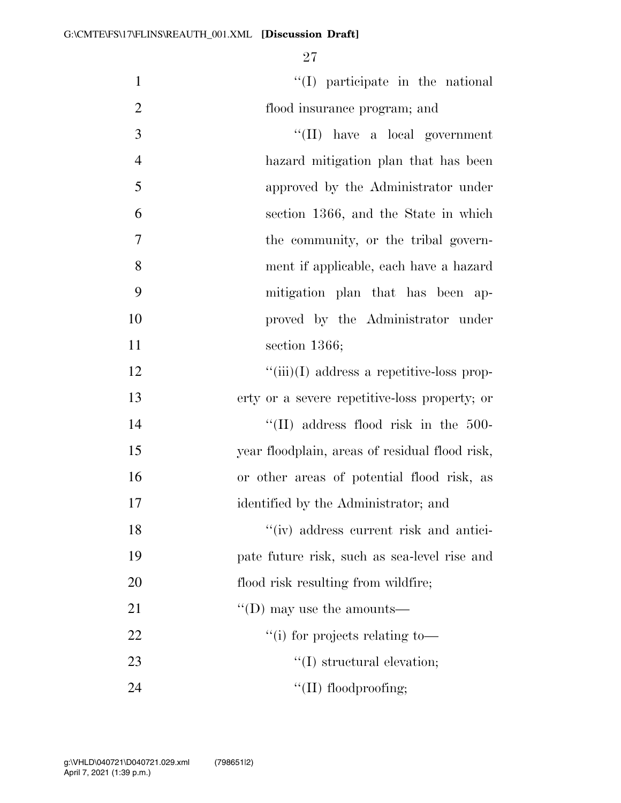| $\mathbf{1}$   | $\lq\lq$ participate in the national           |
|----------------|------------------------------------------------|
| $\mathbf{2}$   | flood insurance program; and                   |
| $\overline{3}$ | $\lq\lq$ (II) have a local government          |
| $\overline{4}$ | hazard mitigation plan that has been           |
| 5              | approved by the Administrator under            |
| 6              | section 1366, and the State in which           |
| $\tau$         | the community, or the tribal govern-           |
| 8              | ment if applicable, each have a hazard         |
| 9              | mitigation plan that has been ap-              |
| 10             | proved by the Administrator under              |
| 11             | section $1366$ ;                               |
| 12             | $``(iii)(I)$ address a repetitive-loss prop-   |
| 13             | erty or a severe repetitive-loss property; or  |
| 14             | $\lq\lq$ (II) address flood risk in the 500-   |
| 15             | year floodplain, areas of residual flood risk, |
| 16             | or other areas of potential flood risk, as     |
| 17             | identified by the Administrator; and           |
| 18             | "(iv) address current risk and antici-         |
| 19             | pate future risk, such as sea-level rise and   |
| 20             | flood risk resulting from wildfire;            |
| 21             | $\lq\lq$ (D) may use the amounts—              |
| 22             | "(i) for projects relating to-                 |
| 23             | $\lq\lq$ structural elevation;                 |
| 24             | $\lq\lq$ (II) floodproofing;                   |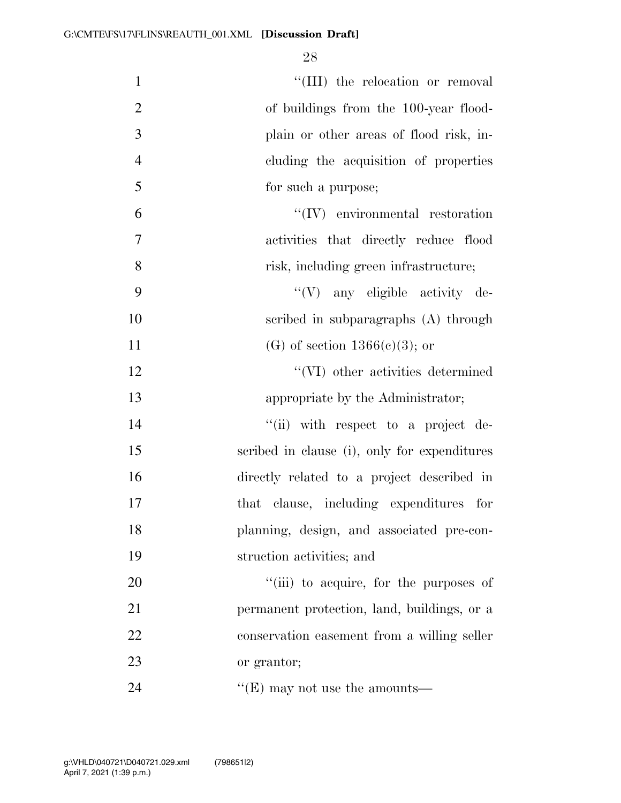$\text{``(III)}$  the relocation or removal 2 of buildings from the 100-year flood- plain or other areas of flood risk, in- cluding the acquisition of properties for such a purpose; 6 ''(IV) environmental restoration activities that directly reduce flood risk, including green infrastructure;  $\mathcal{C}(V)$  any eligible activity de- scribed in subparagraphs (A) through 11 (G) of section  $1366(e)(3)$ ; or 12 ''(VI) other activities determined 13 appropriate by the Administrator;  $\frac{1}{\sin}$  with respect to a project de- scribed in clause (i), only for expenditures directly related to a project described in that clause, including expenditures for planning, design, and associated pre-con- struction activities; and  $\frac{1}{20}$   $\frac{1}{20}$   $\frac{1}{20}$  to acquire, for the purposes of permanent protection, land, buildings, or a conservation easement from a willing seller or grantor; 24 ''(E) may not use the amounts—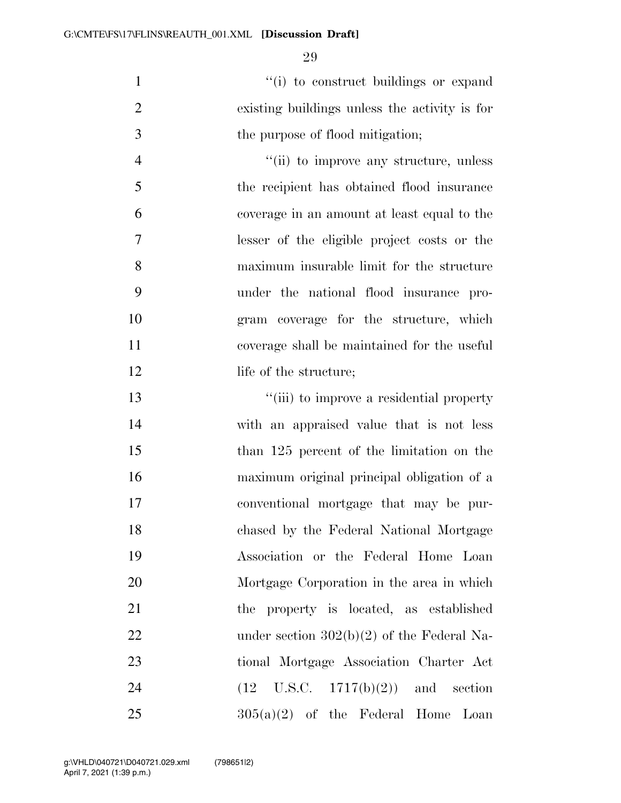1  $\frac{1}{10}$  to construct buildings or expand existing buildings unless the activity is for 3 the purpose of flood mitigation;

 $\frac{4}{\sin}$  to improve any structure, unless the recipient has obtained flood insurance coverage in an amount at least equal to the lesser of the eligible project costs or the maximum insurable limit for the structure under the national flood insurance pro- gram coverage for the structure, which coverage shall be maintained for the useful 12 life of the structure;

 $\frac{1}{10}$  to improve a residential property with an appraised value that is not less than 125 percent of the limitation on the maximum original principal obligation of a conventional mortgage that may be pur- chased by the Federal National Mortgage Association or the Federal Home Loan Mortgage Corporation in the area in which the property is located, as established 22 under section  $302(b)(2)$  of the Federal Na- tional Mortgage Association Charter Act 24 (12 U.S.C. 1717(b)(2)) and section  $305(a)(2)$  of the Federal Home Loan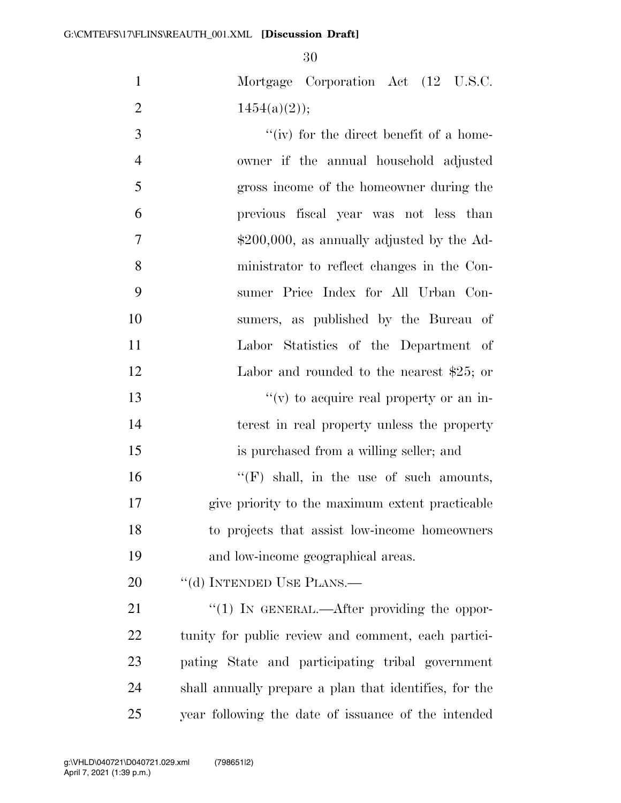| $\mathbf{1}$   | Mortgage Corporation Act (12 U.S.C.                    |
|----------------|--------------------------------------------------------|
| $\overline{2}$ | $1454(a)(2)$ ;                                         |
| 3              | "(iv) for the direct benefit of a home-                |
| $\overline{4}$ | owner if the annual household adjusted                 |
| 5              | gross income of the homeowner during the               |
| 6              | previous fiscal year was not less than                 |
| $\overline{7}$ | $$200,000$ , as annually adjusted by the Ad-           |
| 8              | ministrator to reflect changes in the Con-             |
| 9              | sumer Price Index for All Urban Con-                   |
| 10             | sumers, as published by the Bureau of                  |
| 11             | Labor Statistics of the Department of                  |
| 12             | Labor and rounded to the nearest $$25$ ; or            |
| 13             | " $(v)$ to acquire real property or an in-             |
| 14             | terest in real property unless the property            |
| 15             | is purchased from a willing seller; and                |
| 16             | $\lq\lq(F)$ shall, in the use of such amounts,         |
| 17             | give priority to the maximum extent practicable        |
| 18             | to projects that assist low-income homeowners          |
| 19             | and low-income geographical areas.                     |
| 20             | "(d) INTENDED USE PLANS.—                              |
| 21             | $\lq(1)$ In GENERAL.—After providing the oppor-        |
| 22             | tunity for public review and comment, each partici-    |
| 23             | pating State and participating tribal government       |
| 24             | shall annually prepare a plan that identifies, for the |
| 25             | year following the date of issuance of the intended    |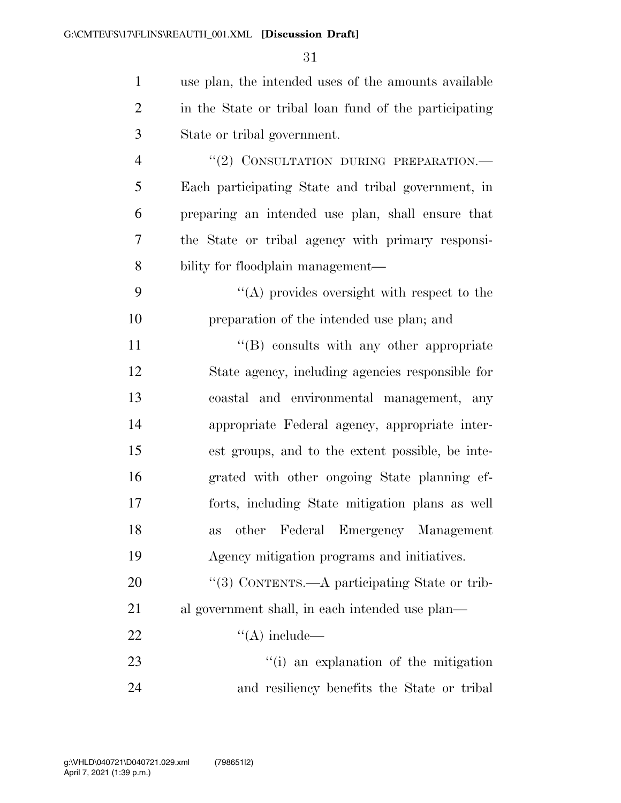| $\mathbf{1}$   | use plan, the intended uses of the amounts available  |
|----------------|-------------------------------------------------------|
| $\overline{2}$ | in the State or tribal loan fund of the participating |
| 3              | State or tribal government.                           |
| $\overline{4}$ | "(2) CONSULTATION DURING PREPARATION.-                |
| 5              | Each participating State and tribal government, in    |
| 6              | preparing an intended use plan, shall ensure that     |
| 7              | the State or tribal agency with primary responsi-     |
| 8              | bility for floodplain management—                     |
| 9              | $\lq\lq$ provides oversight with respect to the       |
| 10             | preparation of the intended use plan; and             |
| 11             | "(B) consults with any other appropriate              |
| 12             | State agency, including agencies responsible for      |
| 13             | coastal and environmental management, any             |
| 14             | appropriate Federal agency, appropriate inter-        |
| 15             | est groups, and to the extent possible, be inte-      |
| 16             | grated with other ongoing State planning ef-          |
| 17             | forts, including State mitigation plans as well       |
| 18             | other Federal Emergency Management<br>as              |
| 19             | Agency mitigation programs and initiatives.           |
| 20             | "(3) CONTENTS.—A participating State or trib-         |
| 21             | al government shall, in each intended use plan—       |
| 22             | $\lq\lq$ include—                                     |
| 23             | "(i) an explanation of the mitigation                 |
| 24             | and resiliency benefits the State or tribal           |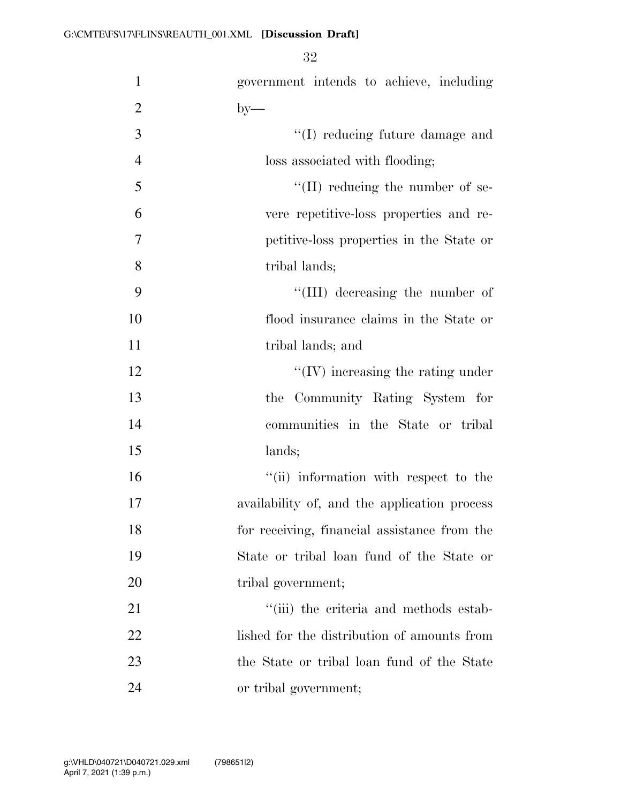| $\mathbf{1}$   | government intends to achieve, including     |
|----------------|----------------------------------------------|
| $\overline{2}$ | $by-$                                        |
| 3              | "(I) reducing future damage and              |
| $\overline{4}$ | loss associated with flooding;               |
| 5              | $\lq\lq$ (II) reducing the number of se-     |
| 6              | vere repetitive-loss properties and re-      |
| $\overline{7}$ | petitive-loss properties in the State or     |
| 8              | tribal lands;                                |
| 9              | "(III) decreasing the number of              |
| 10             | flood insurance claims in the State or       |
| 11             | tribal lands; and                            |
| 12             | $\lq\lq$ (IV) increasing the rating under    |
| 13             | the Community Rating System for              |
| 14             | communities in the State or tribal           |
| 15             | lands;                                       |
| 16             | "(ii) information with respect to the        |
| 17             | availability of, and the application process |
| 18             | for receiving, financial assistance from the |
| 19             | State or tribal loan fund of the State or    |
| 20             | tribal government;                           |
| 21             | "(iii) the criteria and methods estab-       |
| 22             | lished for the distribution of amounts from  |
| 23             | the State or tribal loan fund of the State   |
| 24             | or tribal government;                        |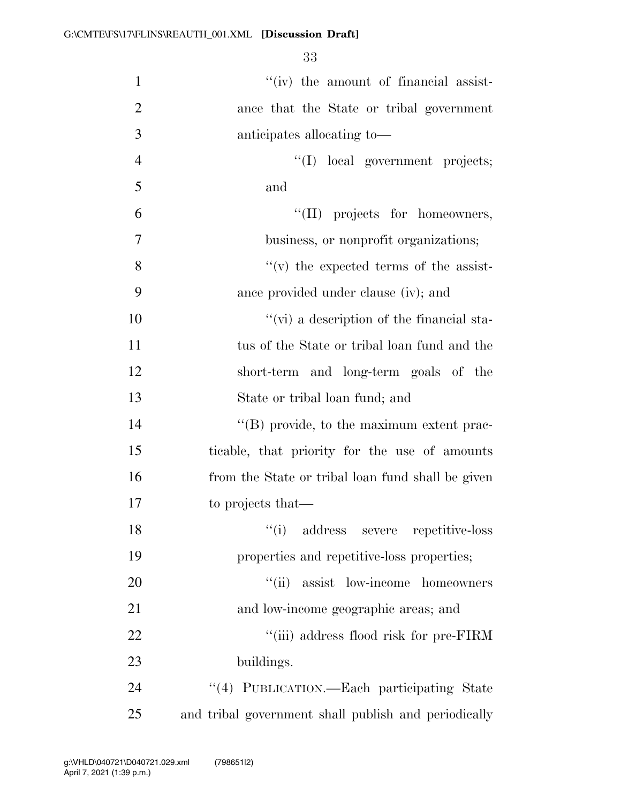| $\mathbf{1}$   | "(iv) the amount of financial assist-                |
|----------------|------------------------------------------------------|
| $\overline{2}$ | ance that the State or tribal government             |
| 3              | anticipates allocating to-                           |
| $\overline{4}$ | "(I) local government projects;                      |
| 5              | and                                                  |
| 6              | "(II) projects for homeowners,                       |
| 7              | business, or nonprofit organizations;                |
| 8              | $f'(v)$ the expected terms of the assist-            |
| 9              | ance provided under clause (iv); and                 |
| 10             | $\lq\lq$ (vi) a description of the financial sta-    |
| 11             | tus of the State or tribal loan fund and the         |
| 12             | short-term and long-term goals of the                |
| 13             | State or tribal loan fund; and                       |
| 14             | "(B) provide, to the maximum extent prac-            |
| 15             | ticable, that priority for the use of amounts        |
| 16             | from the State or tribal loan fund shall be given    |
| 17             | to projects that—                                    |
| 18             | ``(i)<br>address severe repetitive-loss              |
| 19             | properties and repetitive-loss properties;           |
| 20             | ``(ii)<br>assist low-income homeowners               |
| 21             | and low-income geographic areas; and                 |
| 22             | "(iii) address flood risk for pre-FIRM               |
| 23             | buildings.                                           |
| 24             | "(4) PUBLICATION.—Each participating State           |
| 25             | and tribal government shall publish and periodically |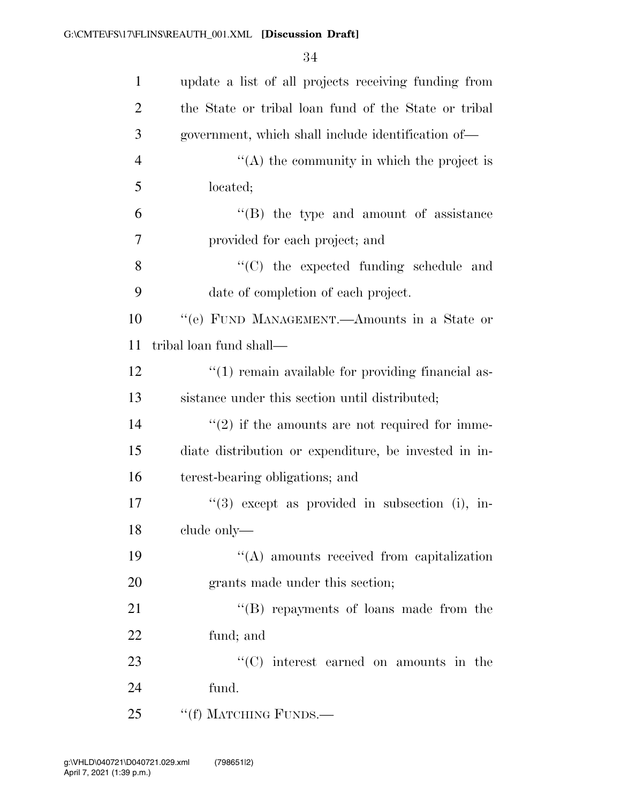| $\mathbf{1}$   | update a list of all projects receiving funding from      |
|----------------|-----------------------------------------------------------|
| $\overline{2}$ | the State or tribal loan fund of the State or tribal      |
| 3              | government, which shall include identification of—        |
| $\overline{4}$ | "(A) the community in which the project is                |
| 5              | located;                                                  |
| 6              | "(B) the type and amount of assistance                    |
| 7              | provided for each project; and                            |
| 8              | "(C) the expected funding schedule and                    |
| 9              | date of completion of each project.                       |
| 10             | "(e) FUND MANAGEMENT.—Amounts in a State or               |
| 11             | tribal loan fund shall—                                   |
| 12             | $\lq(1)$ remain available for providing financial as-     |
| 13             | sistance under this section until distributed;            |
| 14             | $\cdot\cdot(2)$ if the amounts are not required for imme- |
| 15             | diate distribution or expenditure, be invested in in-     |
| 16             | terest-bearing obligations; and                           |
| 17             | $\lq(3)$ except as provided in subsection (i), in-        |
| 18             | clude only-                                               |
| 19             | $\lq\lq$ amounts received from capitalization             |
| 20             | grants made under this section;                           |
| 21             | "(B) repayments of loans made from the                    |
| 22             | fund; and                                                 |
| 23             | $\lq\lq$ interest earned on amounts in the                |
| 24             | fund.                                                     |
| 25             | "(f) MATCHING FUNDS.—                                     |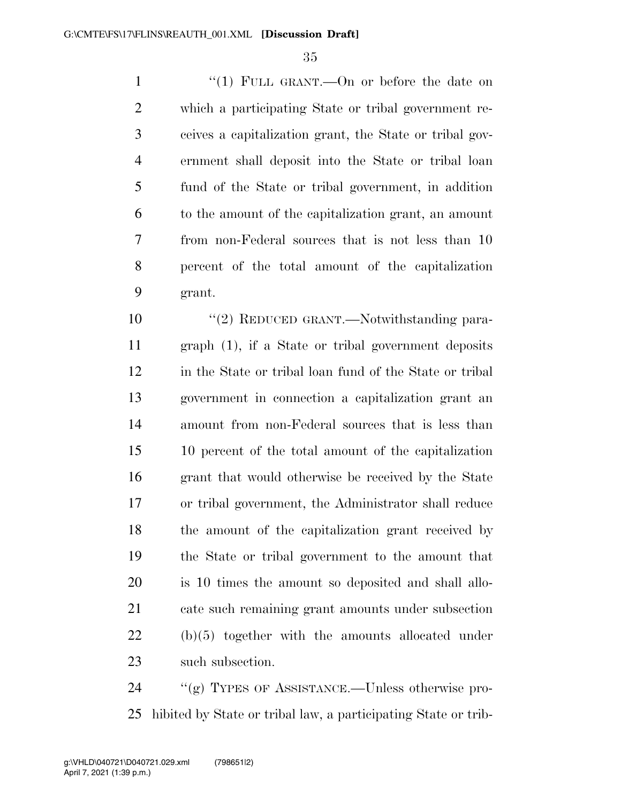1 "(1) FULL GRANT.—On or before the date on which a participating State or tribal government re- ceives a capitalization grant, the State or tribal gov- ernment shall deposit into the State or tribal loan fund of the State or tribal government, in addition to the amount of the capitalization grant, an amount from non-Federal sources that is not less than 10 percent of the total amount of the capitalization grant.

10 "(2) REDUCED GRANT.—Notwithstanding para- graph (1), if a State or tribal government deposits in the State or tribal loan fund of the State or tribal government in connection a capitalization grant an amount from non-Federal sources that is less than 10 percent of the total amount of the capitalization grant that would otherwise be received by the State or tribal government, the Administrator shall reduce the amount of the capitalization grant received by the State or tribal government to the amount that is 10 times the amount so deposited and shall allo- cate such remaining grant amounts under subsection (b)(5) together with the amounts allocated under such subsection.

 ''(g) TYPES OF ASSISTANCE.—Unless otherwise pro-hibited by State or tribal law, a participating State or trib-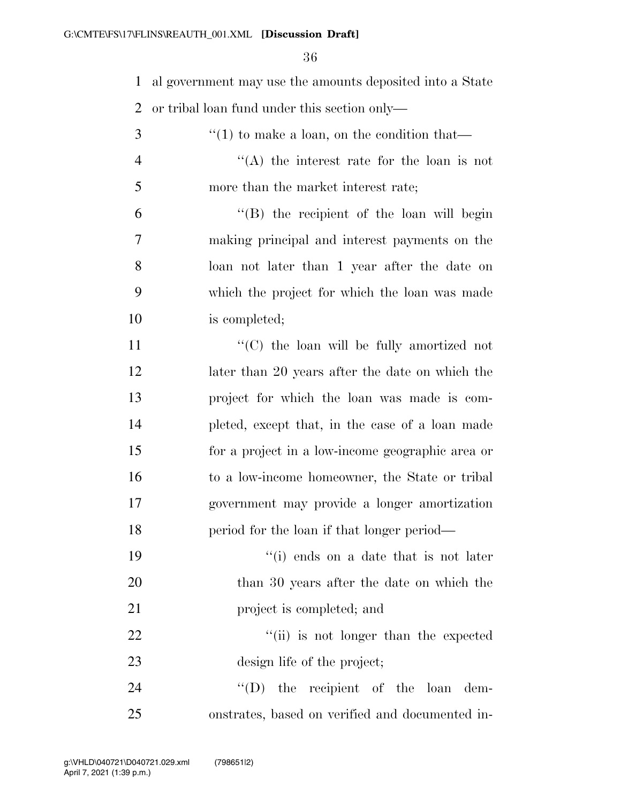al government may use the amounts deposited into a State or tribal loan fund under this section only— ''(1) to make a loan, on the condition that-

 ''(A) the interest rate for the loan is not more than the market interest rate;

 ''(B) the recipient of the loan will begin making principal and interest payments on the loan not later than 1 year after the date on which the project for which the loan was made is completed;

 $\langle ^{\prime}(C) \rangle$  the loan will be fully amortized not 12 later than 20 years after the date on which the project for which the loan was made is com- pleted, except that, in the case of a loan made for a project in a low-income geographic area or to a low-income homeowner, the State or tribal government may provide a longer amortization period for the loan if that longer period—

 ''(i) ends on a date that is not later than 30 years after the date on which the **project** is completed; and

22 ''(ii) is not longer than the expected design life of the project;

24  $''(D)$  the recipient of the loan dem-onstrates, based on verified and documented in-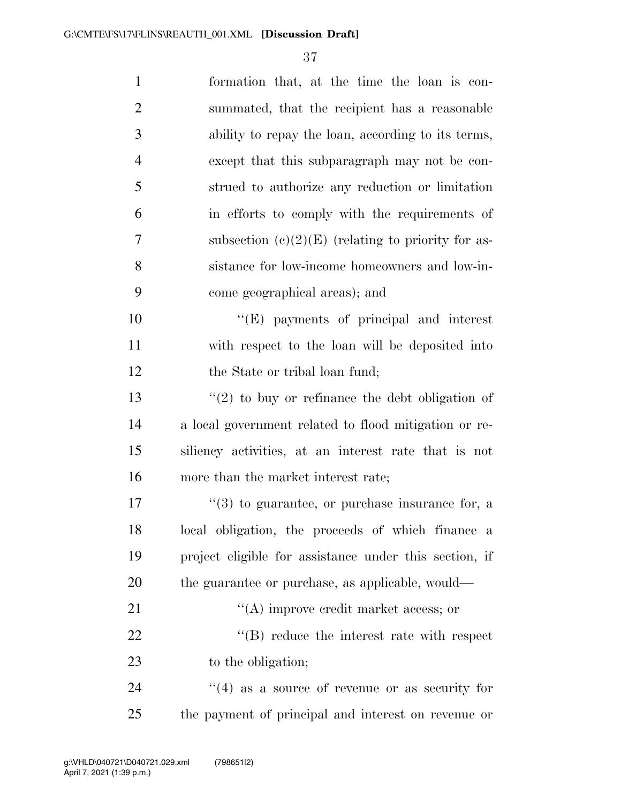| $\mathbf{1}$   | formation that, at the time the loan is con-                |
|----------------|-------------------------------------------------------------|
| $\overline{2}$ | summated, that the recipient has a reasonable               |
| 3              | ability to repay the loan, according to its terms,          |
| $\overline{4}$ | except that this subparagraph may not be con-               |
| 5              | strued to authorize any reduction or limitation             |
| 6              | in efforts to comply with the requirements of               |
| 7              | subsection $(c)(2)(E)$ (relating to priority for as-        |
| 8              | sistance for low-income homeowners and low-in-              |
| 9              | come geographical areas); and                               |
| 10             | $\lq\lq(E)$ payments of principal and interest              |
| 11             | with respect to the loan will be deposited into             |
| 12             | the State or tribal loan fund;                              |
| 13             | $\lq(2)$ to buy or refinance the debt obligation of         |
| 14             | a local government related to flood mitigation or re-       |
| 15             | siliency activities, at an interest rate that is not        |
| 16             | more than the market interest rate;                         |
| 17             | $\cdot\cdot$ (3) to guarantee, or purchase insurance for, a |
| 18             | local obligation, the proceeds of which finance<br>- a      |
| 19             | project eligible for assistance under this section, if      |
| 20             | the guarantee or purchase, as applicable, would—            |
| 21             | $\lq\lq$ improve credit market access; or                   |
| 22             | $\lq\lq$ reduce the interest rate with respect              |
| 23             | to the obligation;                                          |
| 24             | $\cdot$ (4) as a source of revenue or as security for       |
| 25             | the payment of principal and interest on revenue or         |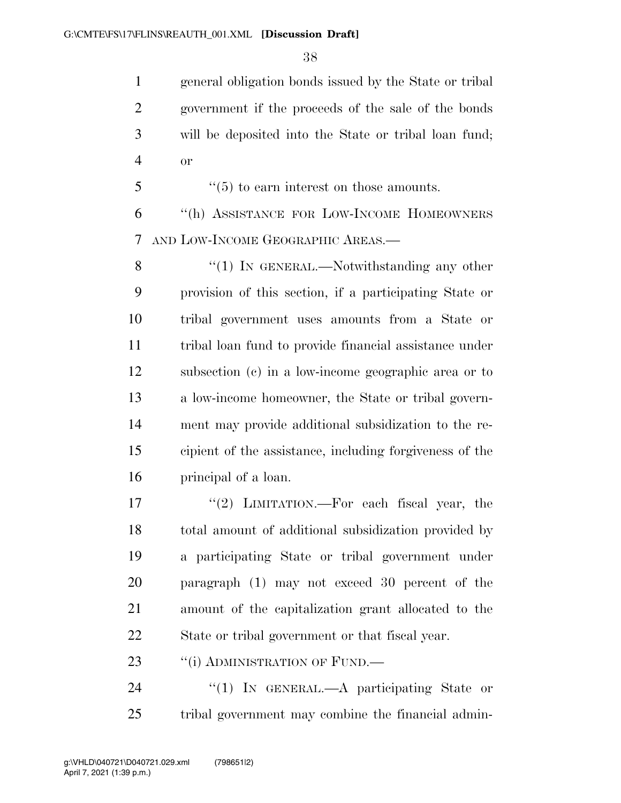general obligation bonds issued by the State or tribal government if the proceeds of the sale of the bonds will be deposited into the State or tribal loan fund; or

''(5) to earn interest on those amounts.

 ''(h) ASSISTANCE FOR LOW-INCOME HOMEOWNERS AND LOW-INCOME GEOGRAPHIC AREAS.—

8 "(1) In GENERAL.—Notwithstanding any other provision of this section, if a participating State or tribal government uses amounts from a State or tribal loan fund to provide financial assistance under subsection (c) in a low-income geographic area or to a low-income homeowner, the State or tribal govern- ment may provide additional subsidization to the re- cipient of the assistance, including forgiveness of the principal of a loan.

17 ''(2) LIMITATION.—For each fiscal year, the total amount of additional subsidization provided by a participating State or tribal government under paragraph (1) may not exceed 30 percent of the amount of the capitalization grant allocated to the State or tribal government or that fiscal year.

23 "(i) ADMINISTRATION OF FUND.—

24 "(1) In GENERAL.—A participating State or tribal government may combine the financial admin-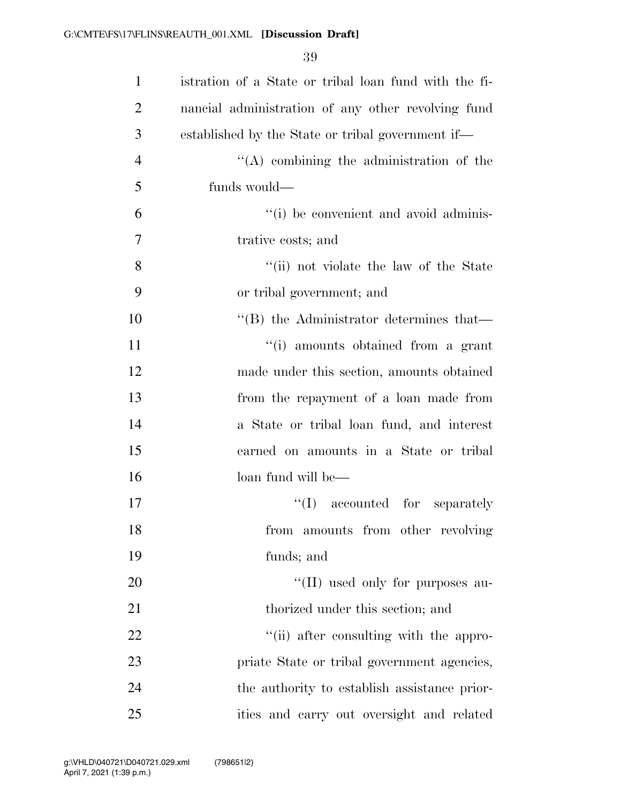| $\mathbf{1}$   | istration of a State or tribal loan fund with the fi- |
|----------------|-------------------------------------------------------|
| $\overline{2}$ | nancial administration of any other revolving fund    |
| 3              | established by the State or tribal government if—     |
| $\overline{4}$ | $\lq\lq$ combining the administration of the          |
| 5              | funds would—                                          |
| 6              | "(i) be convenient and avoid adminis-                 |
| 7              | trative costs; and                                    |
| 8              | "(ii) not violate the law of the State                |
| 9              | or tribal government; and                             |
| 10             | $\cdot$ (B) the Administrator determines that—        |
| 11             | "(i) amounts obtained from a grant                    |
| 12             | made under this section, amounts obtained             |
| 13             | from the repayment of a loan made from                |
| 14             | a State or tribal loan fund, and interest             |
| 15             | earned on amounts in a State or tribal                |
| 16             | loan fund will be—                                    |
| 17             | $\lq\lq$ (I) accounted for separately                 |
| 18             | amounts from other revolving<br>from                  |
| 19             | funds; and                                            |
| 20             | "(II) used only for purposes au-                      |
| 21             | thorized under this section; and                      |
| 22             | "(ii) after consulting with the appro-                |
| 23             | priate State or tribal government agencies,           |
| 24             | the authority to establish assistance prior-          |
| 25             | ities and carry out oversight and related             |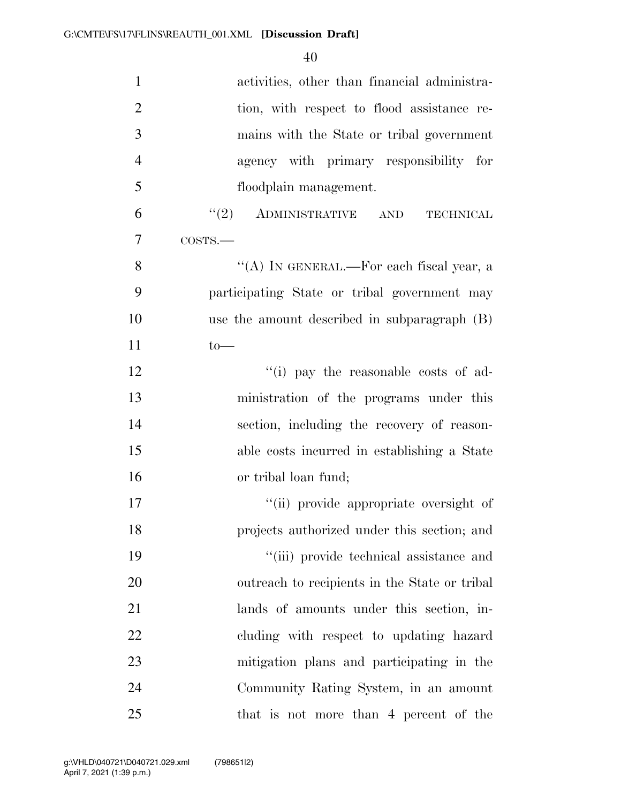| $\mathbf{1}$   | activities, other than financial administra-  |
|----------------|-----------------------------------------------|
| $\overline{2}$ | tion, with respect to flood assistance re-    |
| 3              | mains with the State or tribal government     |
| $\overline{4}$ | agency with primary responsibility for        |
| 5              | floodplain management.                        |
| 6              | $\lq(2)$ ADMINISTRATIVE AND TECHNICAL         |
| 7              | COSTS.                                        |
| 8              | "(A) IN GENERAL.—For each fiscal year, a      |
| 9              | participating State or tribal government may  |
| 10             | use the amount described in subparagraph (B)  |
| 11             | $to-$                                         |
| 12             | "(i) pay the reasonable costs of ad-          |
| 13             | ministration of the programs under this       |
| 14             | section, including the recovery of reason-    |
| 15             | able costs incurred in establishing a State   |
| 16             | or tribal loan fund;                          |
| 17             | "(ii) provide appropriate oversight of        |
| 18             | projects authorized under this section; and   |
| 19             | "(iii) provide technical assistance and       |
| 20             | outreach to recipients in the State or tribal |
| 21             | lands of amounts under this section, in-      |
| 22             | cluding with respect to updating hazard       |
| 23             | mitigation plans and participating in the     |
| 24             | Community Rating System, in an amount         |
| 25             | that is not more than 4 percent of the        |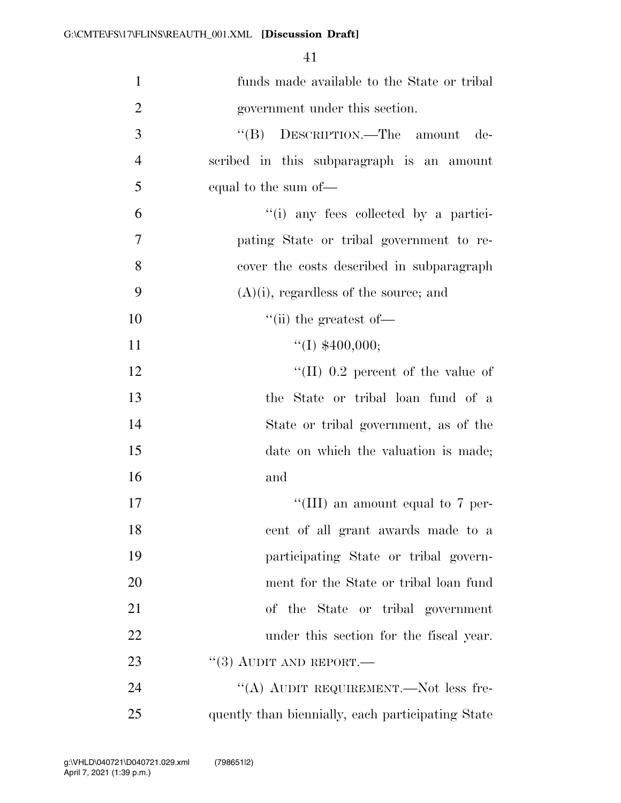| $\mathbf{1}$   | funds made available to the State or tribal       |
|----------------|---------------------------------------------------|
| $\overline{2}$ | government under this section.                    |
| 3              | $\mathrm{``(B)}$<br>DESCRIPTION.—The amount de-   |
| $\overline{4}$ | scribed in this subparagraph is an amount         |
| 5              | equal to the sum of—                              |
| 6              | "(i) any fees collected by a partici-             |
| 7              | pating State or tribal government to re-          |
| 8              | cover the costs described in subparagraph         |
| 9              | $(A)(i)$ , regardless of the source; and          |
| 10             | $\lq\lq$ (ii) the greatest of —                   |
| 11             | ``(I) \$400,000;                                  |
| 12             | "(II) $0.2$ percent of the value of               |
| 13             | the State or tribal loan fund of a                |
| 14             | State or tribal government, as of the             |
| 15             | date on which the valuation is made;              |
| 16             | and                                               |
| 17             | "(III) an amount equal to 7 per-                  |
| 18             | cent of all grant awards made to a                |
| 19             | participating State or tribal govern-             |
| 20             | ment for the State or tribal loan fund            |
| 21             | of the State or tribal government                 |
| 22             | under this section for the fiscal year.           |
| 23             | $``(3)$ AUDIT AND REPORT.—                        |
| 24             | "(A) AUDIT REQUIREMENT.—Not less fre-             |
| 25             | quently than biennially, each participating State |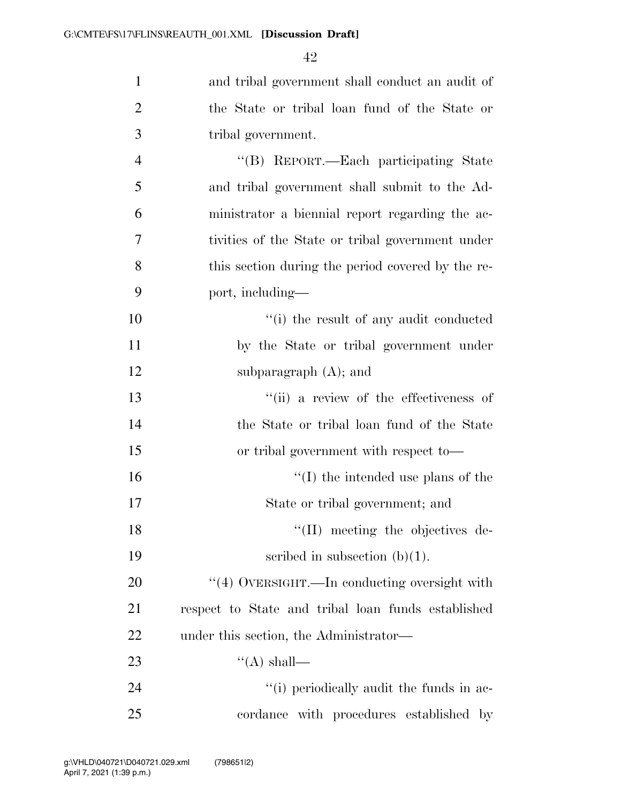| $\mathbf{1}$   | and tribal government shall conduct an audit of    |
|----------------|----------------------------------------------------|
| $\overline{2}$ | the State or tribal loan fund of the State or      |
| 3              | tribal government.                                 |
| $\overline{4}$ | "(B) REPORT.—Each participating State              |
| 5              | and tribal government shall submit to the Ad-      |
| 6              | ministrator a biennial report regarding the ac-    |
| 7              | tivities of the State or tribal government under   |
| 8              | this section during the period covered by the re-  |
| 9              | port, including—                                   |
| 10             | "(i) the result of any audit conducted             |
| 11             | by the State or tribal government under            |
| 12             | subparagraph $(A)$ ; and                           |
| 13             | "(ii) a review of the effectiveness of             |
| 14             | the State or tribal loan fund of the State         |
| 15             | or tribal government with respect to-              |
| 16             | $\lq\lq$ (I) the intended use plans of the         |
| 17             | State or tribal government; and                    |
| 18             | "(II) meeting the objectives de-                   |
| 19             | scribed in subsection $(b)(1)$ .                   |
| 20             | "(4) OVERSIGHT.—In conducting oversight with       |
| 21             | respect to State and tribal loan funds established |
| 22             | under this section, the Administrator—             |
| 23             | "(A) shall—                                        |
| 24             | "(i) periodically audit the funds in ac-           |
| 25             | cordance with procedures established by            |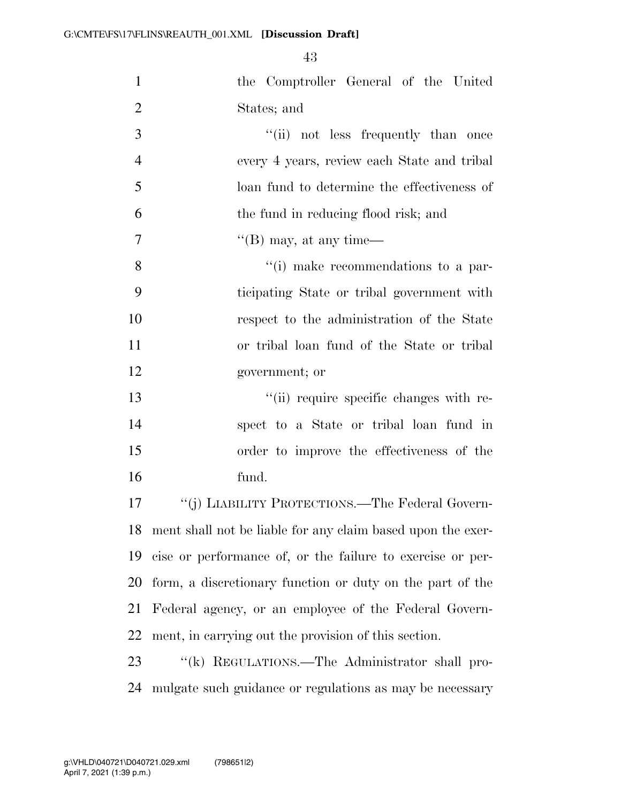| $\mathbf{1}$   | the Comptroller General of the United                       |
|----------------|-------------------------------------------------------------|
| $\overline{2}$ | States; and                                                 |
| 3              | "(ii) not less frequently than once                         |
| $\overline{4}$ | every 4 years, review each State and tribal                 |
| 5              | loan fund to determine the effectiveness of                 |
| 6              | the fund in reducing flood risk; and                        |
| $\overline{7}$ | $\lq\lq$ (B) may, at any time—                              |
| 8              | "(i) make recommendations to a par-                         |
| 9              | ticipating State or tribal government with                  |
| 10             | respect to the administration of the State                  |
| 11             | or tribal loan fund of the State or tribal                  |
| 12             | government; or                                              |
| 13             | "(ii) require specific changes with re-                     |
| 14             | spect to a State or tribal loan fund in                     |
| 15             | order to improve the effectiveness of the                   |
| 16             | fund.                                                       |
| 17             | "(j) LIABILITY PROTECTIONS.—The Federal Govern-             |
| 18             | ment shall not be liable for any claim based upon the exer- |
| 19             | cise or performance of, or the failure to exercise or per-  |
| 20             | form, a discretionary function or duty on the part of the   |
| 21             | Federal agency, or an employee of the Federal Govern-       |
| 22             | ment, in carrying out the provision of this section.        |
| 23             | "(k) REGULATIONS.—The Administrator shall pro-              |
| 24             | mulgate such guidance or regulations as may be necessary    |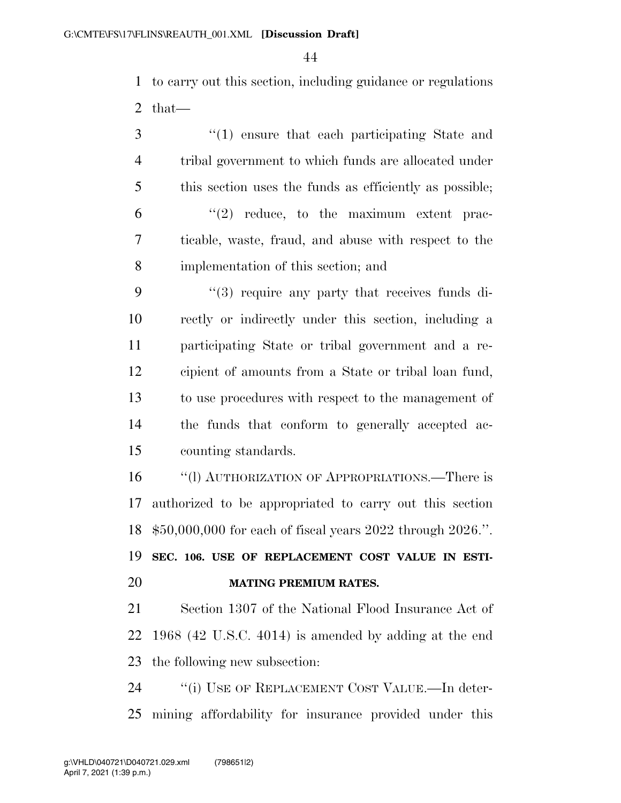to carry out this section, including guidance or regulations that—

 ''(1) ensure that each participating State and tribal government to which funds are allocated under this section uses the funds as efficiently as possible;  $(6)$   $(2)$  reduce, to the maximum extent prac- ticable, waste, fraud, and abuse with respect to the implementation of this section; and

9 "(3) require any party that receives funds di- rectly or indirectly under this section, including a participating State or tribal government and a re- cipient of amounts from a State or tribal loan fund, to use procedures with respect to the management of the funds that conform to generally accepted ac-counting standards.

 ''(l) AUTHORIZATION OF APPROPRIATIONS.—There is authorized to be appropriated to carry out this section \$50,000,000 for each of fiscal years 2022 through 2026.''.

 **SEC. 106. USE OF REPLACEMENT COST VALUE IN ESTI-MATING PREMIUM RATES.** 

 Section 1307 of the National Flood Insurance Act of 1968 (42 U.S.C. 4014) is amended by adding at the end the following new subsection:

24 "(i) USE OF REPLACEMENT COST VALUE.—In deter-mining affordability for insurance provided under this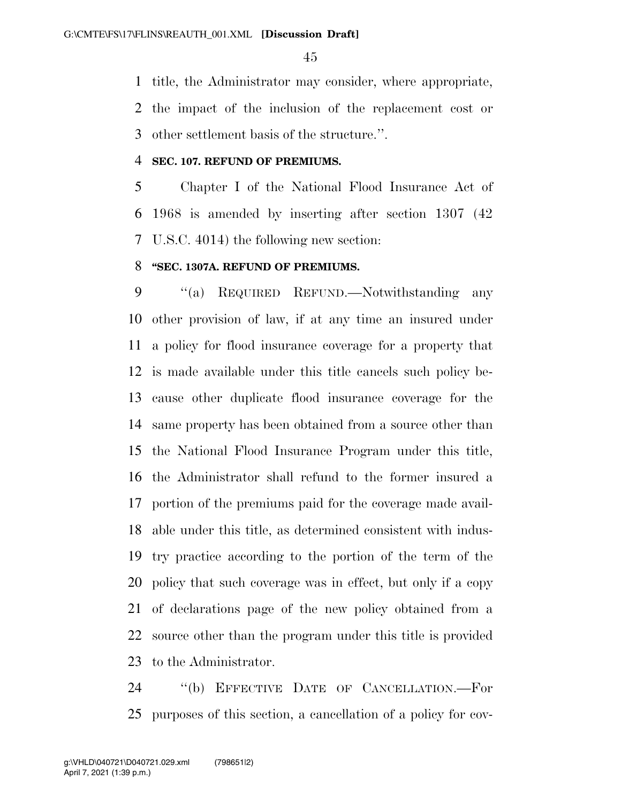title, the Administrator may consider, where appropriate,

 the impact of the inclusion of the replacement cost or other settlement basis of the structure.''.

#### **SEC. 107. REFUND OF PREMIUMS.**

 Chapter I of the National Flood Insurance Act of 1968 is amended by inserting after section 1307 (42 U.S.C. 4014) the following new section:

### **''SEC. 1307A. REFUND OF PREMIUMS.**

 ''(a) REQUIRED REFUND.—Notwithstanding any other provision of law, if at any time an insured under a policy for flood insurance coverage for a property that is made available under this title cancels such policy be- cause other duplicate flood insurance coverage for the same property has been obtained from a source other than the National Flood Insurance Program under this title, the Administrator shall refund to the former insured a portion of the premiums paid for the coverage made avail- able under this title, as determined consistent with indus- try practice according to the portion of the term of the policy that such coverage was in effect, but only if a copy of declarations page of the new policy obtained from a source other than the program under this title is provided to the Administrator.

 ''(b) EFFECTIVE DATE OF CANCELLATION.—For purposes of this section, a cancellation of a policy for cov-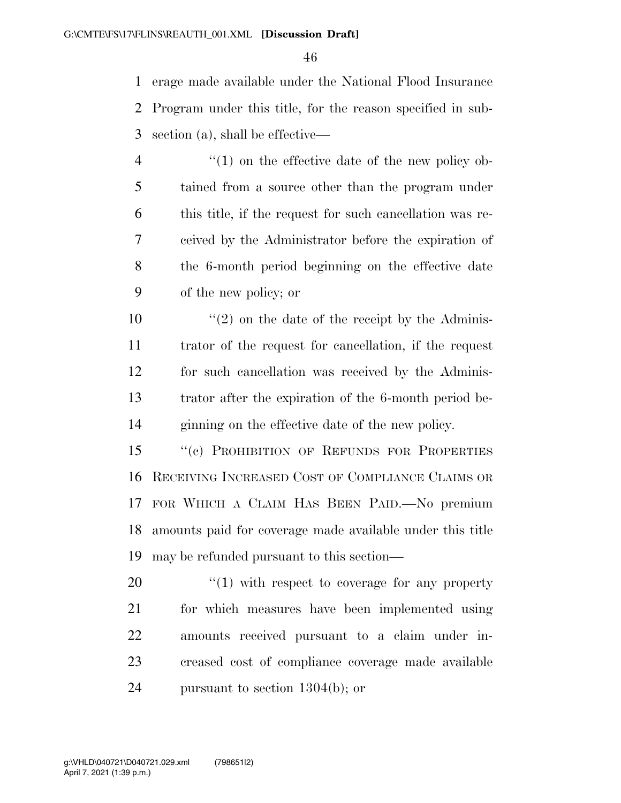erage made available under the National Flood Insurance Program under this title, for the reason specified in sub-section (a), shall be effective—

- 4 "(1) on the effective date of the new policy ob- tained from a source other than the program under this title, if the request for such cancellation was re- ceived by the Administrator before the expiration of the 6-month period beginning on the effective date of the new policy; or
- $\frac{10}{20}$  <sup>''</sup>(2) on the date of the receipt by the Adminis- trator of the request for cancellation, if the request for such cancellation was received by the Adminis- trator after the expiration of the 6-month period be-ginning on the effective date of the new policy.
- 15 "(c) PROHIBITION OF REFUNDS FOR PROPERTIES RECEIVING INCREASED COST OF COMPLIANCE CLAIMS OR FOR WHICH A CLAIM HAS BEEN PAID.—No premium amounts paid for coverage made available under this title may be refunded pursuant to this section—
- 20  $\frac{1}{20}$   $\frac{1}{20}$  with respect to coverage for any property for which measures have been implemented using amounts received pursuant to a claim under in- creased cost of compliance coverage made available pursuant to section 1304(b); or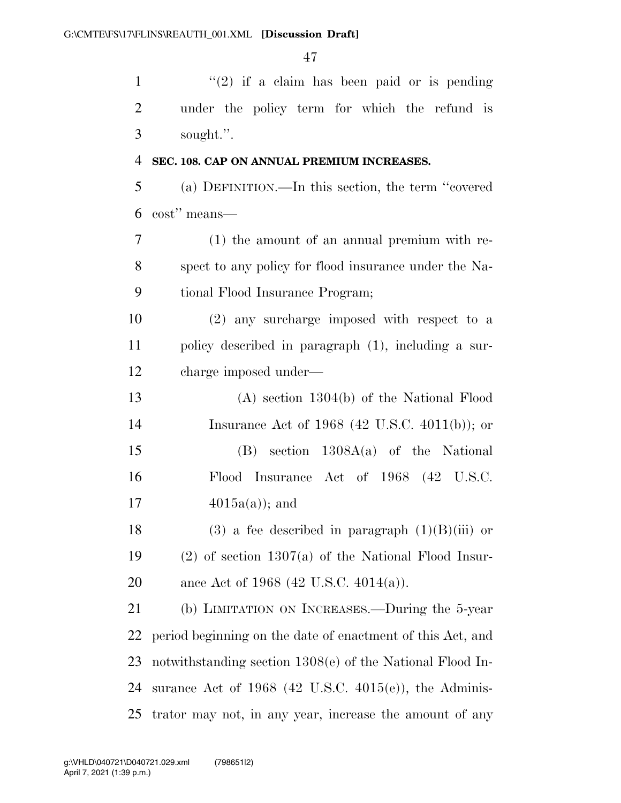| $\mathbf{1}$   | " $(2)$ if a claim has been paid or is pending              |
|----------------|-------------------------------------------------------------|
| $\overline{2}$ | under the policy term for which the refund is               |
| 3              | sought.".                                                   |
| $\overline{4}$ | SEC. 108. CAP ON ANNUAL PREMIUM INCREASES.                  |
| 5              | (a) DEFINITION.—In this section, the term "covered          |
| 6              | cost" means—                                                |
| 7              | $(1)$ the amount of an annual premium with re-              |
| 8              | spect to any policy for flood insurance under the Na-       |
| 9              | tional Flood Insurance Program;                             |
| 10             | (2) any surcharge imposed with respect to a                 |
| 11             | policy described in paragraph (1), including a sur-         |
| 12             | charge imposed under—                                       |
| 13             | $(A)$ section 1304(b) of the National Flood                 |
| 14             | Insurance Act of 1968 (42 U.S.C. 4011(b)); or               |
| 15             | $(B)$ section $1308A(a)$ of the National                    |
| 16             | Flood Insurance Act of 1968 (42 U.S.C.                      |
| 17             | $4015a(a)$ ; and                                            |
| 18             | $(3)$ a fee described in paragraph $(1)(B)(iii)$ or         |
| 19             | $(2)$ of section 1307(a) of the National Flood Insur-       |
| 20             | ance Act of 1968 (42 U.S.C. 4014(a)).                       |
| 21             | (b) LIMITATION ON INCREASES.—During the 5-year              |
| 22             | period beginning on the date of enactment of this Act, and  |
| 23             | notwithstanding section $1308(e)$ of the National Flood In- |
| 24             | surance Act of $1968$ (42 U.S.C. 4015(e)), the Adminis-     |
| 25             | trator may not, in any year, increase the amount of any     |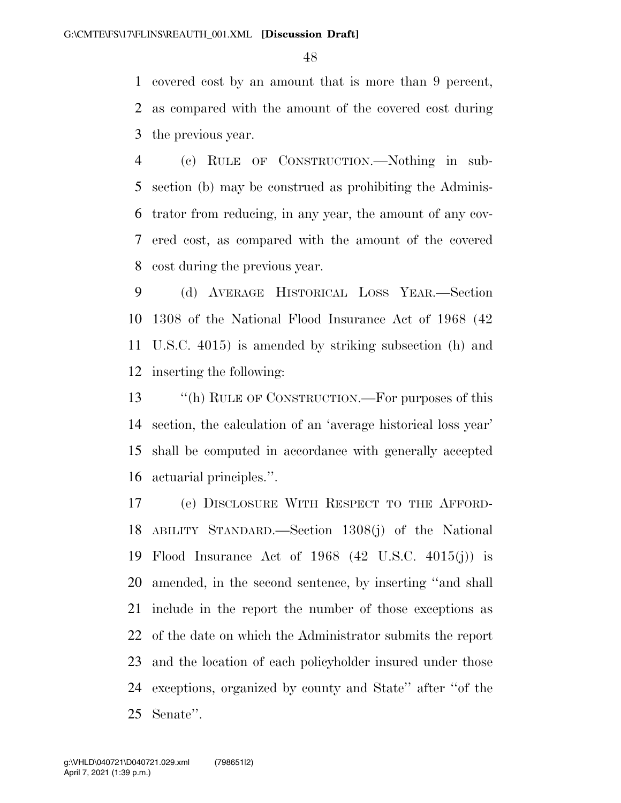covered cost by an amount that is more than 9 percent, as compared with the amount of the covered cost during the previous year.

 (c) RULE OF CONSTRUCTION.—Nothing in sub- section (b) may be construed as prohibiting the Adminis- trator from reducing, in any year, the amount of any cov- ered cost, as compared with the amount of the covered cost during the previous year.

 (d) AVERAGE HISTORICAL LOSS YEAR.—Section 1308 of the National Flood Insurance Act of 1968 (42 U.S.C. 4015) is amended by striking subsection (h) and inserting the following:

 ''(h) RULE OF CONSTRUCTION.—For purposes of this section, the calculation of an 'average historical loss year' shall be computed in accordance with generally accepted actuarial principles.''.

 (e) DISCLOSURE WITH RESPECT TO THE AFFORD- ABILITY STANDARD.—Section 1308(j) of the National Flood Insurance Act of 1968 (42 U.S.C. 4015(j)) is amended, in the second sentence, by inserting ''and shall include in the report the number of those exceptions as of the date on which the Administrator submits the report and the location of each policyholder insured under those exceptions, organized by county and State'' after ''of the Senate''.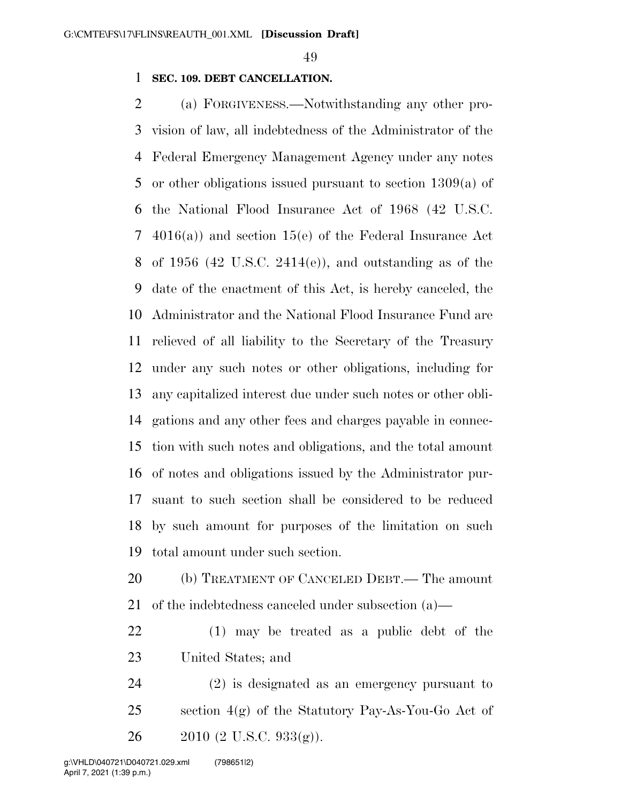### **SEC. 109. DEBT CANCELLATION.**

 (a) FORGIVENESS.—Notwithstanding any other pro- vision of law, all indebtedness of the Administrator of the Federal Emergency Management Agency under any notes or other obligations issued pursuant to section 1309(a) of the National Flood Insurance Act of 1968 (42 U.S.C. 4016(a)) and section 15(e) of the Federal Insurance Act of 1956 (42 U.S.C. 2414(e)), and outstanding as of the date of the enactment of this Act, is hereby canceled, the Administrator and the National Flood Insurance Fund are relieved of all liability to the Secretary of the Treasury under any such notes or other obligations, including for any capitalized interest due under such notes or other obli- gations and any other fees and charges payable in connec- tion with such notes and obligations, and the total amount of notes and obligations issued by the Administrator pur- suant to such section shall be considered to be reduced by such amount for purposes of the limitation on such total amount under such section.

 (b) TREATMENT OF CANCELED DEBT.— The amount of the indebtedness canceled under subsection (a)—

 (1) may be treated as a public debt of the United States; and

 (2) is designated as an emergency pursuant to 25 section  $4(g)$  of the Statutory Pay-As-You-Go Act of 26 (2 U.S.C. 933(g)).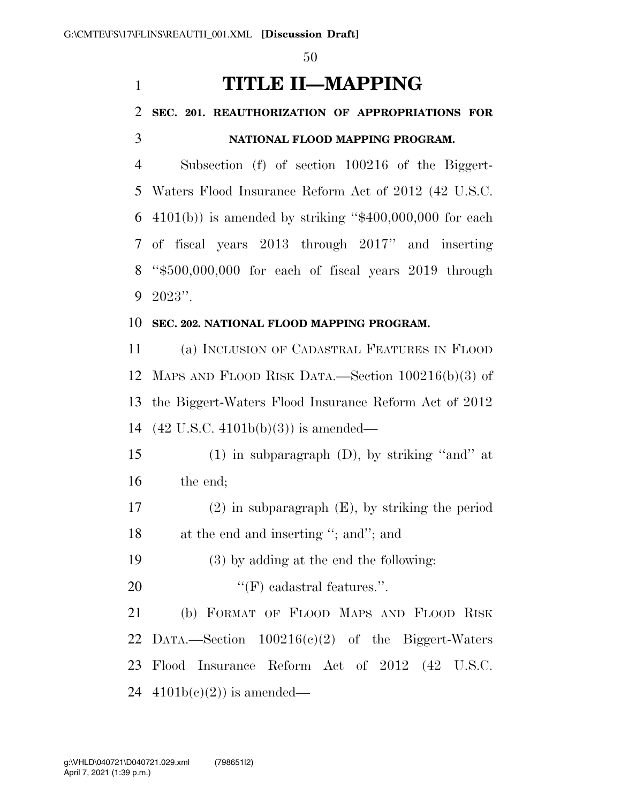# **TITLE II—MAPPING**

# **SEC. 201. REAUTHORIZATION OF APPROPRIATIONS FOR NATIONAL FLOOD MAPPING PROGRAM.**

 Subsection (f) of section 100216 of the Biggert- Waters Flood Insurance Reform Act of 2012 (42 U.S.C.  $4101(b)$  is amended by striking "\$400,000,000 for each of fiscal years 2013 through 2017'' and inserting ''\$500,000,000 for each of fiscal years 2019 through 2023''.

## **SEC. 202. NATIONAL FLOOD MAPPING PROGRAM.**

 (a) INCLUSION OF CADASTRAL FEATURES IN FLOOD MAPS AND FLOOD RISK DATA.—Section 100216(b)(3) of the Biggert-Waters Flood Insurance Reform Act of 2012 (42 U.S.C. 4101b(b)(3)) is amended—

 (1) in subparagraph (D), by striking ''and'' at the end;

 (2) in subparagraph (E), by striking the period 18 at the end and inserting "; and"; and

(3) by adding at the end the following:

20  $\text{``(F)}$  cadastral features.".

 (b) FORMAT OF FLOOD MAPS AND FLOOD RISK DATA.—Section 100216(c)(2) of the Biggert-Waters Flood Insurance Reform Act of 2012 (42 U.S.C.  $4101b(c)(2)$  is amended—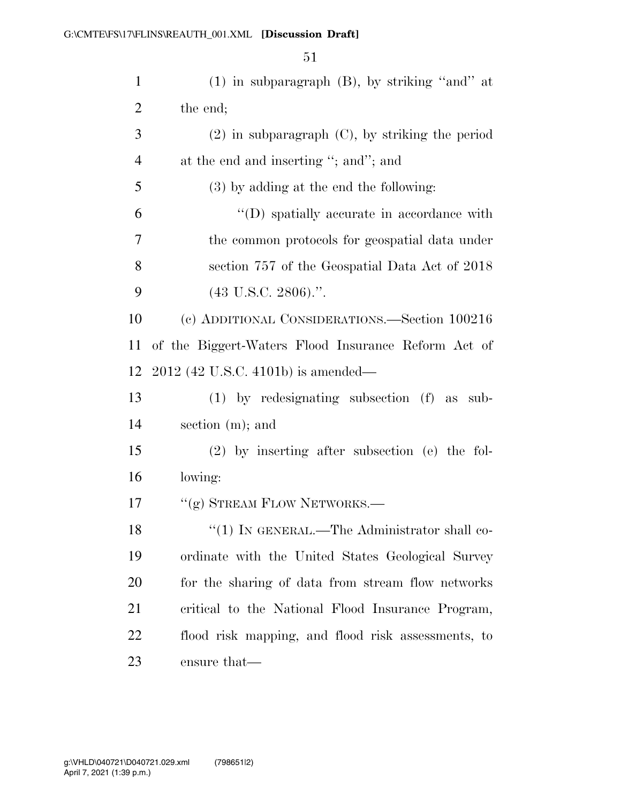| $\mathbf{1}$   | $(1)$ in subparagraph $(B)$ , by striking "and" at   |
|----------------|------------------------------------------------------|
| $\overline{2}$ | the end;                                             |
| 3              | $(2)$ in subparagraph $(C)$ , by striking the period |
| $\overline{4}$ | at the end and inserting "; and"; and                |
| 5              | $(3)$ by adding at the end the following:            |
| 6              | "(D) spatially accurate in accordance with           |
| 7              | the common protocols for geospatial data under       |
| 8              | section 757 of the Geospatial Data Act of 2018       |
| 9              | $(43 \text{ U.S.C. } 2806).$ ".                      |
| 10             | (c) ADDITIONAL CONSIDERATIONS.—Section 100216        |
| 11             | of the Biggert-Waters Flood Insurance Reform Act of  |
| 12             | $2012$ (42 U.S.C. 4101b) is amended—                 |
| 13             | $(1)$ by redesignating subsection $(f)$ as<br>sub-   |
| 14             | section $(m)$ ; and                                  |
| 15             | $(2)$ by inserting after subsection (e) the fol-     |
| 16             | lowing:                                              |
| 17             | "(g) STREAM FLOW NETWORKS.—                          |
| 18             | "(1) IN GENERAL.—The Administrator shall co-         |
| 19             | ordinate with the United States Geological Survey    |
| 20             | for the sharing of data from stream flow networks    |
| 21             | critical to the National Flood Insurance Program,    |
| 22             | flood risk mapping, and flood risk assessments, to   |
| 23             | ensure that—                                         |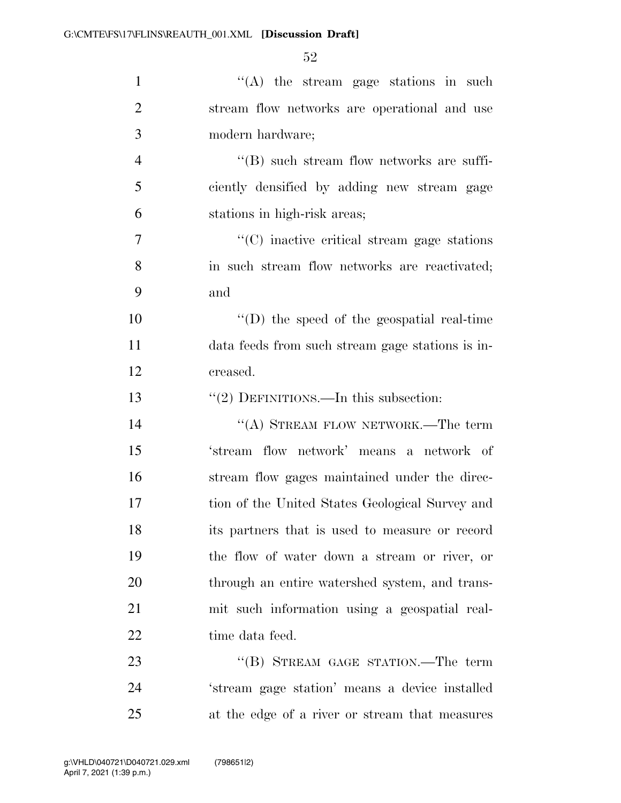| $\mathbf{1}$   | "(A) the stream gage stations in such              |
|----------------|----------------------------------------------------|
| $\overline{2}$ | stream flow networks are operational and use       |
| 3              | modern hardware;                                   |
| $\overline{4}$ | "(B) such stream flow networks are suffi-          |
| 5              | ciently densified by adding new stream gage        |
| 6              | stations in high-risk areas;                       |
| $\overline{7}$ | $\cdot$ (C) inactive critical stream gage stations |
| 8              | in such stream flow networks are reactivated;      |
| 9              | and                                                |
| 10             | $\lq\lq$ (D) the speed of the geospatial real-time |
| 11             | data feeds from such stream gage stations is in-   |
| 12             | creased.                                           |
| 13             | "(2) DEFINITIONS.—In this subsection:              |
| 14             | "(A) STREAM FLOW NETWORK.—The term                 |
| 15             | 'stream flow network' means a network of           |
| 16             | stream flow gages maintained under the direc-      |
| 17             | tion of the United States Geological Survey and    |
| 18             | its partners that is used to measure or record     |
| 19             | the flow of water down a stream or river, or       |
| 20             | through an entire watershed system, and trans-     |
| 21             | mit such information using a geospatial real-      |
| 22             | time data feed.                                    |
| 23             | "(B) STREAM GAGE STATION.—The term                 |
| 24             | 'stream gage station' means a device installed     |
|                |                                                    |

at the edge of a river or stream that measures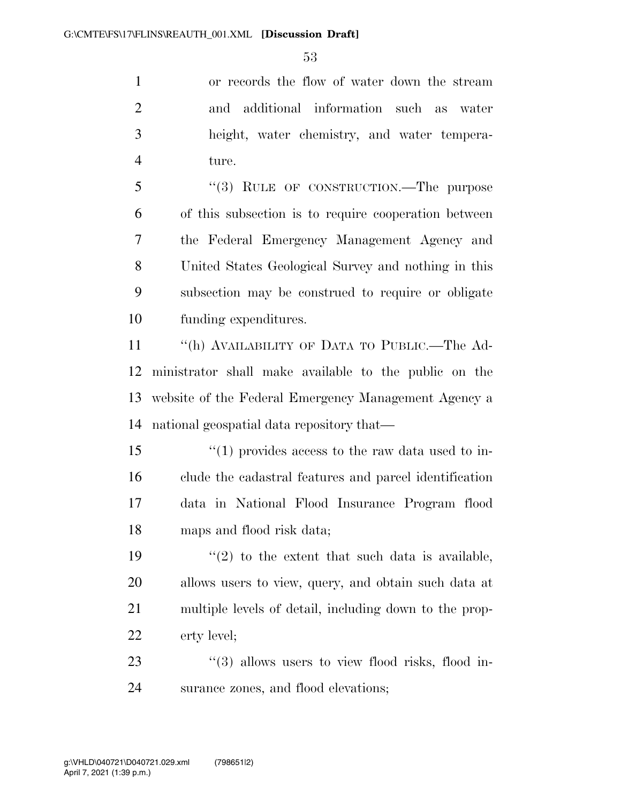or records the flow of water down the stream and additional information such as water height, water chemistry, and water tempera-ture.

5 "(3) RULE OF CONSTRUCTION.—The purpose of this subsection is to require cooperation between the Federal Emergency Management Agency and United States Geological Survey and nothing in this subsection may be construed to require or obligate funding expenditures.

 ''(h) AVAILABILITY OF DATA TO PUBLIC.—The Ad- ministrator shall make available to the public on the website of the Federal Emergency Management Agency a national geospatial data repository that—

15 ''(1) provides access to the raw data used to in- clude the cadastral features and parcel identification data in National Flood Insurance Program flood maps and flood risk data;

 $\frac{1}{2}$  to the extent that such data is available, allows users to view, query, and obtain such data at multiple levels of detail, including down to the prop-erty level;

23 "(3) allows users to view flood risks, flood in-surance zones, and flood elevations;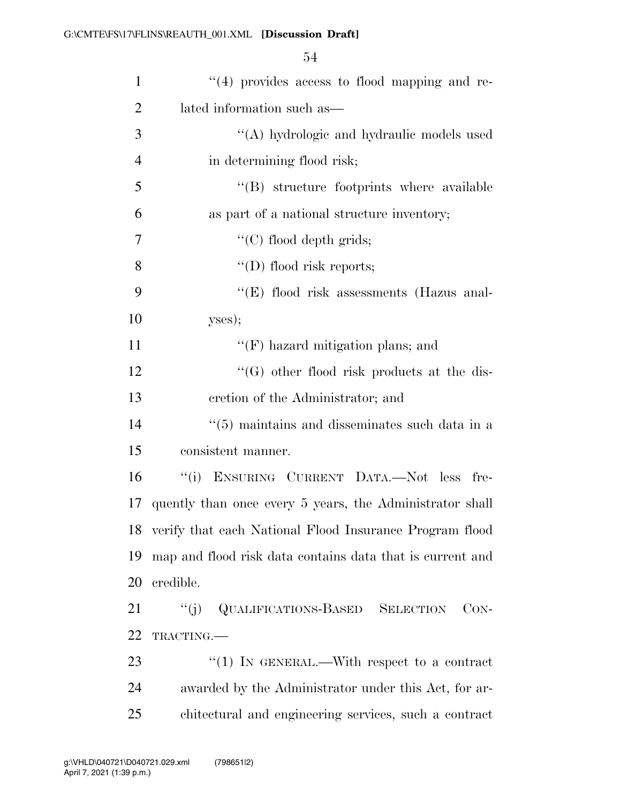| $\mathbf{1}$   | "(4) provides access to flood mapping and re-              |
|----------------|------------------------------------------------------------|
| $\overline{2}$ | lated information such as—                                 |
| 3              | "(A) hydrologic and hydraulic models used                  |
| $\overline{4}$ | in determining flood risk;                                 |
| 5              | "(B) structure footprints where available                  |
| 6              | as part of a national structure inventory;                 |
| 7              | "(C) flood depth grids;                                    |
| 8              | $\lq\lq$ (D) flood risk reports;                           |
| 9              | " $(E)$ flood risk assessments (Hazus anal-                |
| 10             | yses);                                                     |
| 11             | $\lq\lq(F)$ hazard mitigation plans; and                   |
| 12             | $\lq\lq(G)$ other flood risk products at the dis-          |
| 13             | cretion of the Administrator; and                          |
| 14             | $\cdot\cdot$ (5) maintains and disseminates such data in a |
| 15             | consistent manner.                                         |
| 16             | "(i) ENSURING CURRENT DATA.—Not less fre-                  |
| 17             | quently than once every 5 years, the Administrator shall   |
|                | 18 verify that each National Flood Insurance Program flood |
| 19             | map and flood risk data contains data that is current and  |
| 20             | credible.                                                  |
| 21             | <b>QUALIFICATIONS-BASED SELECTION</b><br>``(j)<br>$CON-$   |
| 22             | TRACTING.                                                  |
| 23             | "(1) IN GENERAL.—With respect to a contract                |
| 24             | awarded by the Administrator under this Act, for ar-       |
| 25             | chitectural and engineering services, such a contract      |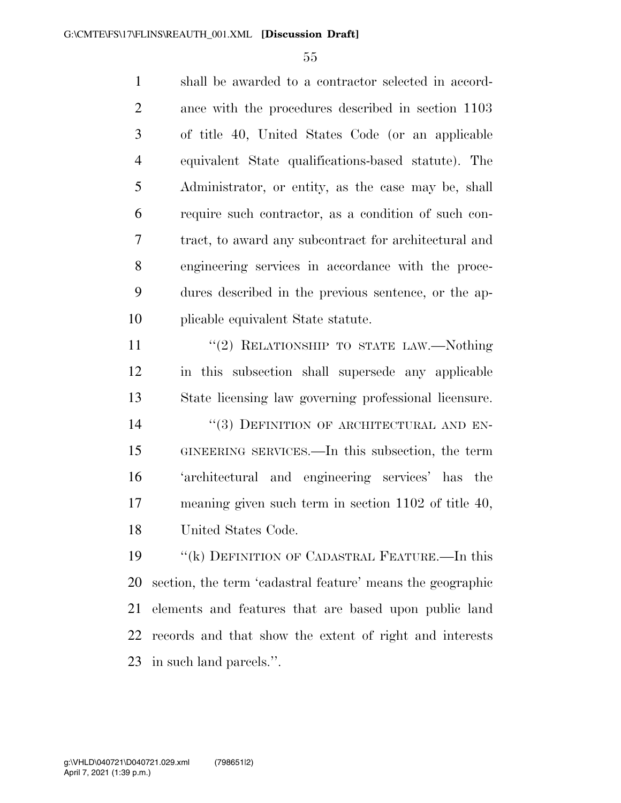shall be awarded to a contractor selected in accord- ance with the procedures described in section 1103 of title 40, United States Code (or an applicable equivalent State qualifications-based statute). The Administrator, or entity, as the case may be, shall require such contractor, as a condition of such con- tract, to award any subcontract for architectural and engineering services in accordance with the proce- dures described in the previous sentence, or the ap-plicable equivalent State statute.

11 "(2) RELATIONSHIP TO STATE LAW.—Nothing in this subsection shall supersede any applicable State licensing law governing professional licensure. 14 "(3) DEFINITION OF ARCHITECTURAL AND EN- GINEERING SERVICES.—In this subsection, the term 'architectural and engineering services' has the meaning given such term in section 1102 of title 40, United States Code.

 ''(k) DEFINITION OF CADASTRAL FEATURE.—In this section, the term 'cadastral feature' means the geographic elements and features that are based upon public land records and that show the extent of right and interests in such land parcels.''.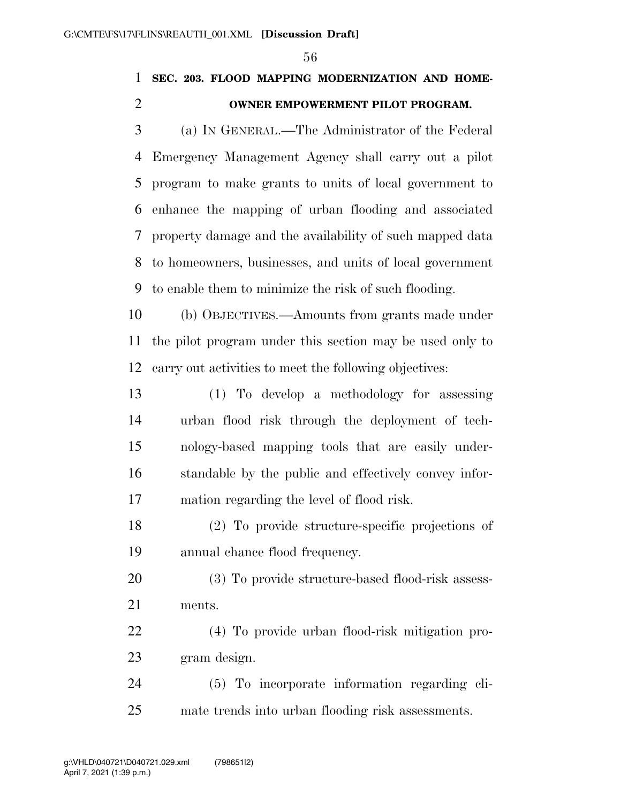## **SEC. 203. FLOOD MAPPING MODERNIZATION AND HOME-OWNER EMPOWERMENT PILOT PROGRAM.**

 (a) IN GENERAL.—The Administrator of the Federal Emergency Management Agency shall carry out a pilot program to make grants to units of local government to enhance the mapping of urban flooding and associated property damage and the availability of such mapped data to homeowners, businesses, and units of local government to enable them to minimize the risk of such flooding.

 (b) OBJECTIVES.—Amounts from grants made under the pilot program under this section may be used only to carry out activities to meet the following objectives:

 (1) To develop a methodology for assessing urban flood risk through the deployment of tech- nology-based mapping tools that are easily under- standable by the public and effectively convey infor-mation regarding the level of flood risk.

 (2) To provide structure-specific projections of annual chance flood frequency.

 (3) To provide structure-based flood-risk assess-ments.

 (4) To provide urban flood-risk mitigation pro-gram design.

 (5) To incorporate information regarding cli-mate trends into urban flooding risk assessments.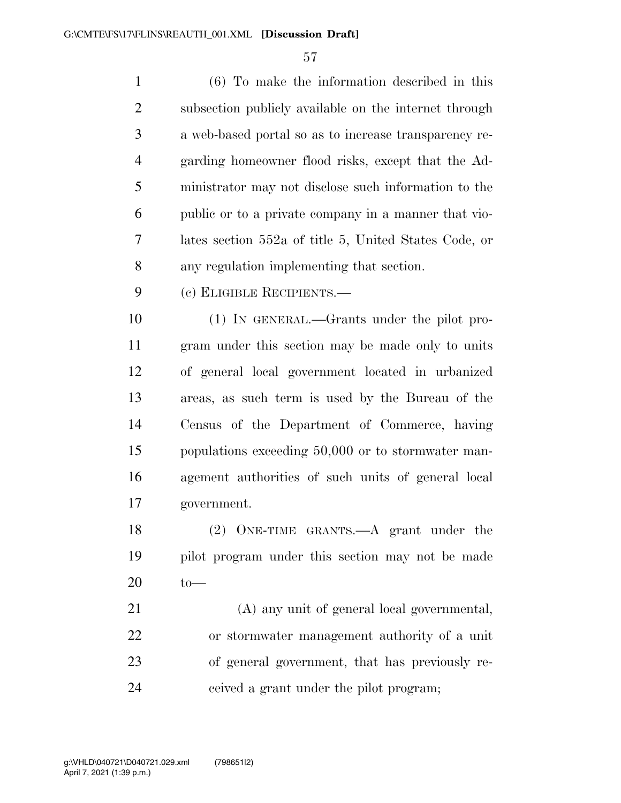| $\mathbf{1}$   | $(6)$ To make the information described in this       |
|----------------|-------------------------------------------------------|
| $\overline{2}$ | subsection publicly available on the internet through |
| 3              | a web-based portal so as to increase transparency re- |
| $\overline{4}$ | garding homeowner flood risks, except that the Ad-    |
| 5              | ministrator may not disclose such information to the  |
| 6              | public or to a private company in a manner that vio-  |
| $\overline{7}$ | lates section 552a of title 5, United States Code, or |
| 8              | any regulation implementing that section.             |
| 9              | (c) ELIGIBLE RECIPIENTS.                              |
| 10             | (1) IN GENERAL.—Grants under the pilot pro-           |
| 11             | gram under this section may be made only to units     |
| 12             | of general local government located in urbanized      |
| 13             | areas, as such term is used by the Bureau of the      |
| 14             | Census of the Department of Commerce, having          |
| 15             | populations exceeding 50,000 or to stormwater man-    |
| 16             | agement authorities of such units of general local    |
| 17             | government.                                           |
| 18             | $(2)$ ONE-TIME GRANTS.—A grant under the              |
| 19             | pilot program under this section may not be made      |

to—

 (A) any unit of general local governmental, or stormwater management authority of a unit of general government, that has previously re-ceived a grant under the pilot program;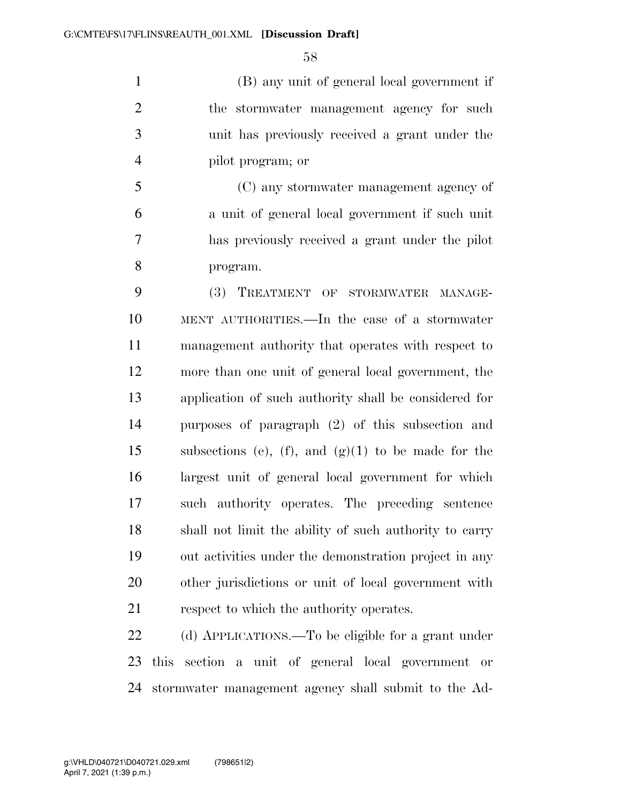(B) any unit of general local government if the stormwater management agency for such unit has previously received a grant under the pilot program; or

 (C) any stormwater management agency of a unit of general local government if such unit has previously received a grant under the pilot program.

 (3) TREATMENT OF STORMWATER MANAGE- MENT AUTHORITIES.—In the case of a stormwater management authority that operates with respect to more than one unit of general local government, the application of such authority shall be considered for purposes of paragraph (2) of this subsection and subsections (e), (f), and (g)(1) to be made for the largest unit of general local government for which such authority operates. The preceding sentence shall not limit the ability of such authority to carry out activities under the demonstration project in any other jurisdictions or unit of local government with respect to which the authority operates.

 (d) APPLICATIONS.—To be eligible for a grant under this section a unit of general local government or stormwater management agency shall submit to the Ad-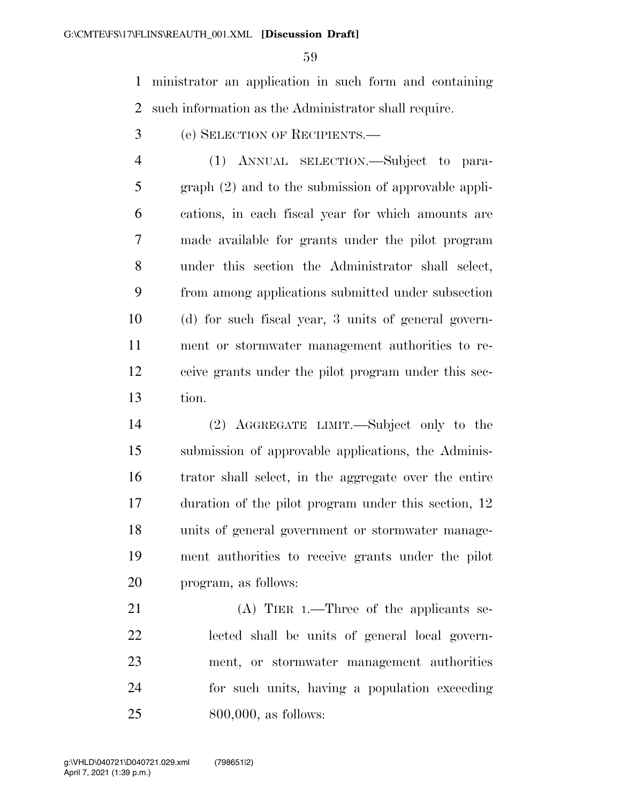ministrator an application in such form and containing such information as the Administrator shall require.

(e) SELECTION OF RECIPIENTS.—

 (1) ANNUAL SELECTION.—Subject to para- graph (2) and to the submission of approvable appli- cations, in each fiscal year for which amounts are made available for grants under the pilot program under this section the Administrator shall select, from among applications submitted under subsection (d) for such fiscal year, 3 units of general govern- ment or stormwater management authorities to re- ceive grants under the pilot program under this sec-tion.

 (2) AGGREGATE LIMIT.—Subject only to the submission of approvable applications, the Adminis- trator shall select, in the aggregate over the entire duration of the pilot program under this section, 12 units of general government or stormwater manage- ment authorities to receive grants under the pilot program, as follows:

21 (A) TIER 1.—Three of the applicants se- lected shall be units of general local govern- ment, or stormwater management authorities for such units, having a population exceeding 800,000, as follows: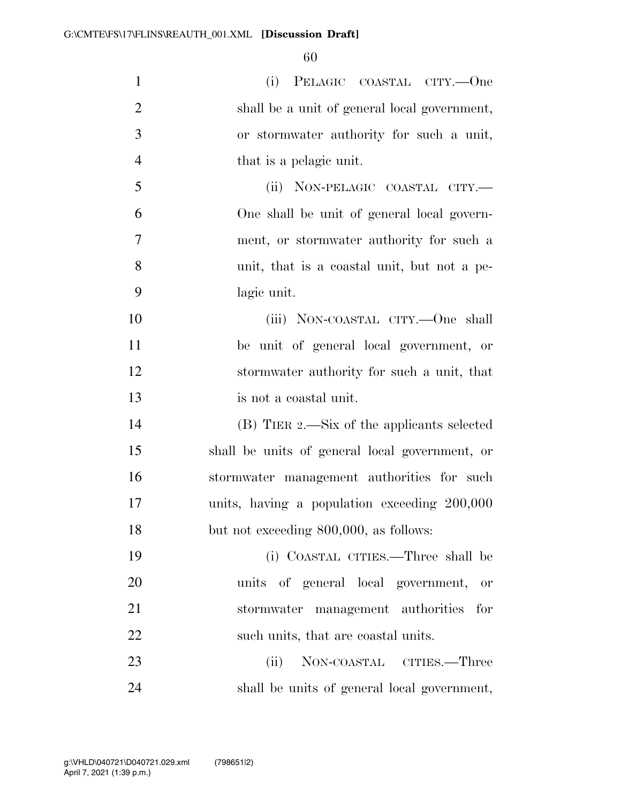| $\mathbf{1}$   | (i) PELAGIC COASTAL CITY.—One                  |
|----------------|------------------------------------------------|
| $\overline{2}$ | shall be a unit of general local government,   |
| 3              | or stormwater authority for such a unit,       |
| $\overline{4}$ | that is a pelagic unit.                        |
| 5              | (ii) NON-PELAGIC COASTAL CITY.—                |
| 6              | One shall be unit of general local govern-     |
| $\overline{7}$ | ment, or stormwater authority for such a       |
| 8              | unit, that is a coastal unit, but not a pe-    |
| 9              | lagic unit.                                    |
| 10             | (iii) NON-COASTAL CITY.—One shall              |
| 11             | be unit of general local government, or        |
| 12             | stormwater authority for such a unit, that     |
| 13             | is not a coastal unit.                         |
| 14             | (B) TIER 2.—Six of the applicants selected     |
| 15             | shall be units of general local government, or |
| 16             | stormwater management authorities for such     |
| 17             | units, having a population exceeding 200,000   |
| 18             | but not exceeding 800,000, as follows:         |
| 19             | (i) COASTAL CITIES.—Three shall be             |
| 20             | units of general local government, or          |
| 21             | stormwater management authorities for          |
| 22             | such units, that are coastal units.            |
| 23             | NON-COASTAL CITIES.—Three<br>(ii)              |
| 24             | shall be units of general local government,    |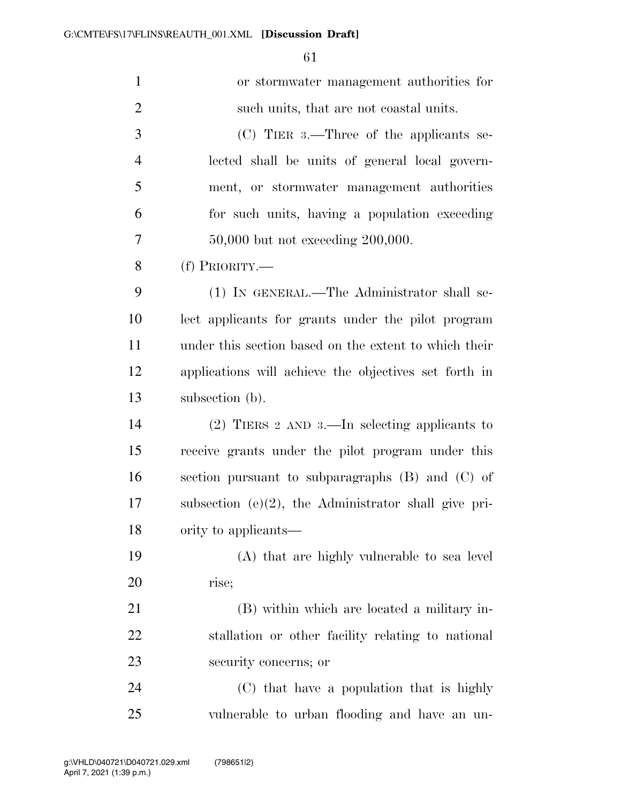| $\mathbf{1}$   | or stormwater management authorities for                |
|----------------|---------------------------------------------------------|
| $\overline{2}$ | such units, that are not coastal units.                 |
| 3              | $(C)$ TIER 3.—Three of the applicants se-               |
| $\overline{4}$ | lected shall be units of general local govern-          |
| 5              | ment, or stormwater management authorities              |
| 6              | for such units, having a population exceeding           |
| 7              | $50,000$ but not exceeding $200,000$ .                  |
| 8              | (f) PRIORITY.—                                          |
| 9              | (1) IN GENERAL.—The Administrator shall se-             |
| 10             | lect applicants for grants under the pilot program      |
| 11             | under this section based on the extent to which their   |
| 12             | applications will achieve the objectives set forth in   |
| 13             | subsection (b).                                         |
| 14             | $(2)$ TIERS 2 AND 3.—In selecting applicants to         |
| 15             | receive grants under the pilot program under this       |
| 16             | section pursuant to subparagraphs $(B)$ and $(C)$ of    |
| 17             | subsection $(e)(2)$ , the Administrator shall give pri- |
| 18             | ority to applicants—                                    |
| 19             | (A) that are highly vulnerable to sea level             |
| 20             | rise;                                                   |
| 21             | (B) within which are located a military in-             |
| 22             | stallation or other facility relating to national       |
| 23             | security concerns; or                                   |
| 24             | (C) that have a population that is highly               |
| 25             | vulnerable to urban flooding and have an un-            |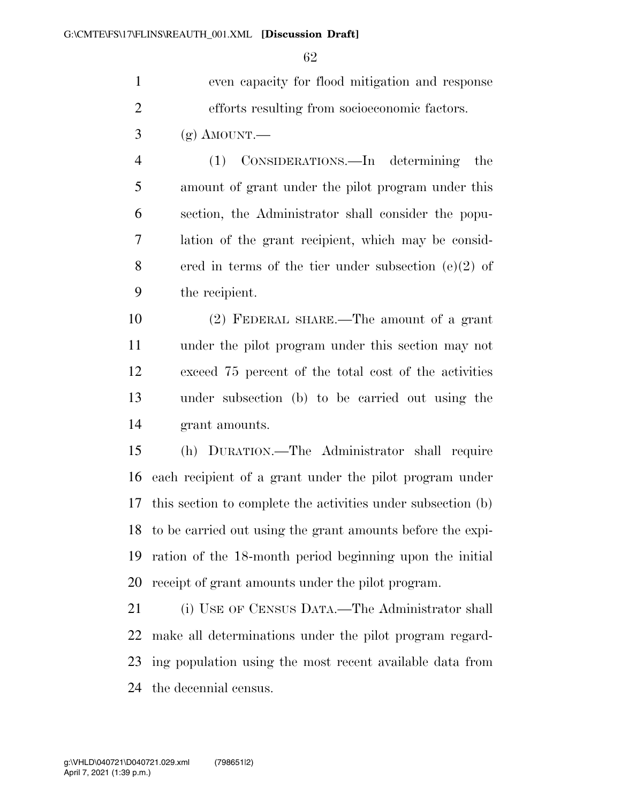even capacity for flood mitigation and response efforts resulting from socioeconomic factors.

 $3 \quad (g)$  AMOUNT.

 (1) CONSIDERATIONS.—In determining the amount of grant under the pilot program under this section, the Administrator shall consider the popu- lation of the grant recipient, which may be consid- ered in terms of the tier under subsection (e)(2) of the recipient.

 (2) FEDERAL SHARE.—The amount of a grant under the pilot program under this section may not exceed 75 percent of the total cost of the activities under subsection (b) to be carried out using the grant amounts.

 (h) DURATION.—The Administrator shall require each recipient of a grant under the pilot program under this section to complete the activities under subsection (b) to be carried out using the grant amounts before the expi- ration of the 18-month period beginning upon the initial receipt of grant amounts under the pilot program.

 (i) USE OF CENSUS DATA.—The Administrator shall make all determinations under the pilot program regard- ing population using the most recent available data from the decennial census.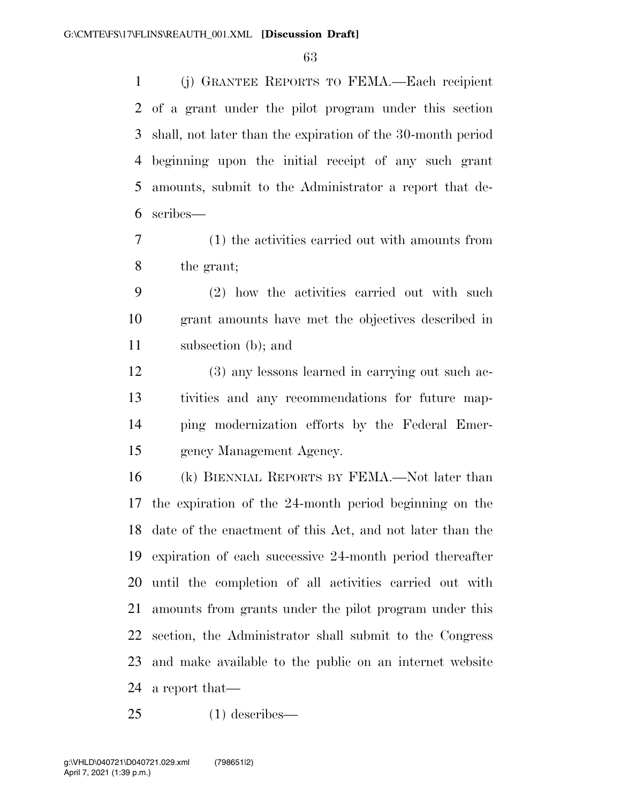(j) GRANTEE REPORTS TO FEMA.—Each recipient of a grant under the pilot program under this section shall, not later than the expiration of the 30-month period beginning upon the initial receipt of any such grant amounts, submit to the Administrator a report that de-scribes—

 (1) the activities carried out with amounts from the grant;

 (2) how the activities carried out with such grant amounts have met the objectives described in subsection (b); and

 (3) any lessons learned in carrying out such ac- tivities and any recommendations for future map- ping modernization efforts by the Federal Emer-gency Management Agency.

 (k) BIENNIAL REPORTS BY FEMA.—Not later than the expiration of the 24-month period beginning on the date of the enactment of this Act, and not later than the expiration of each successive 24-month period thereafter until the completion of all activities carried out with amounts from grants under the pilot program under this section, the Administrator shall submit to the Congress and make available to the public on an internet website a report that—

(1) describes—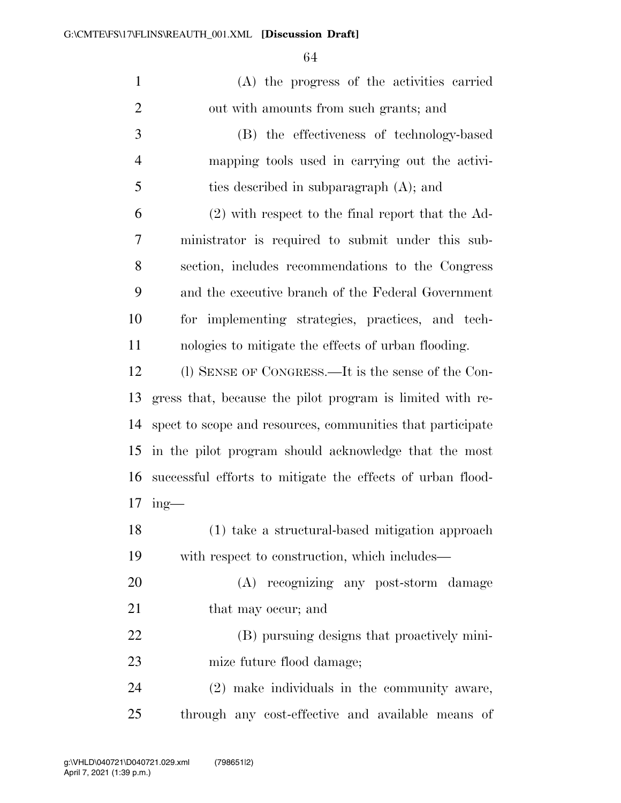| $\mathbf{1}$   | (A) the progress of the activities carried                 |
|----------------|------------------------------------------------------------|
| $\overline{2}$ | out with amounts from such grants; and                     |
| 3              | (B) the effectiveness of technology-based                  |
| $\overline{4}$ | mapping tools used in carrying out the activi-             |
| 5              | ties described in subparagraph (A); and                    |
| 6              | $(2)$ with respect to the final report that the Ad-        |
| 7              | ministrator is required to submit under this sub-          |
| 8              | section, includes recommendations to the Congress          |
| 9              | and the executive branch of the Federal Government         |
| 10             | for implementing strategies, practices, and tech-          |
| 11             | nologies to mitigate the effects of urban flooding.        |
| 12             | (1) SENSE OF CONGRESS.—It is the sense of the Con-         |
| 13             | gress that, because the pilot program is limited with re-  |
| 14             | spect to scope and resources, communities that participate |
| 15             | in the pilot program should acknowledge that the most      |
| 16             | successful efforts to mitigate the effects of urban flood- |
| 17             | $ing$ —                                                    |
| 18             | (1) take a structural-based mitigation approach            |
| 19             | with respect to construction, which includes—              |
| 20             | (A) recognizing any post-storm damage                      |
| 21             | that may occur; and                                        |
| 22             | (B) pursuing designs that proactively mini-                |
| 23             | mize future flood damage;                                  |
| 24             | (2) make individuals in the community aware,               |
| 25             | through any cost-effective and available means of          |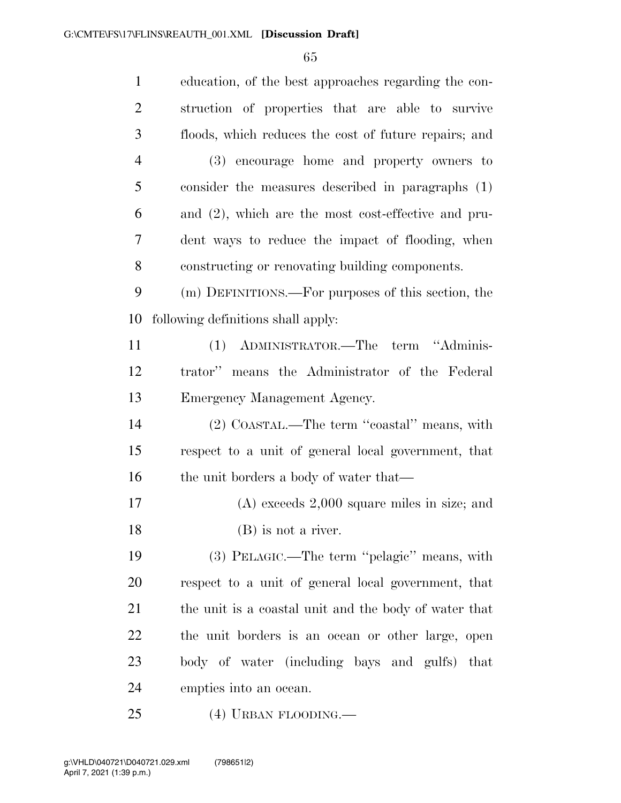| $\mathbf{1}$   | education, of the best approaches regarding the con-   |
|----------------|--------------------------------------------------------|
| 2              | struction of properties that are able to survive       |
| 3              | floods, which reduces the cost of future repairs; and  |
| $\overline{4}$ | (3) encourage home and property owners to              |
| 5              | consider the measures described in paragraphs (1)      |
| 6              | and $(2)$ , which are the most cost-effective and pru- |
| 7              | dent ways to reduce the impact of flooding, when       |
| 8              | constructing or renovating building components.        |
| 9              | (m) DEFINITIONS.—For purposes of this section, the     |
| 10             | following definitions shall apply:                     |
| 11             | ADMINISTRATOR.—The term "Adminis-<br>(1)               |
| 12             | trator" means the Administrator of the Federal         |
| 13             | Emergency Management Agency.                           |
| 14             | (2) COASTAL.—The term "coastal" means, with            |
| 15             | respect to a unit of general local government, that    |
| 16             | the unit borders a body of water that—                 |
| 17             | $(A)$ exceeds 2,000 square miles in size; and          |
| 18             | (B) is not a river.                                    |
| 19             | (3) PELAGIC.—The term "pelagic" means, with            |
| 20             | respect to a unit of general local government, that    |
| 21             | the unit is a coastal unit and the body of water that  |
| 22             | the unit borders is an ocean or other large, open      |
| 23             | body of water (including bays and gulfs) that          |
| 24             | empties into an ocean.                                 |
| 25             | $(4)$ URBAN FLOODING.—                                 |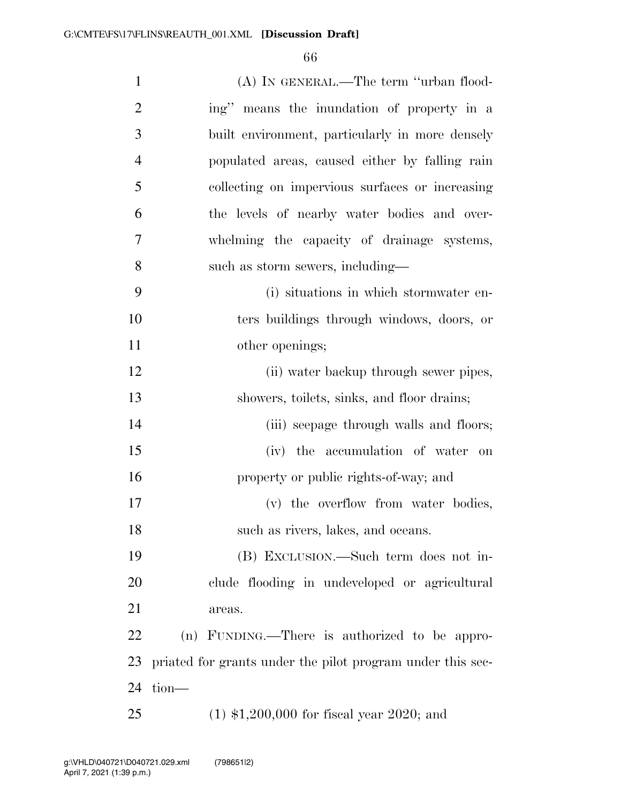| $\mathbf{1}$   | (A) IN GENERAL.—The term "urban flood-                     |
|----------------|------------------------------------------------------------|
| $\overline{2}$ | ing" means the inundation of property in a                 |
| 3              | built environment, particularly in more densely            |
| 4              | populated areas, caused either by falling rain             |
| 5              | collecting on impervious surfaces or increasing            |
| 6              | the levels of nearby water bodies and over-                |
| 7              | whelming the capacity of drainage systems,                 |
| 8              | such as storm sewers, including—                           |
| 9              | (i) situations in which stormwater en-                     |
| 10             | ters buildings through windows, doors, or                  |
| 11             | other openings;                                            |
| 12             | (ii) water backup through sewer pipes,                     |
| 13             | showers, toilets, sinks, and floor drains;                 |
| 14             | (iii) seepage through walls and floors;                    |
| 15             | (iv) the accumulation of water on                          |
| 16             | property or public rights-of-way; and                      |
| 17             | (v) the overflow from water bodies,                        |
| 18             | such as rivers, lakes, and oceans.                         |
| 19             | (B) EXCLUSION.—Such term does not in-                      |
| 20             | clude flooding in undeveloped or agricultural              |
| 21             | areas.                                                     |
| 22             | (n) FUNDING.—There is authorized to be appro-              |
| 23             | priated for grants under the pilot program under this sec- |
| 24             | tion-                                                      |
| 25             | $(1)$ \$1,200,000 for fiscal year 2020; and                |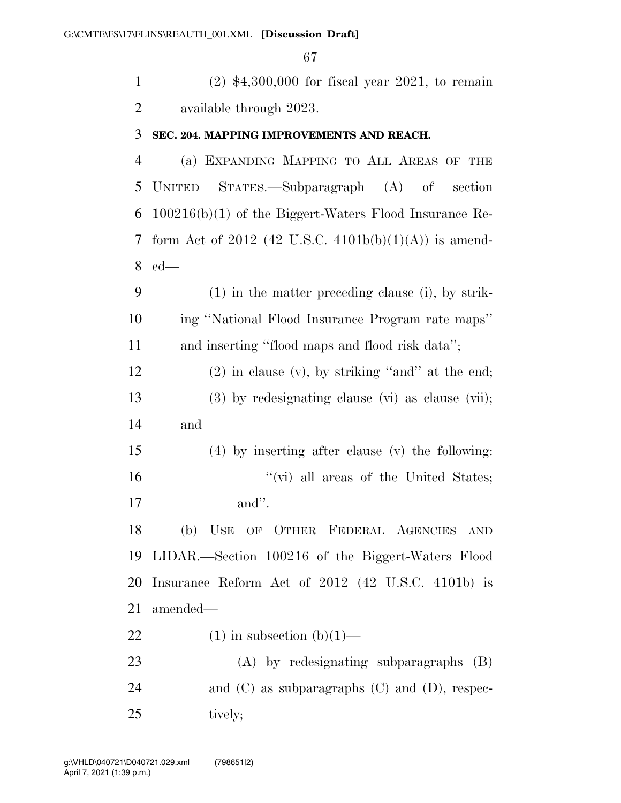(2) \$4,300,000 for fiscal year 2021, to remain available through 2023. **SEC. 204. MAPPING IMPROVEMENTS AND REACH.** 

 (a) EXPANDING MAPPING TO ALL AREAS OF THE UNITED STATES.—Subparagraph (A) of section 100216(b)(1) of the Biggert-Waters Flood Insurance Re- form Act of 2012 (42 U.S.C. 4101b(b)(1)(A)) is amend-ed—

 (1) in the matter preceding clause (i), by strik- ing ''National Flood Insurance Program rate maps'' and inserting ''flood maps and flood risk data'';

12 (2) in clause (v), by striking "and" at the end; (3) by redesignating clause (vi) as clause (vii); and

 (4) by inserting after clause (v) the following: 16  $''(\vec{v})$  all areas of the United States; and''.

 (b) USE OF OTHER FEDERAL AGENCIES AND LIDAR.—Section 100216 of the Biggert-Waters Flood Insurance Reform Act of 2012 (42 U.S.C. 4101b) is amended—

22 (1) in subsection  $(b)(1)$ —

 (A) by redesignating subparagraphs (B) 24 and (C) as subparagraphs (C) and (D), respec-25 tively;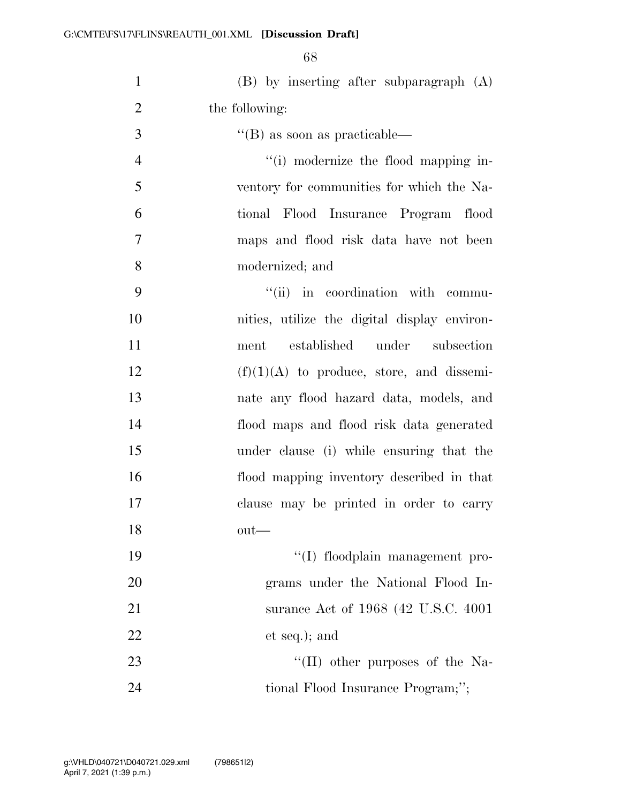| $\mathbf{1}$   | $(B)$ by inserting after subparagraph $(A)$  |
|----------------|----------------------------------------------|
| $\overline{2}$ | the following:                               |
| 3              | $\lq$ (B) as soon as practicable—            |
| $\overline{4}$ | "(i) modernize the flood mapping in-         |
| 5              | ventory for communities for which the Na-    |
| 6              | tional Flood Insurance Program flood         |
| 7              | maps and flood risk data have not been       |
| 8              | modernized; and                              |
| 9              | "(ii) in coordination with commu-            |
| 10             | nities, utilize the digital display environ- |
| 11             | under<br>established<br>subsection<br>ment   |
| 12             | $(f)(1)(A)$ to produce, store, and dissemi-  |
| 13             | nate any flood hazard data, models, and      |
| 14             | flood maps and flood risk data generated     |
| 15             | under clause (i) while ensuring that the     |
| 16             | flood mapping inventory described in that    |
| 17             | clause may be printed in order to carry      |
| 18             | $out$ —                                      |
| 19             | "(I) floodplain management pro-              |
| 20             | grams under the National Flood In-           |
| 21             | surance Act of 1968 (42 U.S.C. 4001)         |
| 22             | et seq.); and                                |
| 23             | "(II) other purposes of the Na-              |
| 24             | tional Flood Insurance Program;";            |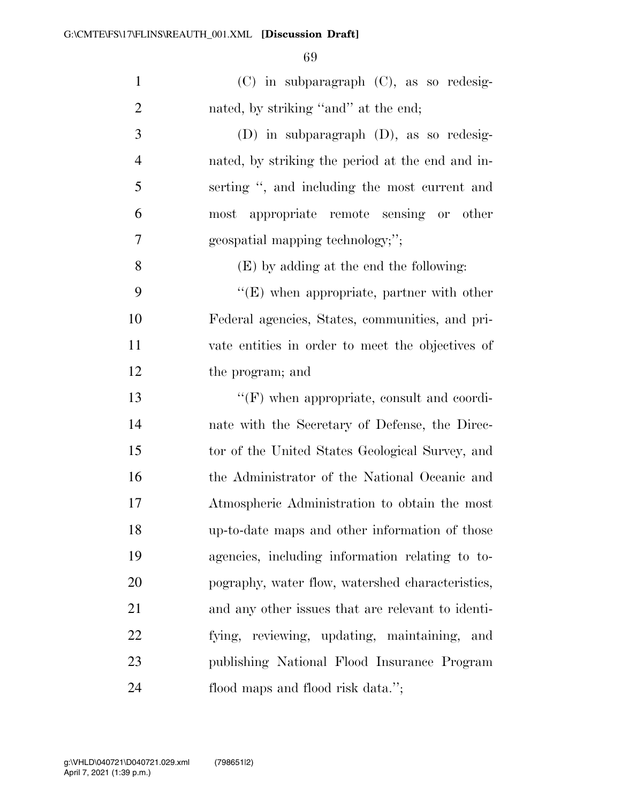| $\mathbf{1}$   | $(C)$ in subparagraph $(C)$ , as so redesig-      |
|----------------|---------------------------------------------------|
| $\overline{2}$ | nated, by striking "and" at the end;              |
| $\mathfrak{Z}$ | $(D)$ in subparagraph $(D)$ , as so redesig-      |
| $\overline{4}$ | nated, by striking the period at the end and in-  |
| 5              | serting ", and including the most current and     |
| 6              | most appropriate remote sensing or other          |
| 7              | geospatial mapping technology;";                  |
| 8              | (E) by adding at the end the following:           |
| 9              | $\lq\lq$ (E) when appropriate, partner with other |
| 10             | Federal agencies, States, communities, and pri-   |
| 11             | vate entities in order to meet the objectives of  |
| 12             | the program; and                                  |
| 13             | $\lq\lq(F)$ when appropriate, consult and coordi- |
| 14             | nate with the Secretary of Defense, the Direc-    |
| 15             | tor of the United States Geological Survey, and   |
| 16             | the Administrator of the National Oceanic and     |
| 17             | Atmospheric Administration to obtain the most     |
| 18             | up-to-date maps and other information of those    |
| 19             | agencies, including information relating to to-   |
| 20             | pography, water flow, watershed characteristics,  |
| 21             | and any other issues that are relevant to identi- |
| 22             | fying, reviewing, updating, maintaining, and      |
| 23             | publishing National Flood Insurance Program       |
| 24             | flood maps and flood risk data.";                 |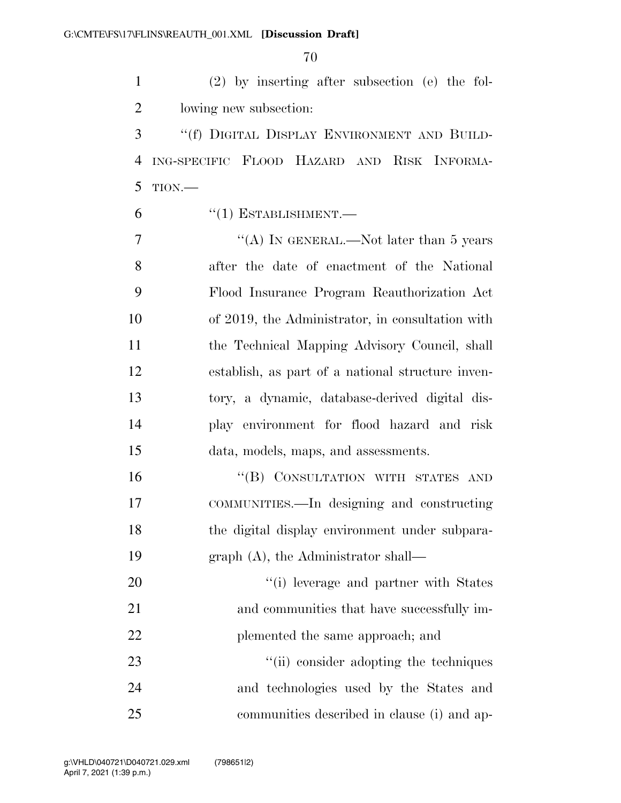(2) by inserting after subsection (e) the fol-lowing new subsection:

 ''(f) DIGITAL DISPLAY ENVIRONMENT AND BUILD- ING-SPECIFIC FLOOD HAZARD AND RISK INFORMA-TION.—

 $(1)$  ESTABLISHMENT.

7 "'(A) IN GENERAL.—Not later than 5 years after the date of enactment of the National Flood Insurance Program Reauthorization Act of 2019, the Administrator, in consultation with the Technical Mapping Advisory Council, shall establish, as part of a national structure inven- tory, a dynamic, database-derived digital dis- play environment for flood hazard and risk data, models, maps, and assessments.

16 "(B) CONSULTATION WITH STATES AND COMMUNITIES.—In designing and constructing the digital display environment under subpara-graph (A), the Administrator shall—

20  $\frac{1}{1}$  leverage and partner with States and communities that have successfully im-22 plemented the same approach; and 23 ''(ii) consider adopting the techniques

 and technologies used by the States and communities described in clause (i) and ap-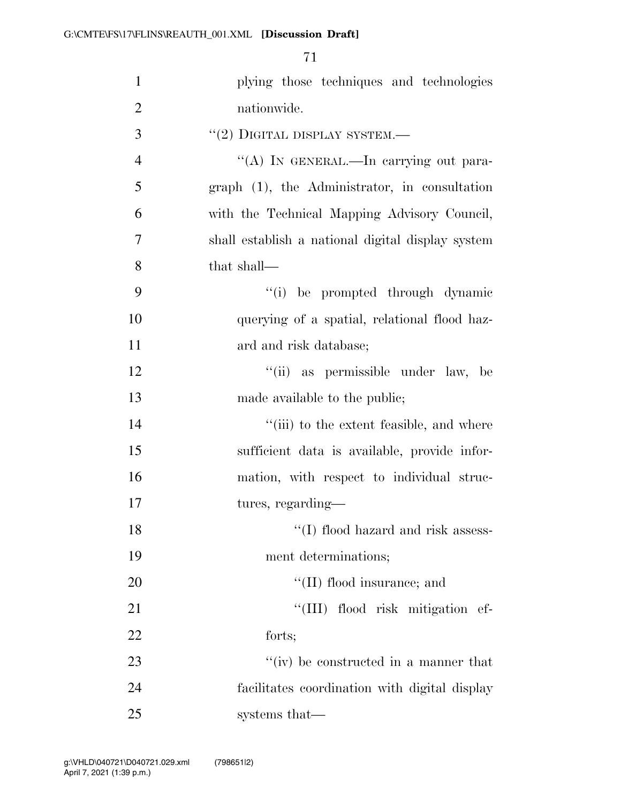| $\mathbf{1}$   | plying those techniques and technologies          |
|----------------|---------------------------------------------------|
|                |                                                   |
| $\overline{2}$ | nationwide.                                       |
| 3              | $``(2)$ DIGITAL DISPLAY SYSTEM.—                  |
| $\overline{4}$ | "(A) IN GENERAL.—In carrying out para-            |
| 5              | graph (1), the Administrator, in consultation     |
| 6              | with the Technical Mapping Advisory Council,      |
| 7              | shall establish a national digital display system |
| 8              | that shall—                                       |
| 9              | "(i) be prompted through dynamic                  |
| 10             | querying of a spatial, relational flood haz-      |
| 11             | ard and risk database;                            |
| 12             | "(ii) as permissible under law, be                |
| 13             | made available to the public;                     |
| 14             | "(iii) to the extent feasible, and where          |
| 15             | sufficient data is available, provide infor-      |
| 16             | mation, with respect to individual struc-         |
| 17             | tures, regarding—                                 |
| 18             | $\lq\lq$ (I) flood hazard and risk assess-        |
| 19             | ment determinations;                              |
| 20             | "(II) flood insurance; and                        |
| 21             | "(III) flood risk mitigation ef-                  |
| 22             | forts;                                            |
| 23             | "(iv) be constructed in a manner that             |
| 24             | facilitates coordination with digital display     |
| 25             | systems that—                                     |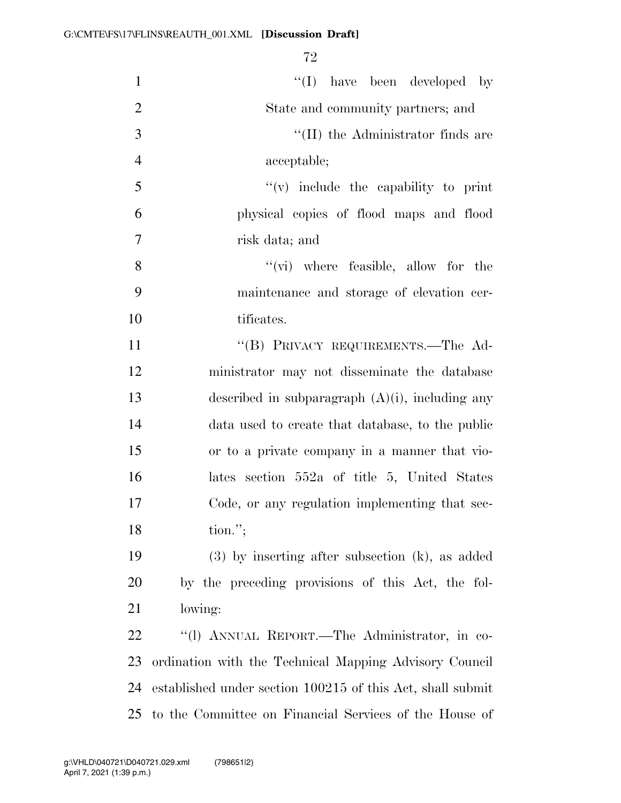| $\mathbf{1}$   | $\lq\lq$ (I) have been developed by                        |
|----------------|------------------------------------------------------------|
| $\overline{2}$ | State and community partners; and                          |
| 3              | "(II) the Administrator finds are                          |
| $\overline{4}$ | acceptable;                                                |
| 5              | $f'(v)$ include the capability to print                    |
| 6              | physical copies of flood maps and flood                    |
| $\tau$         | risk data; and                                             |
| 8              | $\lq\lq$ (vi) where feasible, allow for the                |
| 9              | maintenance and storage of elevation cer-                  |
| 10             | tificates.                                                 |
| 11             | "(B) PRIVACY REQUIREMENTS.—The Ad-                         |
| 12             | ministrator may not disseminate the database               |
| 13             | described in subparagraph $(A)(i)$ , including any         |
| 14             | data used to create that database, to the public           |
| 15             | or to a private company in a manner that vio-              |
| 16             | lates section 552a of title 5, United States               |
| 17             | Code, or any regulation implementing that sec-             |
| 18             | $\text{tion."};$                                           |
| 19             | $(3)$ by inserting after subsection $(k)$ , as added       |
| 20             | by the preceding provisions of this Act, the fol-          |
| 21             | lowing:                                                    |
| 22             | "(1) ANNUAL REPORT.—The Administrator, in co-              |
| 23             | ordination with the Technical Mapping Advisory Council     |
| 24             | established under section 100215 of this Act, shall submit |
| 25             | to the Committee on Financial Services of the House of     |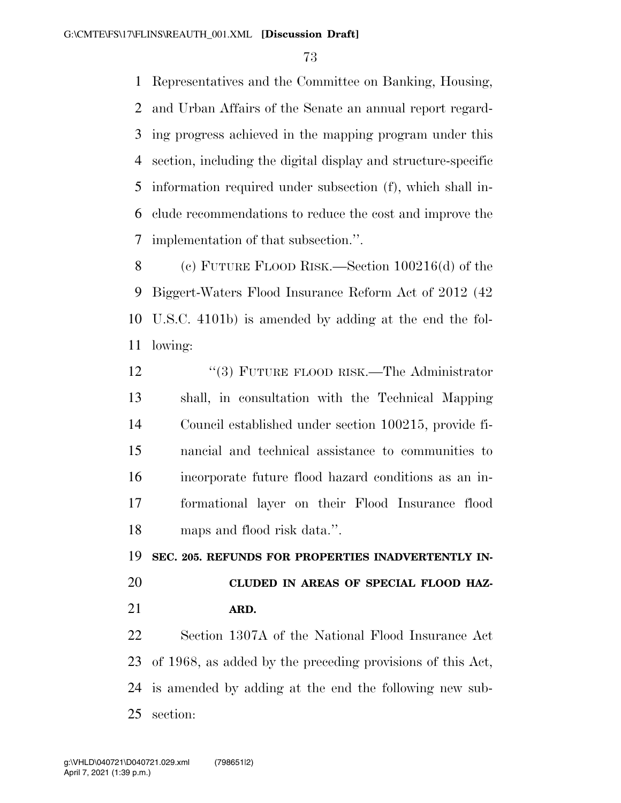Representatives and the Committee on Banking, Housing, and Urban Affairs of the Senate an annual report regard- ing progress achieved in the mapping program under this section, including the digital display and structure-specific information required under subsection (f), which shall in- clude recommendations to reduce the cost and improve the implementation of that subsection.''.

 (c) FUTURE FLOOD RISK.—Section 100216(d) of the Biggert-Waters Flood Insurance Reform Act of 2012 (42 U.S.C. 4101b) is amended by adding at the end the fol-lowing:

12 "(3) FUTURE FLOOD RISK.—The Administrator shall, in consultation with the Technical Mapping Council established under section 100215, provide fi- nancial and technical assistance to communities to incorporate future flood hazard conditions as an in- formational layer on their Flood Insurance flood maps and flood risk data.''.

**SEC. 205. REFUNDS FOR PROPERTIES INADVERTENTLY IN-**

# **CLUDED IN AREAS OF SPECIAL FLOOD HAZ-ARD.**

 Section 1307A of the National Flood Insurance Act of 1968, as added by the preceding provisions of this Act, is amended by adding at the end the following new sub-section: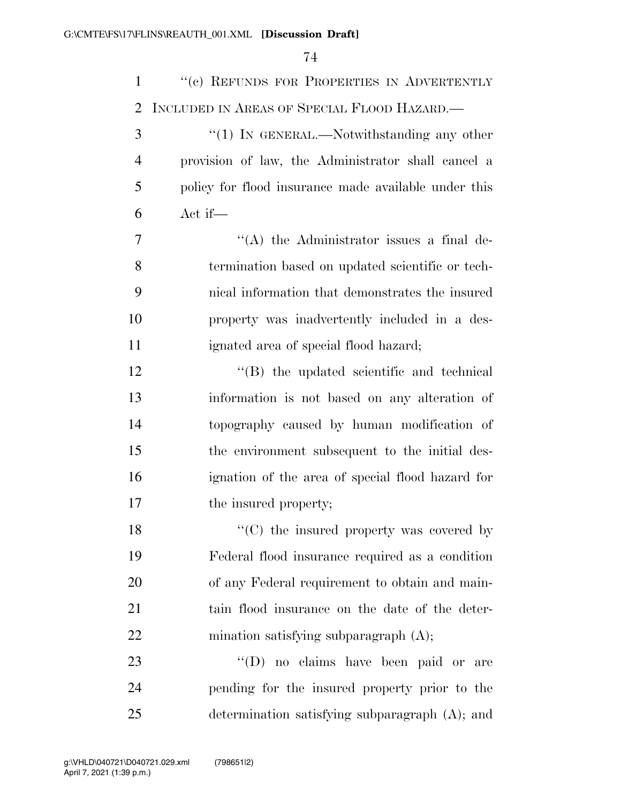| $\mathbf{1}$   | "(c) REFUNDS FOR PROPERTIES IN ADVERTENTLY           |
|----------------|------------------------------------------------------|
| $\overline{2}$ | INCLUDED IN AREAS OF SPECIAL FLOOD HAZARD.           |
| 3              | " $(1)$ In GENERAL.—Notwithstanding any other        |
| $\overline{4}$ | provision of law, the Administrator shall cancel a   |
| 5              | policy for flood insurance made available under this |
| 6              | Act if—                                              |
| 7              | "(A) the Administrator issues a final de-            |
| 8              | termination based on updated scientific or tech-     |
| 9              | nical information that demonstrates the insured      |
| 10             | property was inadvertently included in a des-        |
| 11             | ignated area of special flood hazard;                |
| 12             | "(B) the updated scientific and technical            |
| 13             | information is not based on any alteration of        |
| 14             | topography caused by human modification of           |
| 15             | the environment subsequent to the initial des-       |
| 16             | ignation of the area of special flood hazard for     |
| 17             | the insured property;                                |
| 18             | $\lq\lq$ (C) the insured property was covered by     |
| 19             | Federal flood insurance required as a condition      |
| 20             | of any Federal requirement to obtain and main-       |
| 21             | tain flood insurance on the date of the deter-       |
| 22             | mination satisfying subparagraph $(A)$ ;             |
| 23             | "(D) no claims have been paid or are                 |
| 24             | pending for the insured property prior to the        |
| 25             | determination satisfying subparagraph $(A)$ ; and    |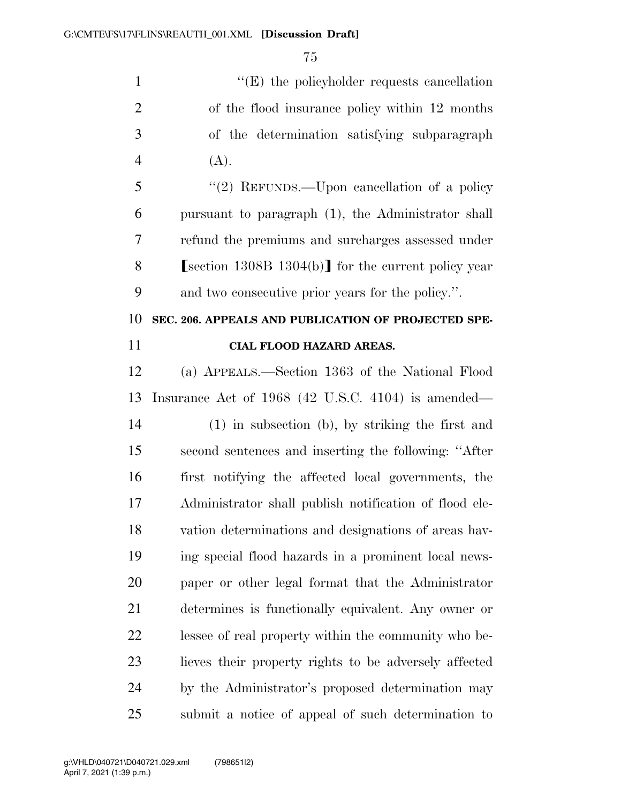$''(E)$  the policyholder requests cancellation of the flood insurance policy within 12 months of the determination satisfying subparagraph 4  $(A)$ .

 ''(2) REFUNDS.—Upon cancellation of a policy pursuant to paragraph (1), the Administrator shall refund the premiums and surcharges assessed under 8 Section 1308B 1304(b) for the current policy year and two consecutive prior years for the policy.''.

### **SEC. 206. APPEALS AND PUBLICATION OF PROJECTED SPE-CIAL FLOOD HAZARD AREAS.**

 (a) APPEALS.—Section 1363 of the National Flood Insurance Act of 1968 (42 U.S.C. 4104) is amended— (1) in subsection (b), by striking the first and second sentences and inserting the following: ''After first notifying the affected local governments, the Administrator shall publish notification of flood ele- vation determinations and designations of areas hav- ing special flood hazards in a prominent local news- paper or other legal format that the Administrator determines is functionally equivalent. Any owner or lessee of real property within the community who be- lieves their property rights to be adversely affected by the Administrator's proposed determination may submit a notice of appeal of such determination to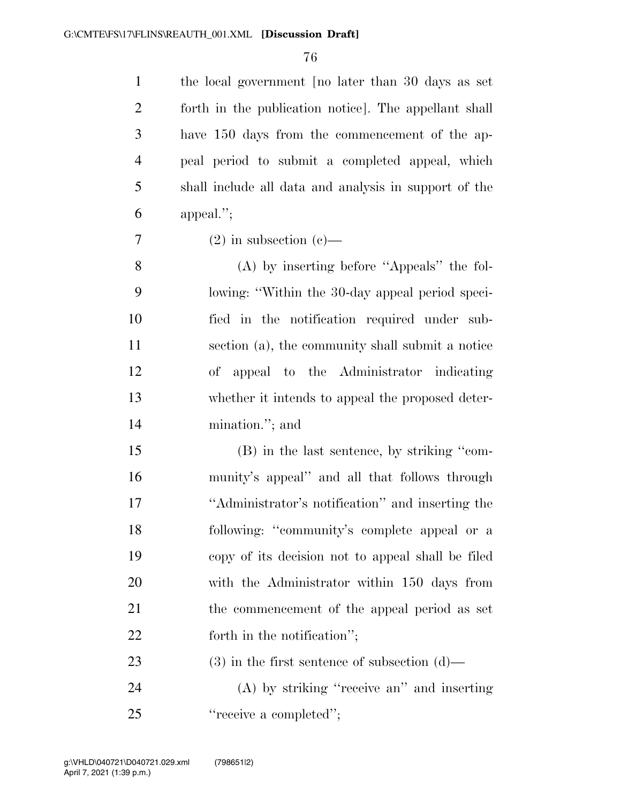the local government [no later than 30 days as set forth in the publication notice]. The appellant shall have 150 days from the commencement of the ap- peal period to submit a completed appeal, which shall include all data and analysis in support of the appeal.'';

 $7 \t(2)$  in subsection (c)—

 (A) by inserting before ''Appeals'' the fol- lowing: ''Within the 30-day appeal period speci- fied in the notification required under sub- section (a), the community shall submit a notice of appeal to the Administrator indicating whether it intends to appeal the proposed deter-mination.''; and

 (B) in the last sentence, by striking ''com- munity's appeal'' and all that follows through ''Administrator's notification'' and inserting the following: ''community's complete appeal or a copy of its decision not to appeal shall be filed with the Administrator within 150 days from the commencement of the appeal period as set 22 forth in the notification'';

23 (3) in the first sentence of subsection (d)—

 (A) by striking ''receive an'' and inserting 25 "receive a completed":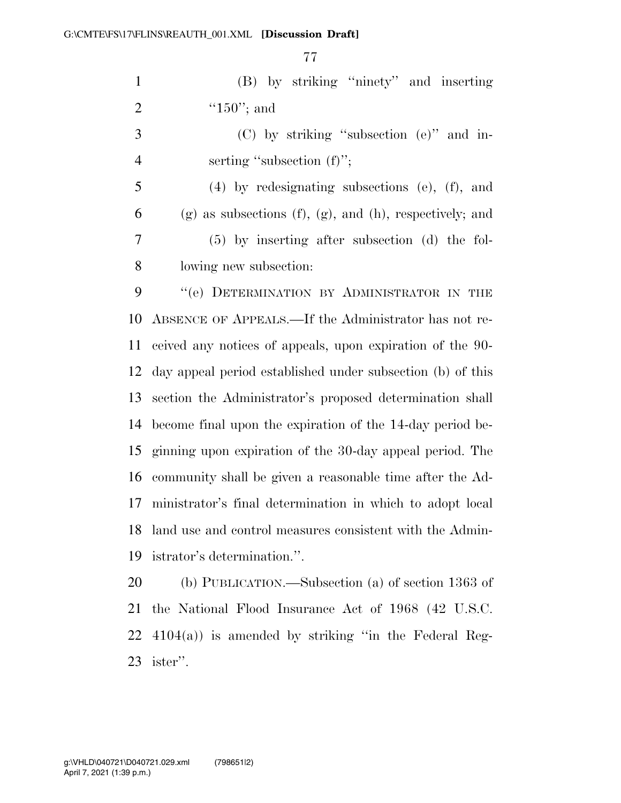(B) by striking ''ninety'' and inserting 2  $"150"$ ; and

 (C) by striking ''subsection (e)'' and in-4 serting "subsection (f)";

 (4) by redesignating subsections (e), (f), and 6 (g) as subsections (f), (g), and (h), respectively; and (5) by inserting after subsection (d) the fol-lowing new subsection:

9 "(e) DETERMINATION BY ADMINISTRATOR IN THE ABSENCE OF APPEALS.—If the Administrator has not re- ceived any notices of appeals, upon expiration of the 90- day appeal period established under subsection (b) of this section the Administrator's proposed determination shall become final upon the expiration of the 14-day period be- ginning upon expiration of the 30-day appeal period. The community shall be given a reasonable time after the Ad- ministrator's final determination in which to adopt local land use and control measures consistent with the Admin-istrator's determination.''.

 (b) PUBLICATION.—Subsection (a) of section 1363 of the National Flood Insurance Act of 1968 (42 U.S.C.  $4104(a)$  is amended by striking "in the Federal Reg-ister''.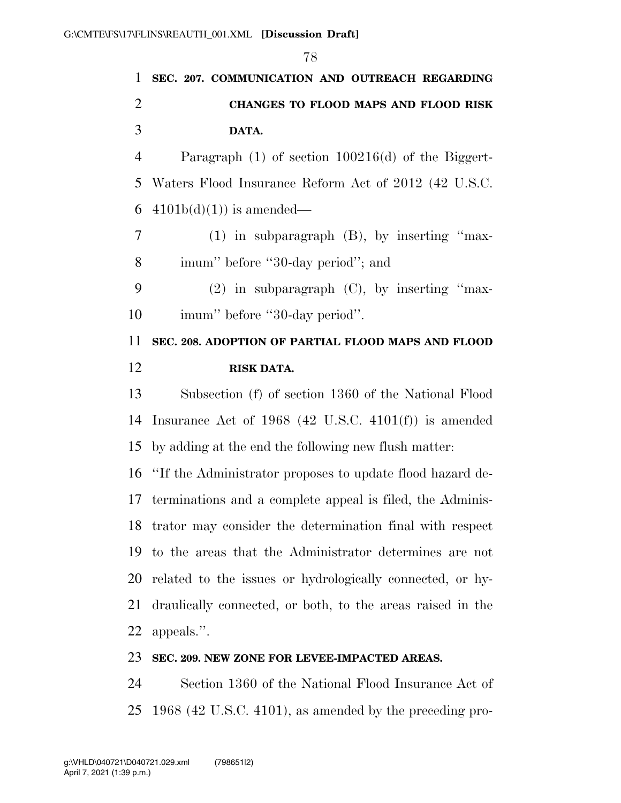**SEC. 207. COMMUNICATION AND OUTREACH REGARDING CHANGES TO FLOOD MAPS AND FLOOD RISK DATA.**  Paragraph (1) of section 100216(d) of the Biggert- Waters Flood Insurance Reform Act of 2012 (42 U.S.C. 6 4101b(d)(1)) is amended— (1) in subparagraph (B), by inserting ''max- imum'' before ''30-day period''; and (2) in subparagraph (C), by inserting ''max-10 imum'' before "30-day period". **SEC. 208. ADOPTION OF PARTIAL FLOOD MAPS AND FLOOD RISK DATA.**  Subsection (f) of section 1360 of the National Flood Insurance Act of 1968 (42 U.S.C. 4101(f)) is amended by adding at the end the following new flush matter: ''If the Administrator proposes to update flood hazard de- terminations and a complete appeal is filed, the Adminis- trator may consider the determination final with respect to the areas that the Administrator determines are not related to the issues or hydrologically connected, or hy- draulically connected, or both, to the areas raised in the appeals.''.

#### **SEC. 209. NEW ZONE FOR LEVEE-IMPACTED AREAS.**

 Section 1360 of the National Flood Insurance Act of 1968 (42 U.S.C. 4101), as amended by the preceding pro-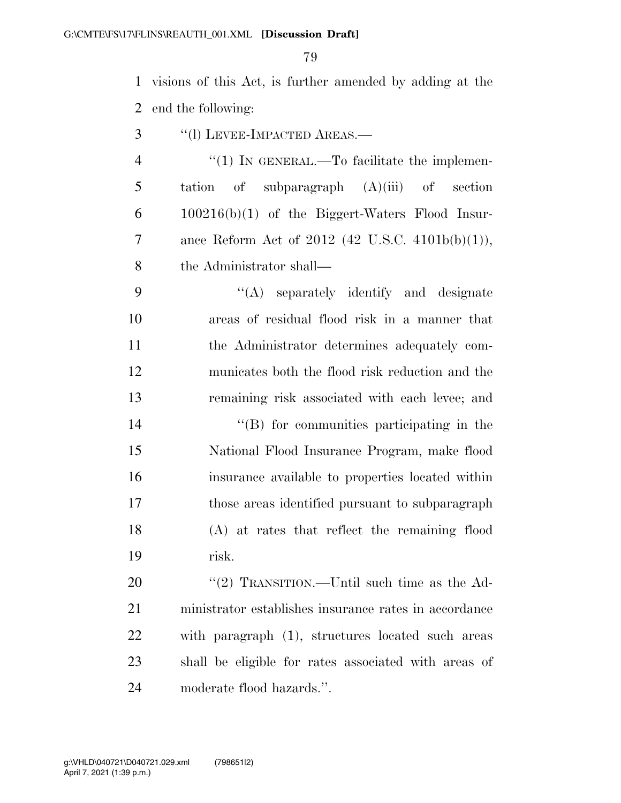visions of this Act, is further amended by adding at the end the following:

- ''(l) LEVEE-IMPACTED AREAS.—
- 4 "(1) IN GENERAL.—To facilitate the implemen- tation of subparagraph (A)(iii) of section  $6 \qquad 100216(b)(1)$  of the Biggert-Waters Flood Insur- ance Reform Act of 2012 (42 U.S.C. 4101b(b)(1)), the Administrator shall—

 ''(A) separately identify and designate areas of residual flood risk in a manner that the Administrator determines adequately com- municates both the flood risk reduction and the remaining risk associated with each levee; and

 ''(B) for communities participating in the National Flood Insurance Program, make flood insurance available to properties located within those areas identified pursuant to subparagraph (A) at rates that reflect the remaining flood risk.

20 "'(2) TRANSITION.—Until such time as the Ad- ministrator establishes insurance rates in accordance with paragraph (1), structures located such areas shall be eligible for rates associated with areas of moderate flood hazards.''.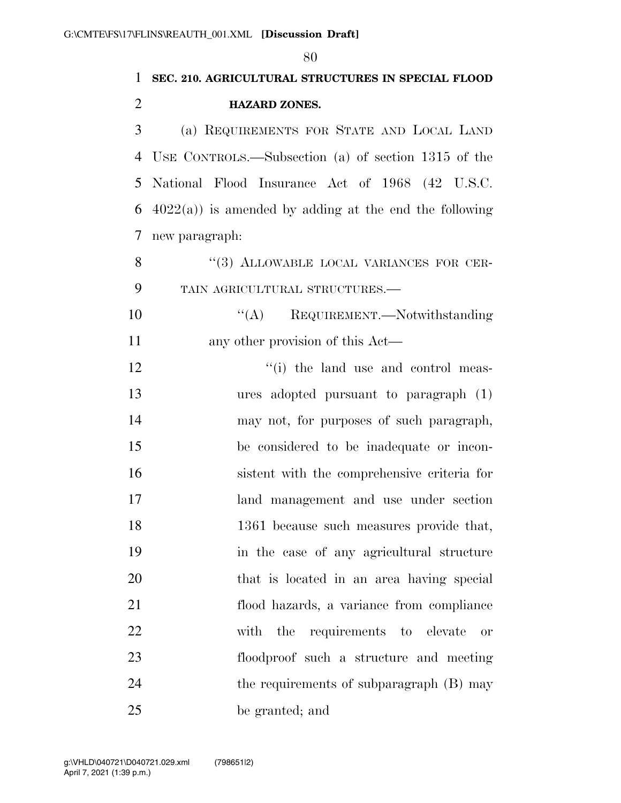|                | 80                                                        |
|----------------|-----------------------------------------------------------|
| 1              | SEC. 210. AGRICULTURAL STRUCTURES IN SPECIAL FLOOD        |
| $\overline{2}$ | <b>HAZARD ZONES.</b>                                      |
| 3              | (a) REQUIREMENTS FOR STATE AND LOCAL LAND                 |
| $\overline{4}$ | USE CONTROLS.—Subsection (a) of section $1315$ of the     |
| 5              | National Flood Insurance Act of 1968 (42 U.S.C.           |
| 6              | $4022(a)$ ) is amended by adding at the end the following |
| $\overline{7}$ | new paragraph:                                            |
| 8              | "(3) ALLOWABLE LOCAL VARIANCES FOR CER-                   |
| 9              | TAIN AGRICULTURAL STRUCTURES.-                            |
| 10             | $\lq\lq$ REQUIREMENT.—Notwithstanding                     |
| 11             | any other provision of this Act—                          |
| 12             | "(i) the land use and control meas-                       |
| 13             | ures adopted pursuant to paragraph $(1)$                  |
| 14             | may not, for purposes of such paragraph,                  |
| 15             | be considered to be inadequate or incon-                  |
| 16             | sistent with the comprehensive criteria for               |
| 17             | land management and use under section                     |
| 18             | 1361 because such measures provide that,                  |
| 19             | in the case of any agricultural structure                 |
| 20             | that is located in an area having special                 |
| 21             | flood hazards, a variance from compliance                 |
| 22             | with the requirements to elevate<br><b>or</b>             |
| 23             | floodproof such a structure and meeting                   |
| 24             | the requirements of subparagraph (B) may                  |
| 25             | be granted; and                                           |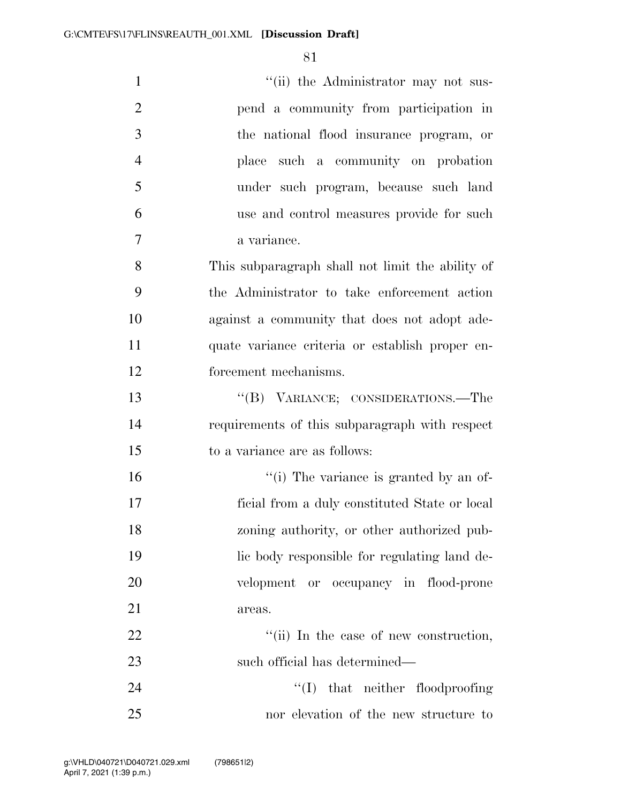| $\mathbf{1}$   | "(ii) the Administrator may not sus-             |
|----------------|--------------------------------------------------|
| $\overline{2}$ | pend a community from participation in           |
| 3              | the national flood insurance program, or         |
| $\overline{4}$ | place such a community on probation              |
| 5              | under such program, because such land            |
| 6              | use and control measures provide for such        |
| 7              | a variance.                                      |
| 8              | This subparagraph shall not limit the ability of |
| 9              | the Administrator to take enforcement action     |
| 10             | against a community that does not adopt ade-     |
| 11             | quate variance criteria or establish proper en-  |
| 12             | forcement mechanisms.                            |
| 13             | "(B) VARIANCE; CONSIDERATIONS.—The               |
| 14             | requirements of this subparagraph with respect   |
| 15             | to a variance are as follows:                    |
| 16             | "(i) The variance is granted by an of-           |
| 17             | ficial from a duly constituted State or local    |
| 18             | zoning authority, or other authorized pub-       |
| 19             | lic body responsible for regulating land de-     |
| 20             | velopment or occupancy in flood-prone            |
| 21             | areas.                                           |
| 22             | "(ii) In the case of new construction,           |
| 23             | such official has determined—                    |
| 24             | $\lq\lq$ that neither floodproofing              |
|                |                                                  |

nor elevation of the new structure to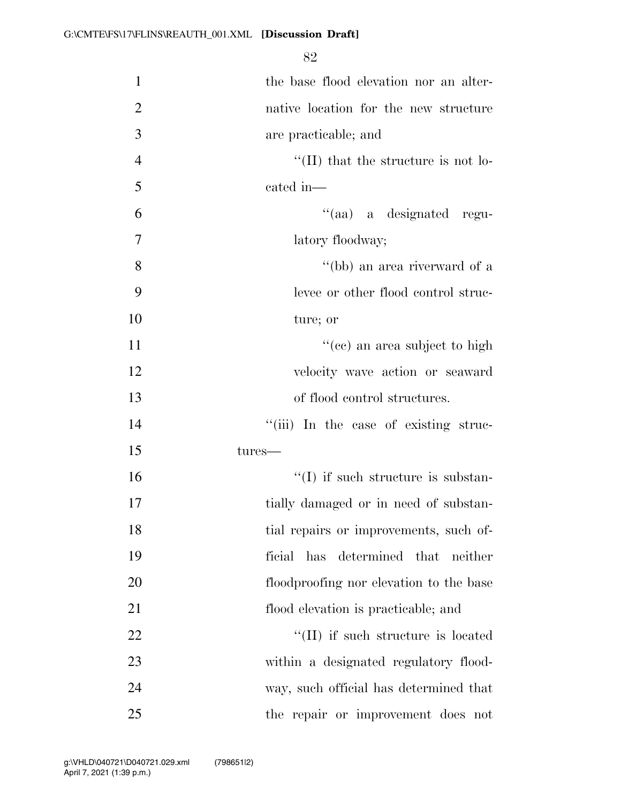| $\mathbf{1}$   | the base flood elevation nor an alter-     |
|----------------|--------------------------------------------|
| $\overline{2}$ | native location for the new structure      |
| 3              | are practicable; and                       |
| $\overline{4}$ | $\lq$ (II) that the structure is not lo-   |
| 5              | cated in-                                  |
| 6              | "(aa) a designated regu-                   |
| 7              | latory floodway;                           |
| 8              | "(bb) an area riverward of a               |
| 9              | levee or other flood control struc-        |
| 10             | ture; or                                   |
| 11             | "(ce) an area subject to high              |
| 12             | velocity wave action or seaward            |
| 13             | of flood control structures.               |
| 14             | "(iii) In the case of existing struc-      |
| 15             | tures—                                     |
| 16             | $\lq\lq$ if such structure is substan-     |
| 17             | tially damaged or in need of substan-      |
| 18             | tial repairs or improvements, such of-     |
| 19             | ficial has determined that neither         |
| 20             | floodproofing nor elevation to the base    |
| 21             | flood elevation is practicable; and        |
| 22             | $\lq\lq$ (II) if such structure is located |
| 23             | within a designated regulatory flood-      |
| 24             | way, such official has determined that     |
| 25             | the repair or improvement does not         |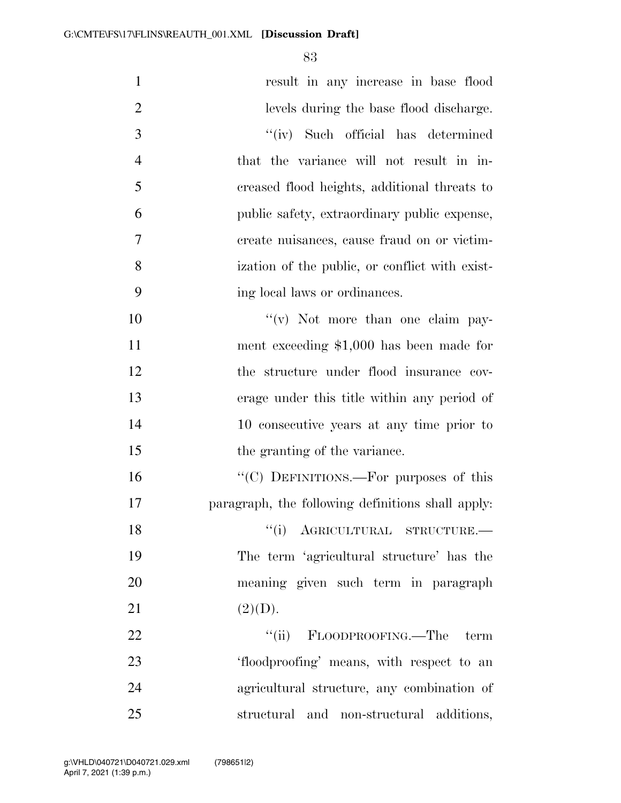| $\mathbf{1}$   | result in any increase in base flood              |
|----------------|---------------------------------------------------|
| $\overline{2}$ | levels during the base flood discharge.           |
| 3              | "(iv) Such official has determined                |
| $\overline{4}$ | that the variance will not result in in-          |
| 5              | creased flood heights, additional threats to      |
| 6              | public safety, extraordinary public expense,      |
| 7              | create nuisances, cause fraud on or victim-       |
| 8              | ization of the public, or conflict with exist-    |
| 9              | ing local laws or ordinances.                     |
| 10             | $f'(v)$ Not more than one claim pay-              |
| 11             | ment exceeding $$1,000$ has been made for         |
| 12             | the structure under flood insurance cov-          |
| 13             | erage under this title within any period of       |
| 14             | 10 consecutive years at any time prior to         |
| 15             | the granting of the variance.                     |
| 16             | "(C) DEFINITIONS.—For purposes of this            |
| 17             | paragraph, the following definitions shall apply: |
| 18             | "(i) AGRICULTURAL STRUCTURE.-                     |
| 19             | The term 'agricultural structure' has the         |
| 20             | meaning given such term in paragraph              |
| 21             | (2)(D).                                           |
| 22             | "(ii) FLOODPROOFING.—The<br>term                  |
| 23             | 'floodproofing' means, with respect to an         |
| 24             | agricultural structure, any combination of        |
| 25             | structural and non-structural additions,          |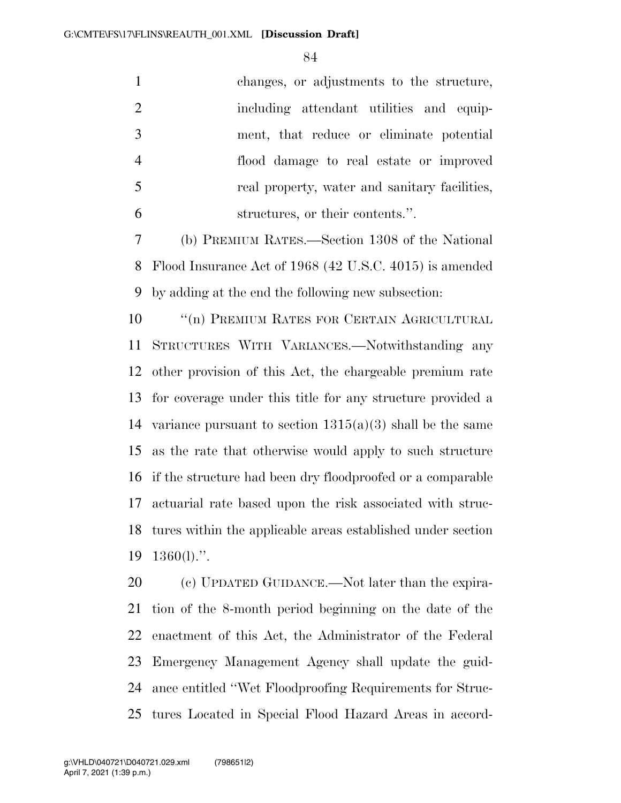| changes, or adjustments to the structure,                   |
|-------------------------------------------------------------|
| including attendant utilities and equip-                    |
| ment, that reduce or eliminate potential                    |
| flood damage to real estate or improved                     |
| real property, water and sanitary facilities,               |
| structures, or their contents.".                            |
| (b) PREMIUM RATES.—Section 1308 of the National             |
| Flood Insurance Act of 1968 (42 U.S.C. 4015) is amended     |
| by adding at the end the following new subsection:          |
| $\lq\lq(n)$ PREMIUM RATES FOR CERTAIN AGRICULTURAL          |
| STRUCTURES WITH VARIANCES.—Notwithstanding any              |
| other provision of this Act, the chargeable premium rate    |
| for coverage under this title for any structure provided a  |
| variance pursuant to section $1315(a)(3)$ shall be the same |
| as the rate that otherwise would apply to such structure    |
| if the structure had been dry floodproofed or a comparable  |
| actuarial rate based upon the risk associated with struc-   |
| tures within the applicable areas established under section |
| $1360(l)$ .".                                               |
|                                                             |

20 (c) UPDATED GUIDANCE.—Not later than the expira- tion of the 8-month period beginning on the date of the enactment of this Act, the Administrator of the Federal Emergency Management Agency shall update the guid- ance entitled ''Wet Floodproofing Requirements for Struc-tures Located in Special Flood Hazard Areas in accord-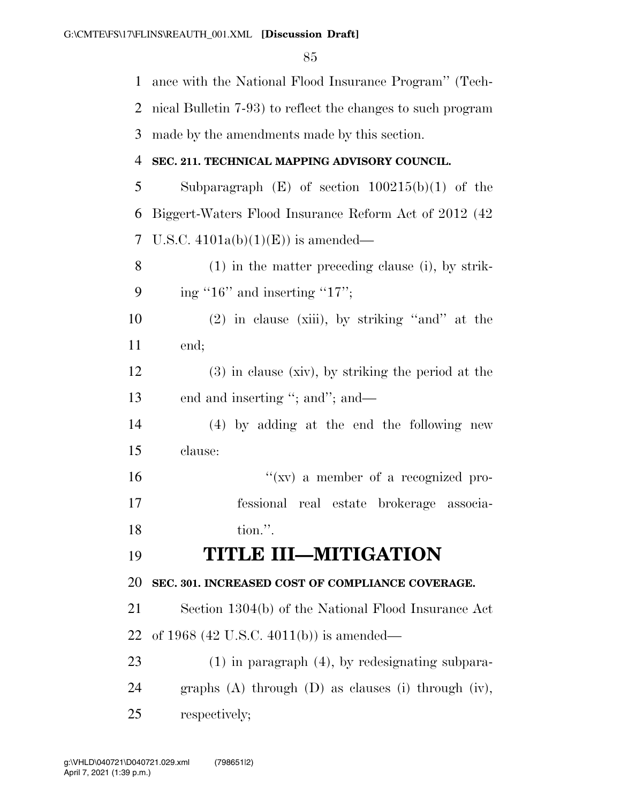| 1  | ance with the National Flood Insurance Program" (Tech-       |
|----|--------------------------------------------------------------|
| 2  | nical Bulletin 7-93) to reflect the changes to such program  |
| 3  | made by the amendments made by this section.                 |
| 4  | SEC. 211. TECHNICAL MAPPING ADVISORY COUNCIL.                |
| 5  | Subparagraph $(E)$ of section $100215(b)(1)$ of the          |
| 6  | Biggert-Waters Flood Insurance Reform Act of 2012 (42)       |
| 7  | U.S.C. $4101a(b)(1)(E)$ is amended—                          |
| 8  | $(1)$ in the matter preceding clause (i), by strik-          |
| 9  | ing " $16$ " and inserting " $17$ ";                         |
| 10 | $(2)$ in clause (xiii), by striking "and" at the             |
| 11 | end;                                                         |
| 12 | $(3)$ in clause (xiv), by striking the period at the         |
| 13 | end and inserting "; and"; and—                              |
| 14 | (4) by adding at the end the following new                   |
| 15 | clause:                                                      |
| 16 | " $(xv)$ a member of a recognized pro-                       |
| 17 | fessional real estate brokerage associa-                     |
| 18 | tion.".                                                      |
| 19 | <b>TITLE III-MITIGATION</b>                                  |
| 20 | SEC. 301. INCREASED COST OF COMPLIANCE COVERAGE.             |
| 21 | Section 1304(b) of the National Flood Insurance Act          |
| 22 | of 1968 (42 U.S.C. 4011(b)) is amended—                      |
| 23 | $(1)$ in paragraph $(4)$ , by redesignating subpara-         |
| 24 | graphs $(A)$ through $(D)$ as clauses $(i)$ through $(iv)$ , |
| 25 | respectively;                                                |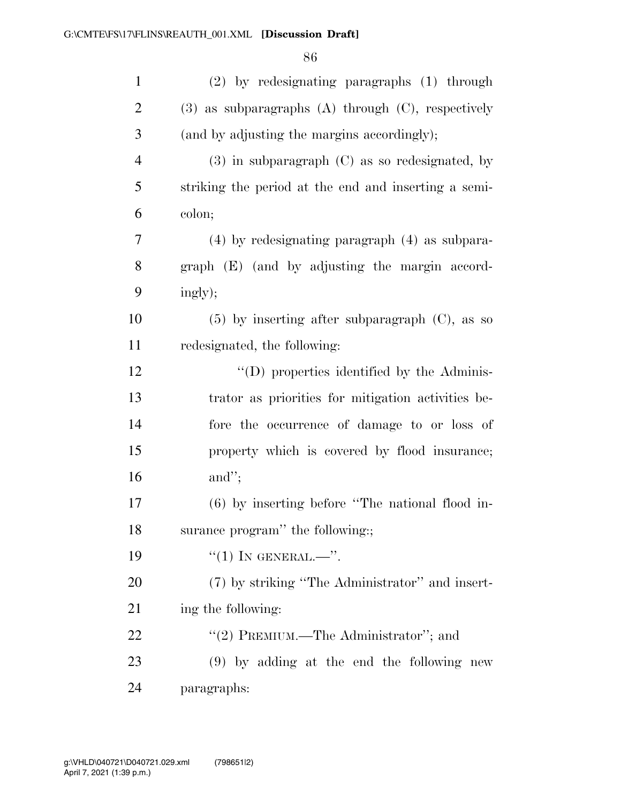| $\mathbf{1}$   | $(2)$ by redesignating paragraphs $(1)$ through           |
|----------------|-----------------------------------------------------------|
| $\overline{2}$ | $(3)$ as subparagraphs $(A)$ through $(C)$ , respectively |
| 3              | (and by adjusting the margins accordingly);               |
| $\overline{4}$ | $(3)$ in subparagraph $(C)$ as so redesignated, by        |
| 5              | striking the period at the end and inserting a semi-      |
| 6              | colon;                                                    |
| 7              | $(4)$ by redesignating paragraph $(4)$ as subpara-        |
| 8              | graph (E) (and by adjusting the margin accord-            |
| 9              | ingly);                                                   |
| 10             | $(5)$ by inserting after subparagraph $(C)$ , as so       |
| 11             | redesignated, the following:                              |
| 12             | $\lq\lq$ (D) properties identified by the Adminis-        |
| 13             | trator as priorities for mitigation activities be-        |
| 14             | fore the occurrence of damage to or loss of               |
| 15             | property which is covered by flood insurance;             |
| 16             | and";                                                     |
| 17             | (6) by inserting before "The national flood in-           |
| 18             | surance program" the following:                           |
| 19             | $``(1)$ IN GENERAL.—".                                    |
| 20             | (7) by striking "The Administrator" and insert-           |
| 21             | ing the following:                                        |
| 22             | "(2) PREMIUM.—The Administrator"; and                     |
| 23             | $(9)$ by adding at the end the following new              |
| 24             | paragraphs:                                               |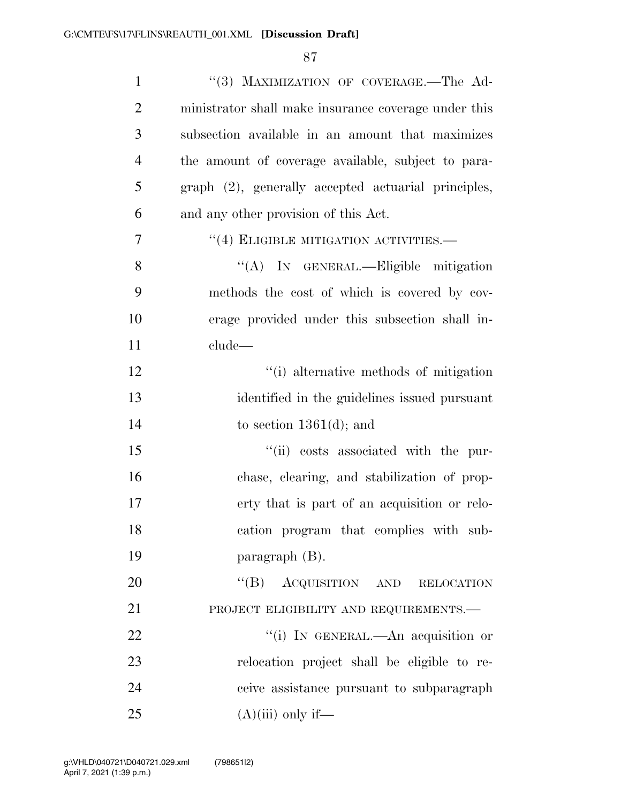| $\mathbf{1}$   | "(3) MAXIMIZATION OF COVERAGE.-The Ad-                |
|----------------|-------------------------------------------------------|
| $\mathbf{2}$   | ministrator shall make insurance coverage under this  |
| 3              | subsection available in an amount that maximizes      |
| $\overline{4}$ | the amount of coverage available, subject to para-    |
| 5              | graph (2), generally accepted actuarial principles,   |
| 6              | and any other provision of this Act.                  |
| 7              | $\cdot\cdot\cdot(4)$ ELIGIBLE MITIGATION ACTIVITIES.— |
| 8              | "(A) IN GENERAL.—Eligible mitigation                  |
| 9              | methods the cost of which is covered by cov-          |
| 10             | erage provided under this subsection shall in-        |
| 11             | clude-                                                |
| 12             | "(i) alternative methods of mitigation                |
| 13             | identified in the guidelines issued pursuant          |
| 14             | to section $1361(d)$ ; and                            |
| 15             | "(ii) costs associated with the pur-                  |
| 16             | chase, clearing, and stabilization of prop-           |
| 17             | erty that is part of an acquisition or relo-          |
| 18             | cation program that complies with sub-                |
| 19             | paragraph $(B)$ .                                     |
| 20             | $\lq\lq (B)$<br>ACQUISITION AND RELOCATION            |
| 21             | PROJECT ELIGIBILITY AND REQUIREMENTS.-                |
| 22             | "(i) IN GENERAL.—An acquisition or                    |
| 23             | relocation project shall be eligible to re-           |
| 24             | ceive assistance pursuant to subparagraph             |
| 25             | $(A)(iii)$ only if—                                   |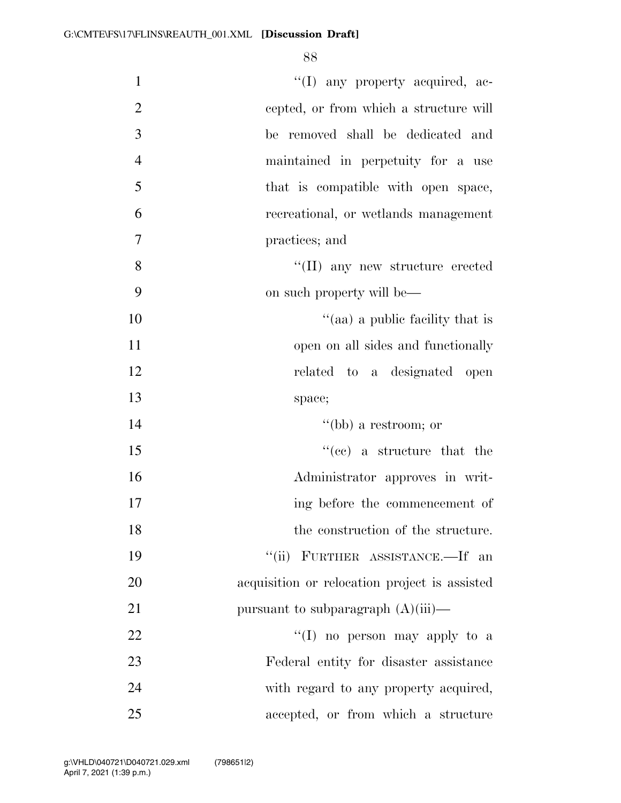| $\mathbf{1}$   | $\lq\lq$ (I) any property acquired, ac-       |
|----------------|-----------------------------------------------|
| $\overline{2}$ | cepted, or from which a structure will        |
| 3              | be removed shall be dedicated and             |
| $\overline{4}$ | maintained in perpetuity for a use            |
| 5              | that is compatible with open space,           |
| 6              | recreational, or wetlands management          |
| 7              | practices; and                                |
| 8              | $\lq\lq$ (II) any new structure erected       |
| 9              | on such property will be—                     |
| 10             | "(aa) a public facility that is               |
| 11             | open on all sides and functionally            |
| 12             | related to a designated open                  |
| 13             | space;                                        |
| 14             | $``(bb)$ a restroom; or                       |
| 15             | $f''(ce)$ a structure that the                |
| 16             | Administrator approves in writ-               |
| 17             | ing before the commencement of                |
| 18             | the construction of the structure.            |
| 19             | "(ii) FURTHER ASSISTANCE.—If an               |
| 20             | acquisition or relocation project is assisted |
| 21             | pursuant to subparagraph $(A)(iii)$ —         |
| 22             | "(I) no person may apply to a                 |
| 23             | Federal entity for disaster assistance        |
| 24             | with regard to any property acquired,         |
| $25\,$         | accepted, or from which a structure           |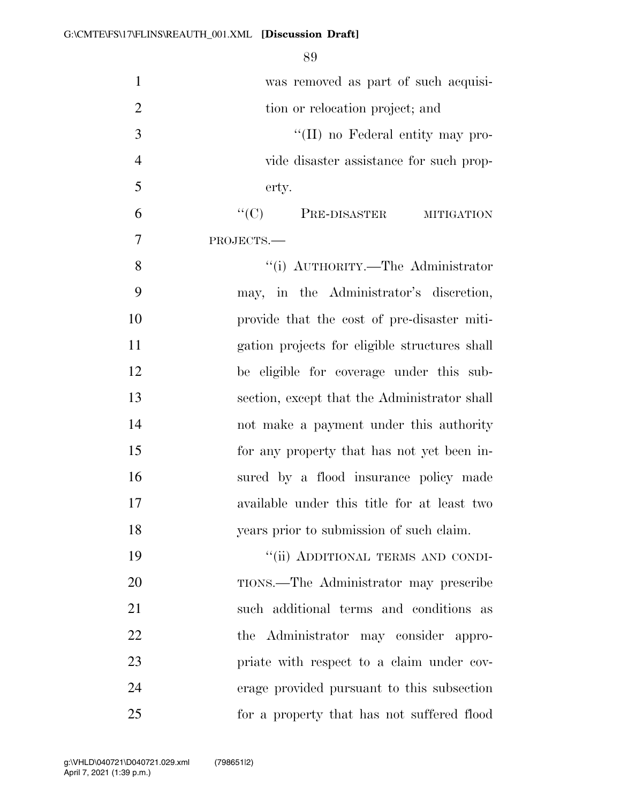| $\mathbf{1}$   | was removed as part of such acquisi-          |
|----------------|-----------------------------------------------|
| $\overline{2}$ | tion or relocation project; and               |
| 3              | "(II) no Federal entity may pro-              |
| $\overline{4}$ | vide disaster assistance for such prop-       |
| 5              | erty.                                         |
| 6              | $``(C)$ PRE-DISASTER<br><b>MITIGATION</b>     |
| 7              | PROJECTS.-                                    |
| 8              | "(i) AUTHORITY.—The Administrator             |
| 9              | may, in the Administrator's discretion,       |
| 10             | provide that the cost of pre-disaster miti-   |
| 11             | gation projects for eligible structures shall |
| 12             | be eligible for coverage under this sub-      |
| 13             | section, except that the Administrator shall  |
| 14             | not make a payment under this authority       |
| 15             | for any property that has not yet been in-    |
| 16             | sured by a flood insurance policy made        |
| 17             | available under this title for at least two   |
| 18             | years prior to submission of such claim.      |
| 19             | "(ii) ADDITIONAL TERMS AND CONDI-             |
| 20             | TIONS.—The Administrator may prescribe        |
| 21             | such additional terms and conditions as       |
| 22             | the Administrator may consider appro-         |
| 23             | priate with respect to a claim under cov-     |
| 24             | erage provided pursuant to this subsection    |
| 25             | for a property that has not suffered flood    |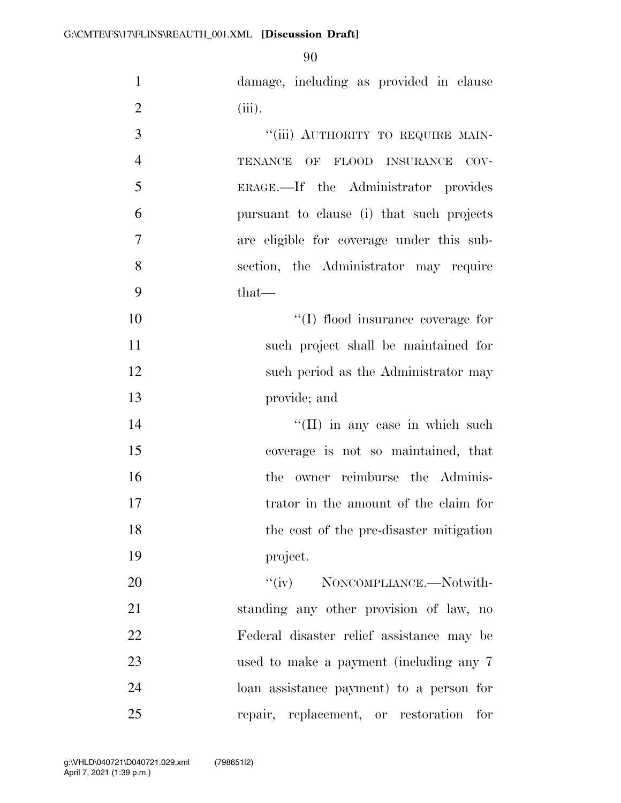damage, including as provided in clause (iii).

| 3              | "(iii) AUTHORITY TO REQUIRE MAIN-          |
|----------------|--------------------------------------------|
| $\overline{4}$ | TENANCE OF FLOOD INSURANCE<br>COV-         |
| 5              | ERAGE.—If the Administrator provides       |
| 6              | pursuant to clause (i) that such projects  |
| $\overline{7}$ | are eligible for coverage under this sub-  |
| 8              | section, the Administrator may require     |
| 9              | $that-$                                    |
| 10             | "(I) flood insurance coverage for          |
| 11             | such project shall be maintained for       |
| 12             | such period as the Administrator may       |
| 13             | provide; and                               |
| 14             | $\lq\lq$ (II) in any case in which such    |
| 15             | coverage is not so maintained, that        |
| 16             | owner reimburse the Adminis-<br>the        |
| 17             | trator in the amount of the claim for      |
| 18             | the cost of the pre-disaster mitigation    |
| 19             | project.                                   |
| 20             | "(iv) NONCOMPLIANCE.—Notwith-              |
| 21             | standing any other provision of law, no    |
| 22             | Federal disaster relief assistance may be  |
| 23             | used to make a payment (including any 7    |
| 24             | loan assistance payment) to a person for   |
| 25             | repair, replacement, or restoration<br>for |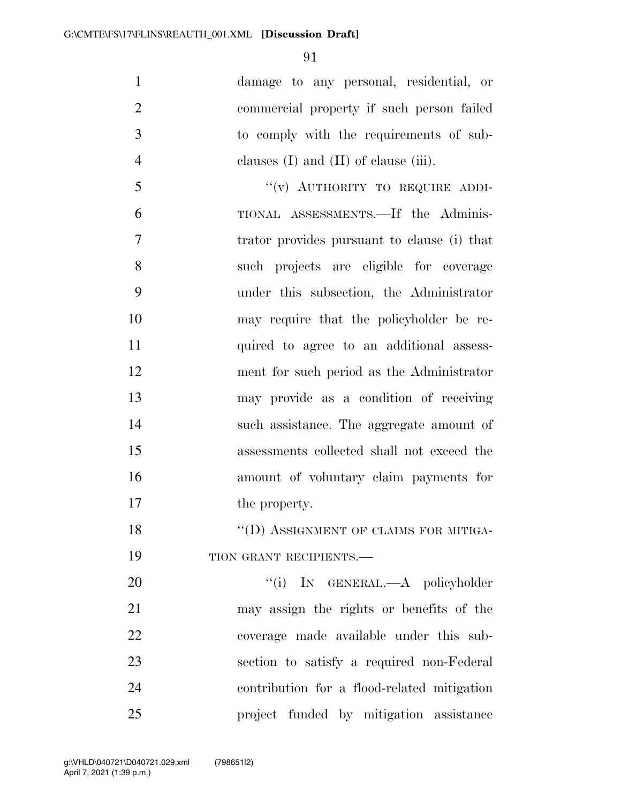damage to any personal, residential, or commercial property if such person failed to comply with the requirements of sub-clauses (I) and (II) of clause (iii).

5 "(v) AUTHORITY TO REQUIRE ADDI- TIONAL ASSESSMENTS.—If the Adminis- trator provides pursuant to clause (i) that such projects are eligible for coverage under this subsection, the Administrator may require that the policyholder be re- quired to agree to an additional assess- ment for such period as the Administrator may provide as a condition of receiving such assistance. The aggregate amount of assessments collected shall not exceed the amount of voluntary claim payments for 17 the property.

18 "(D) ASSIGNMENT OF CLAIMS FOR MITIGA-19 TION GRANT RECIPIENTS.—

 $(i)$  In GENERAL.—A policyholder may assign the rights or benefits of the coverage made available under this sub- section to satisfy a required non-Federal contribution for a flood-related mitigation project funded by mitigation assistance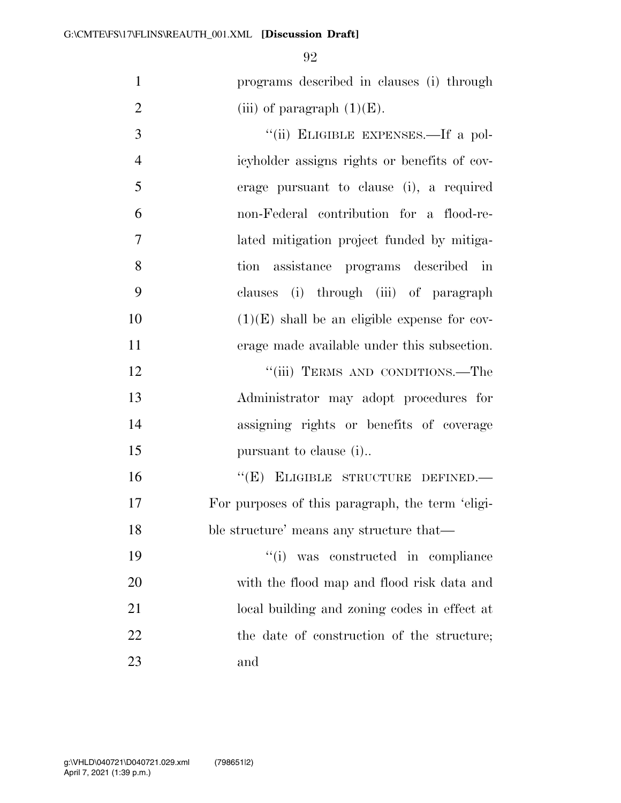programs described in clauses (i) through 2 (iii) of paragraph  $(1)(E)$ .

3 "(ii) ELIGIBLE EXPENSES.—If a pol- icyholder assigns rights or benefits of cov- erage pursuant to clause (i), a required non-Federal contribution for a flood-re- lated mitigation project funded by mitiga- tion assistance programs described in clauses (i) through (iii) of paragraph  $(1)(E)$  shall be an eligible expense for cov- erage made available under this subsection. 12 "'(iii) TERMS AND CONDITIONS.—The Administrator may adopt procedures for assigning rights or benefits of coverage 15 pursuant to clause (i)... 16 "(E) ELIGIBLE STRUCTURE DEFINED.— For purposes of this paragraph, the term 'eligi- ble structure' means any structure that— ''(i) was constructed in compliance with the flood map and flood risk data and local building and zoning codes in effect at

22 the date of construction of the structure;

and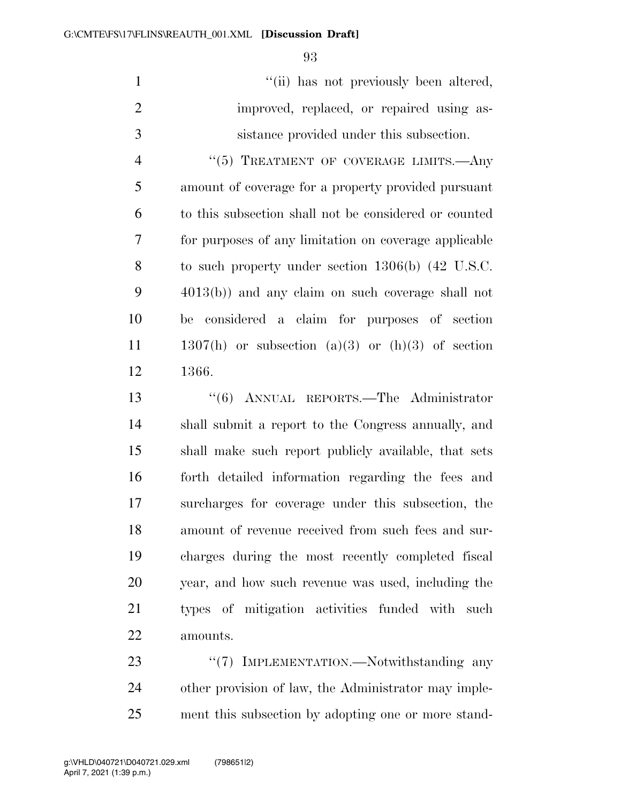1  $"$ (ii) has not previously been altered, 2 improved, replaced, or repaired using as-sistance provided under this subsection.

4 "(5) TREATMENT OF COVERAGE LIMITS.—Any amount of coverage for a property provided pursuant to this subsection shall not be considered or counted for purposes of any limitation on coverage applicable to such property under section 1306(b) (42 U.S.C. 4013(b)) and any claim on such coverage shall not be considered a claim for purposes of section 1307(h) or subsection (a)(3) or (h)(3) of section 1366.

 ''(6) ANNUAL REPORTS.—The Administrator shall submit a report to the Congress annually, and shall make such report publicly available, that sets forth detailed information regarding the fees and surcharges for coverage under this subsection, the amount of revenue received from such fees and sur- charges during the most recently completed fiscal year, and how such revenue was used, including the types of mitigation activities funded with such amounts.

23 "'(7) IMPLEMENTATION.—Notwithstanding any other provision of law, the Administrator may imple-ment this subsection by adopting one or more stand-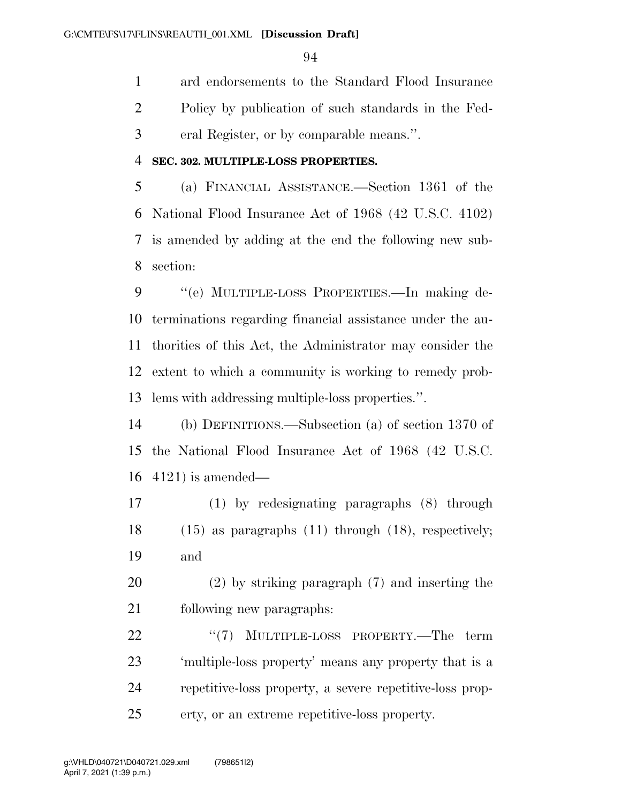ard endorsements to the Standard Flood Insurance Policy by publication of such standards in the Fed-eral Register, or by comparable means.''.

### **SEC. 302. MULTIPLE-LOSS PROPERTIES.**

 (a) FINANCIAL ASSISTANCE.—Section 1361 of the National Flood Insurance Act of 1968 (42 U.S.C. 4102) is amended by adding at the end the following new sub-section:

 ''(e) MULTIPLE-LOSS PROPERTIES.—In making de- terminations regarding financial assistance under the au- thorities of this Act, the Administrator may consider the extent to which a community is working to remedy prob-lems with addressing multiple-loss properties.''.

 (b) DEFINITIONS.—Subsection (a) of section 1370 of the National Flood Insurance Act of 1968 (42 U.S.C. 4121) is amended—

 (1) by redesignating paragraphs (8) through (15) as paragraphs (11) through (18), respectively; and

 (2) by striking paragraph (7) and inserting the following new paragraphs:

22 "<sup>'</sup>(7) MULTIPLE-LOSS PROPERTY.—The term 'multiple-loss property' means any property that is a repetitive-loss property, a severe repetitive-loss prop-erty, or an extreme repetitive-loss property.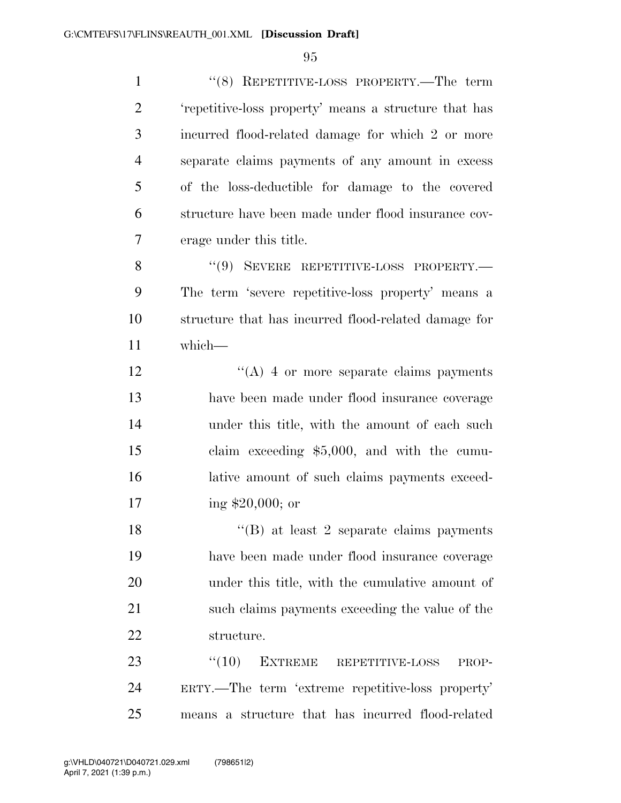''(8) REPETITIVE-LOSS PROPERTY.—The term 'repetitive-loss property' means a structure that has incurred flood-related damage for which 2 or more separate claims payments of any amount in excess of the loss-deductible for damage to the covered structure have been made under flood insurance cov- erage under this title. 8 "(9) SEVERE REPETITIVE-LOSS PROPERTY.— The term 'severe repetitive-loss property' means a structure that has incurred flood-related damage for which— 12 ''(A) 4 or more separate claims payments have been made under flood insurance coverage under this title, with the amount of each such claim exceeding \$5,000, and with the cumu- lative amount of such claims payments exceed- ing \$20,000; or 18 ''(B) at least 2 separate claims payments have been made under flood insurance coverage under this title, with the cumulative amount of such claims payments exceeding the value of the structure. 23 "(10) EXTREME REPETITIVE-LOSS PROP- ERTY.—The term 'extreme repetitive-loss property' means a structure that has incurred flood-related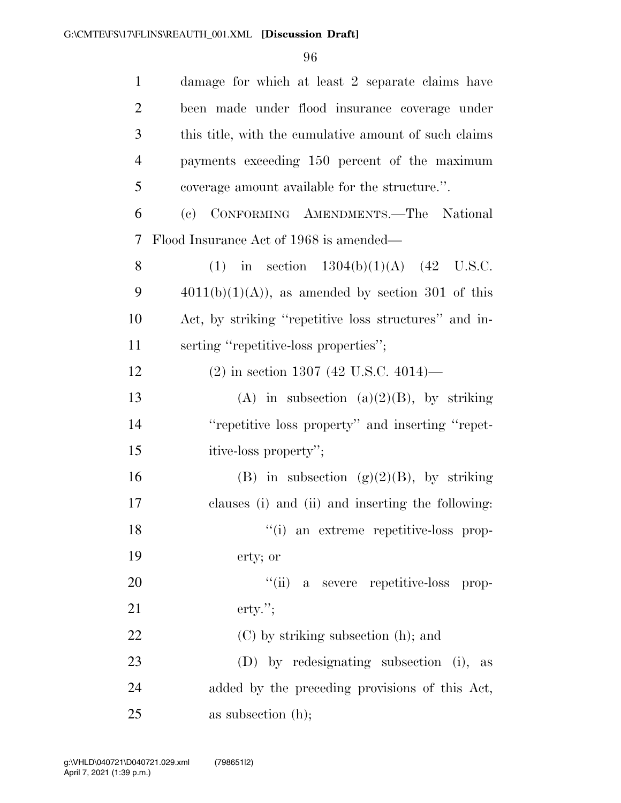| $\mathbf{1}$   | damage for which at least 2 separate claims have      |
|----------------|-------------------------------------------------------|
| $\overline{2}$ | been made under flood insurance coverage under        |
| 3              | this title, with the cumulative amount of such claims |
| $\overline{4}$ | payments exceeding 150 percent of the maximum         |
| 5              | coverage amount available for the structure.".        |
| 6              | (c) CONFORMING AMENDMENTS.-The National               |
| $\tau$         | Flood Insurance Act of 1968 is amended—               |
| 8              | (1) in section $1304(b)(1)(A)$ (42 U.S.C.             |
| 9              | $4011(b)(1)(A)$ , as amended by section 301 of this   |
| 10             | Act, by striking "repetitive loss structures" and in- |
| 11             | serting "repetitive-loss properties";                 |
| 12             | $(2)$ in section 1307 (42 U.S.C. 4014)—               |
| 13             | (A) in subsection (a)(2)(B), by striking              |
| 14             | "repetitive loss property" and inserting "repet-      |
| 15             | itive-loss property";                                 |
| 16             | (B) in subsection $(g)(2)(B)$ , by striking           |
| 17             | clauses (i) and (ii) and inserting the following:     |
| 18             | "(i) an extreme repetitive-loss prop-                 |
| 19             | erty; or                                              |
| 20             | "(ii) a severe repetitive-loss prop-                  |
| 21             | $\text{erty."};$                                      |
| 22             | (C) by striking subsection (h); and                   |
| 23             | (D) by redesignating subsection (i), as               |
| 24             | added by the preceding provisions of this Act,        |
| 25             | as subsection $(h)$ ;                                 |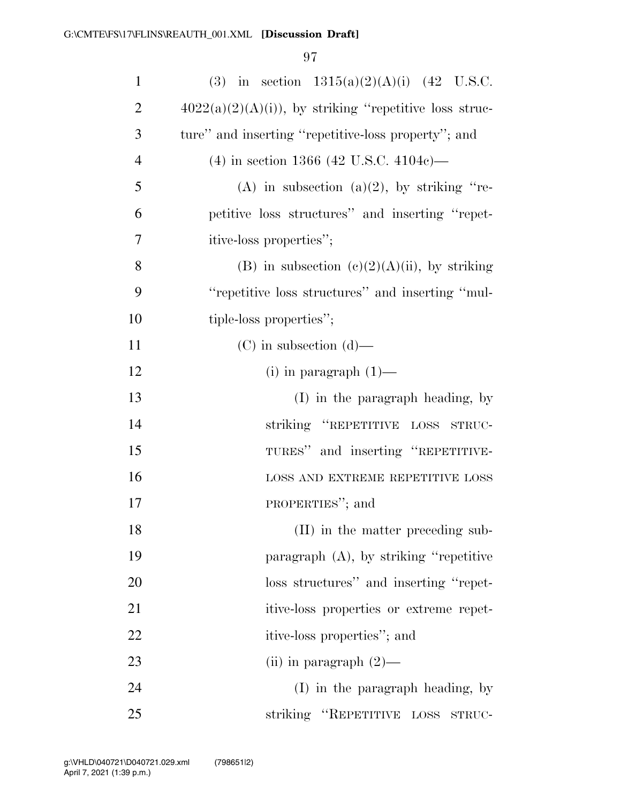| $\mathbf{1}$   | (3) in section $1315(a)(2)(A)(i)$ (42 U.S.C.             |
|----------------|----------------------------------------------------------|
| $\overline{2}$ | $4022(a)(2)(A)(i)$ , by striking "repetitive loss struc- |
| 3              | ture" and inserting "repetitive-loss property"; and      |
| $\overline{4}$ | $(4)$ in section 1366 (42 U.S.C. 4104c)—                 |
| 5              | (A) in subsection (a)(2), by striking "re-               |
| 6              | petitive loss structures" and inserting "repet-          |
| 7              | itive-loss properties";                                  |
| 8              | (B) in subsection (c)(2)(A)(ii), by striking             |
| 9              | "repetitive loss structures" and inserting "mul-         |
| 10             | tiple-loss properties";                                  |
| 11             | $(C)$ in subsection $(d)$ —                              |
| 12             | $(i)$ in paragraph $(1)$ —                               |
| 13             | (I) in the paragraph heading, by                         |
| 14             | striking "REPETITIVE LOSS STRUC-                         |
| 15             | TURES" and inserting "REPETITIVE-                        |
| 16             | LOSS AND EXTREME REPETITIVE LOSS                         |
| 17             | PROPERTIES"; and                                         |
| 18             | (II) in the matter preceding sub-                        |
| 19             | paragraph (A), by striking "repetitive                   |
| 20             | loss structures" and inserting "repet-                   |
| 21             | itive-loss properties or extreme repet-                  |
| 22             | itive-loss properties"; and                              |
| 23             | (ii) in paragraph $(2)$ —                                |
| 24             | (I) in the paragraph heading, by                         |
| 25             | striking "REPETITIVE LOSS<br>STRUC-                      |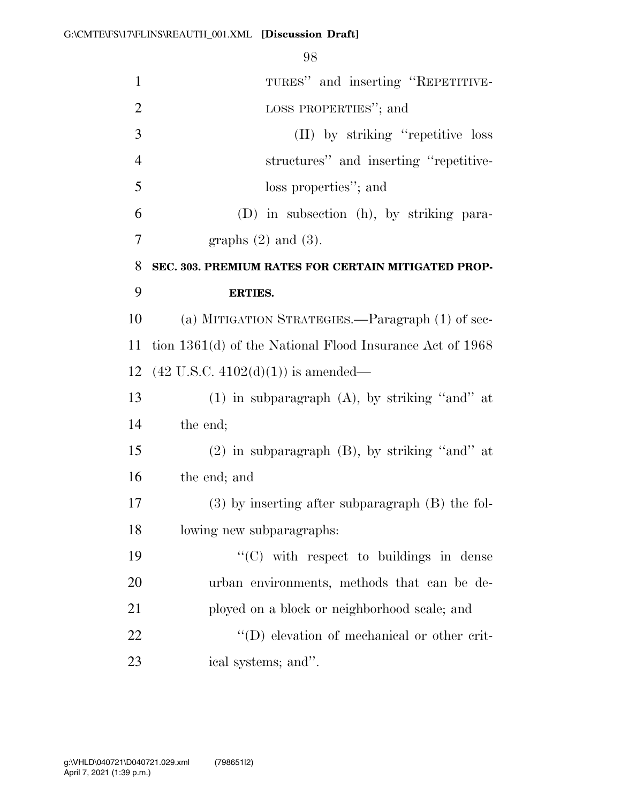| $\mathbf{1}$   | TURES" and inserting "REPETITIVE-                          |
|----------------|------------------------------------------------------------|
| $\overline{2}$ | LOSS PROPERTIES"; and                                      |
| 3              | (II) by striking "repetitive loss"                         |
| $\overline{4}$ | structures" and inserting "repetitive-                     |
| 5              | loss properties"; and                                      |
| 6              | (D) in subsection (h), by striking para-                   |
| $\overline{7}$ | graphs $(2)$ and $(3)$ .                                   |
| 8              | SEC. 303. PREMIUM RATES FOR CERTAIN MITIGATED PROP-        |
| 9              | <b>ERTIES.</b>                                             |
| 10             | (a) MITIGATION STRATEGIES.—Paragraph (1) of sec-           |
| 11             | tion $1361(d)$ of the National Flood Insurance Act of 1968 |
| 12             | $(42 \text{ U.S.C. } 4102(d)(1))$ is amended—              |
| 13             | $(1)$ in subparagraph $(A)$ , by striking "and" at         |
| 14             | the end;                                                   |
| 15             | $(2)$ in subparagraph $(B)$ , by striking "and" at         |
| 16             | the end; and                                               |
| 17             | $(3)$ by inserting after subparagraph $(B)$ the fol-       |
| 18             | lowing new subparagraphs:                                  |
| 19             | "(C) with respect to buildings in dense                    |
| 20             | urban environments, methods that can be de-                |
| 21             | ployed on a block or neighborhood scale; and               |
| 22             | $\lq\lq$ elevation of mechanical or other crit-            |
| 23             | ical systems; and".                                        |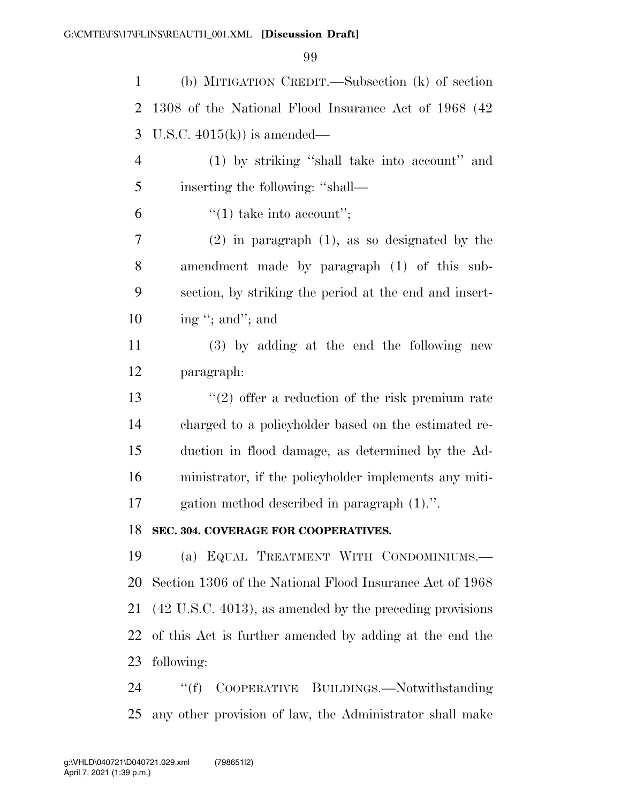| (b) MITIGATION CREDIT.—Subsection (k) of section                     |
|----------------------------------------------------------------------|
| 1308 of the National Flood Insurance Act of 1968 (42)                |
| U.S.C. $4015(k)$ is amended—                                         |
| (1) by striking "shall take into account" and                        |
| inserting the following: "shall—                                     |
| $\lq(1)$ take into account";                                         |
| $(2)$ in paragraph $(1)$ , as so designated by the                   |
| amendment made by paragraph (1) of this sub-                         |
| section, by striking the period at the end and insert-               |
| ing "; and"; and                                                     |
| (3) by adding at the end the following new                           |
| paragraph:                                                           |
| $(2)$ offer a reduction of the risk premium rate                     |
| charged to a policyholder based on the estimated re-                 |
| duction in flood damage, as determined by the Ad-                    |
| ministrator, if the policyholder implements any miti-                |
| gation method described in paragraph (1).".                          |
| SEC. 304. COVERAGE FOR COOPERATIVES.                                 |
| (a) EQUAL TREATMENT WITH CONDOMINIUMS.                               |
| Section 1306 of the National Flood Insurance Act of 1968             |
| $(42 \text{ U.S.C. } 4013)$ , as amended by the preceding provisions |
| of this Act is further amended by adding at the end the              |
| following:                                                           |
| ``(f)<br>COOPERATIVE BUILDINGS.-Notwithstanding                      |
|                                                                      |

any other provision of law, the Administrator shall make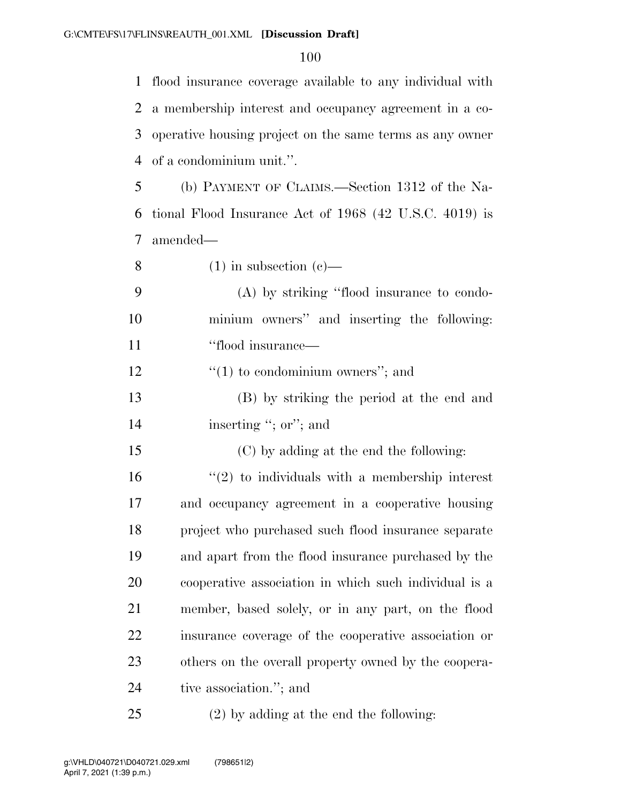flood insurance coverage available to any individual with a membership interest and occupancy agreement in a co- operative housing project on the same terms as any owner of a condominium unit.''.

 (b) PAYMENT OF CLAIMS.—Section 1312 of the Na- tional Flood Insurance Act of 1968 (42 U.S.C. 4019) is amended—

8 (1) in subsection (c)

|    | (A) by striking "flood insurance to condo-  |
|----|---------------------------------------------|
| 10 | minium owners" and inserting the following: |
| 11 | "flood insurance—                           |

12  $\frac{1}{2}$   $\frac{1}{2}$  to condominium owners"; and

 (B) by striking the period at the end and 14 inserting "; or"; and

(C) by adding at the end the following:

 $\frac{16}{2}$  to individuals with a membership interest and occupancy agreement in a cooperative housing project who purchased such flood insurance separate and apart from the flood insurance purchased by the cooperative association in which such individual is a member, based solely, or in any part, on the flood insurance coverage of the cooperative association or others on the overall property owned by the coopera-tive association.''; and

(2) by adding at the end the following: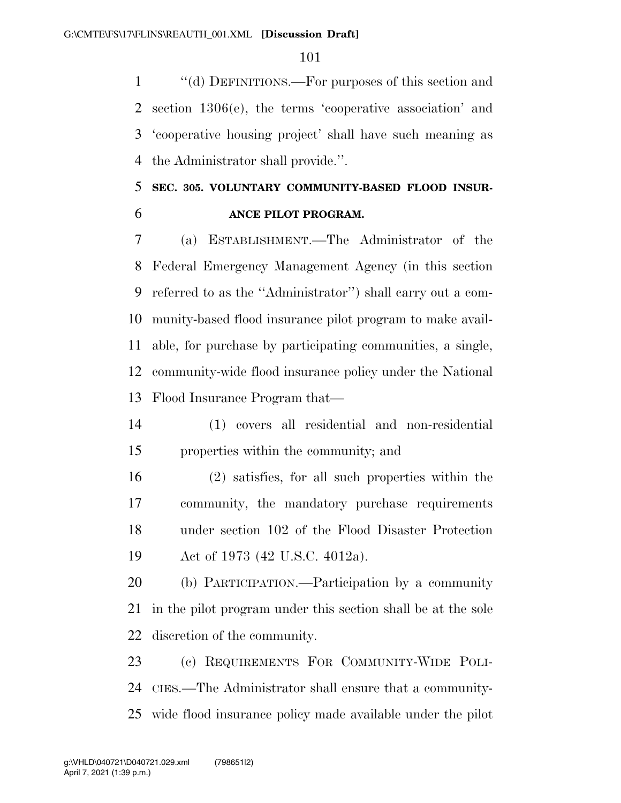''(d) DEFINITIONS.—For purposes of this section and section 1306(e), the terms 'cooperative association' and 'cooperative housing project' shall have such meaning as the Administrator shall provide.''.

## **SEC. 305. VOLUNTARY COMMUNITY-BASED FLOOD INSUR-ANCE PILOT PROGRAM.**

 (a) ESTABLISHMENT.—The Administrator of the Federal Emergency Management Agency (in this section referred to as the ''Administrator'') shall carry out a com- munity-based flood insurance pilot program to make avail- able, for purchase by participating communities, a single, community-wide flood insurance policy under the National Flood Insurance Program that—

- (1) covers all residential and non-residential properties within the community; and
- (2) satisfies, for all such properties within the community, the mandatory purchase requirements under section 102 of the Flood Disaster Protection Act of 1973 (42 U.S.C. 4012a).

 (b) PARTICIPATION.—Participation by a community in the pilot program under this section shall be at the sole discretion of the community.

 (c) REQUIREMENTS FOR COMMUNITY-WIDE POLI- CIES.—The Administrator shall ensure that a community-wide flood insurance policy made available under the pilot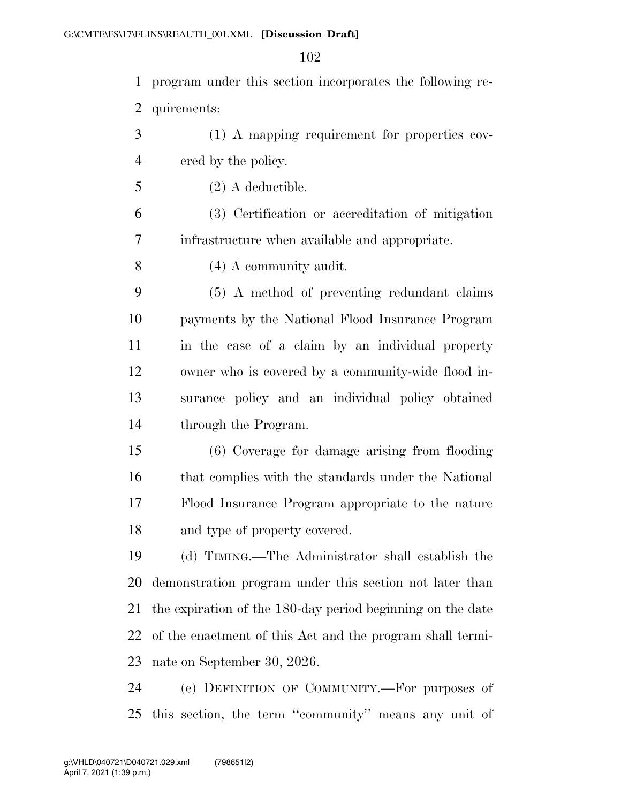| $\mathbf{1}$   | program under this section incorporates the following re-  |
|----------------|------------------------------------------------------------|
| 2              | quirements:                                                |
| 3              | (1) A mapping requirement for properties cov-              |
| $\overline{4}$ | ered by the policy.                                        |
| 5              | $(2)$ A deductible.                                        |
| 6              | (3) Certification or accreditation of mitigation           |
| 7              | infrastructure when available and appropriate.             |
| 8              | $(4)$ A community audit.                                   |
| 9              | (5) A method of preventing redundant claims                |
| 10             | payments by the National Flood Insurance Program           |
| 11             | in the case of a claim by an individual property           |
| 12             | owner who is covered by a community-wide flood in-         |
| 13             | surance policy and an individual policy obtained           |
| 14             | through the Program.                                       |
| 15             | (6) Coverage for damage arising from flooding              |
| 16             | that complies with the standards under the National        |
| 17             | Flood Insurance Program appropriate to the nature          |
| 18             | and type of property covered.                              |
| 19             | (d) TIMING.—The Administrator shall establish the          |
| 20             | demonstration program under this section not later than    |
| 21             | the expiration of the 180-day period beginning on the date |
| 22             | of the enactment of this Act and the program shall termi-  |
| 23             | nate on September 30, 2026.                                |
| 24             | (e) DEFINITION OF COMMUNITY.—For purposes of               |
| 25             | this section, the term "community" means any unit of       |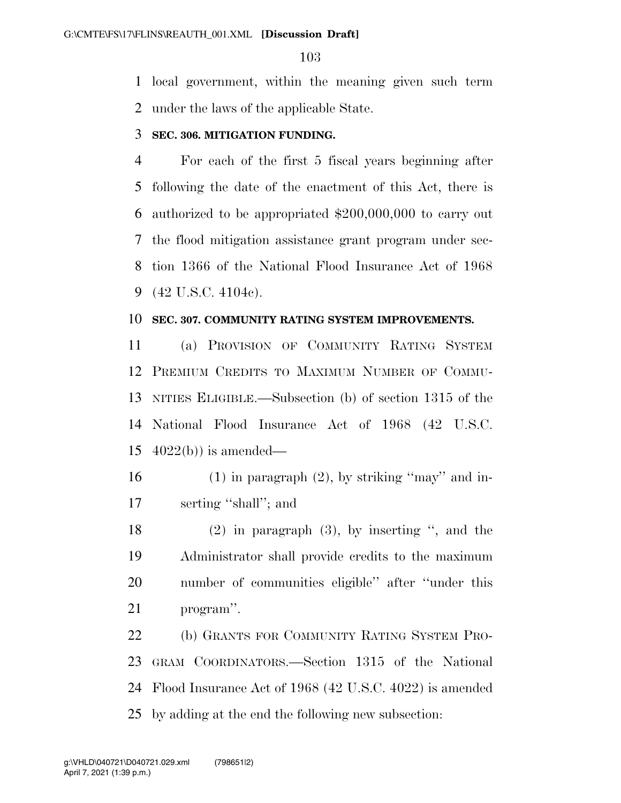local government, within the meaning given such term under the laws of the applicable State.

### **SEC. 306. MITIGATION FUNDING.**

 For each of the first 5 fiscal years beginning after following the date of the enactment of this Act, there is authorized to be appropriated \$200,000,000 to carry out the flood mitigation assistance grant program under sec- tion 1366 of the National Flood Insurance Act of 1968 (42 U.S.C. 4104c).

#### **SEC. 307. COMMUNITY RATING SYSTEM IMPROVEMENTS.**

 (a) PROVISION OF COMMUNITY RATING SYSTEM PREMIUM CREDITS TO MAXIMUM NUMBER OF COMMU- NITIES ELIGIBLE.—Subsection (b) of section 1315 of the National Flood Insurance Act of 1968 (42 U.S.C.  $4022(b)$  is amended—

- 16 (1) in paragraph  $(2)$ , by striking "may" and in-serting ''shall''; and
- (2) in paragraph (3), by inserting '', and the Administrator shall provide credits to the maximum number of communities eligible'' after ''under this program''.

 (b) GRANTS FOR COMMUNITY RATING SYSTEM PRO- GRAM COORDINATORS.—Section 1315 of the National Flood Insurance Act of 1968 (42 U.S.C. 4022) is amended by adding at the end the following new subsection: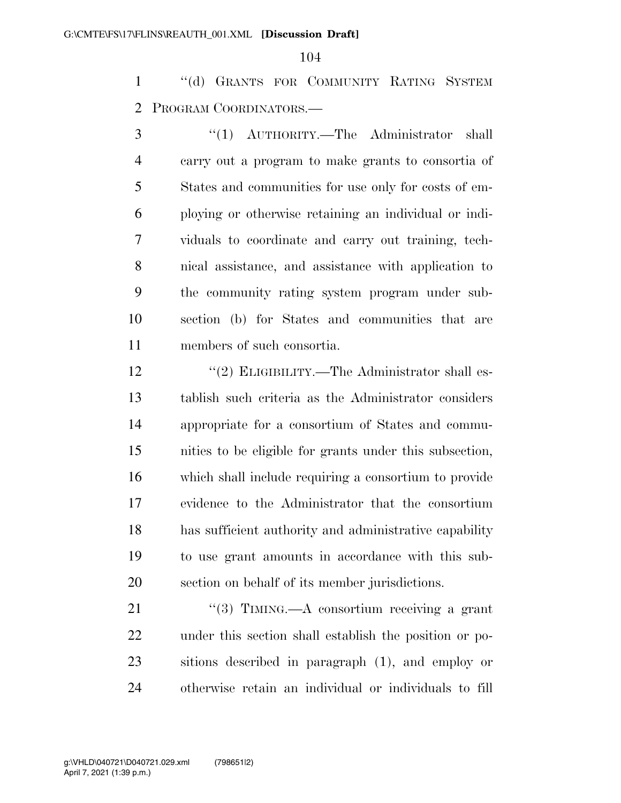''(d) GRANTS FOR COMMUNITY RATING SYSTEM PROGRAM COORDINATORS.—

 ''(1) AUTHORITY.—The Administrator shall carry out a program to make grants to consortia of States and communities for use only for costs of em- ploying or otherwise retaining an individual or indi- viduals to coordinate and carry out training, tech- nical assistance, and assistance with application to the community rating system program under sub- section (b) for States and communities that are members of such consortia.

12 ''(2) ELIGIBILITY.—The Administrator shall es- tablish such criteria as the Administrator considers appropriate for a consortium of States and commu- nities to be eligible for grants under this subsection, which shall include requiring a consortium to provide evidence to the Administrator that the consortium has sufficient authority and administrative capability to use grant amounts in accordance with this sub-section on behalf of its member jurisdictions.

21 ''(3) TIMING.—A consortium receiving a grant under this section shall establish the position or po- sitions described in paragraph (1), and employ or otherwise retain an individual or individuals to fill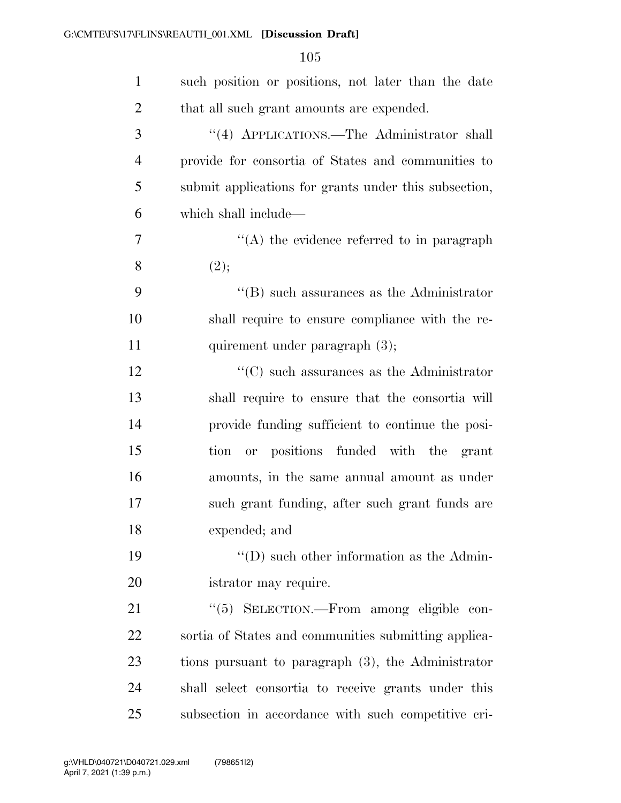| $\mathbf{1}$   | such position or positions, not later than the date   |
|----------------|-------------------------------------------------------|
| $\overline{2}$ | that all such grant amounts are expended.             |
| 3              | "(4) APPLICATIONS.—The Administrator shall            |
| $\overline{4}$ | provide for consortia of States and communities to    |
| 5              | submit applications for grants under this subsection, |
| 6              | which shall include—                                  |
| 7              | $\lq\lq$ the evidence referred to in paragraph        |
| 8              | (2);                                                  |
| 9              | $\lq\lq$ such assurances as the Administrator         |
| 10             | shall require to ensure compliance with the re-       |
| 11             | quirement under paragraph (3);                        |
| 12             | $\lq\lq$ such assurances as the Administrator         |
| 13             | shall require to ensure that the consortia will       |
| 14             | provide funding sufficient to continue the posi-      |
| 15             | tion or positions funded with the grant               |
| 16             | amounts, in the same annual amount as under           |
| 17             | such grant funding, after such grant funds are        |
| 18             | expended; and                                         |
| 19             | $\lq\lq$ (D) such other information as the Admin-     |
| 20             | istrator may require.                                 |
| 21             | "(5) SELECTION.—From among eligible con-              |
| 22             | sortia of States and communities submitting applica-  |
| 23             | tions pursuant to paragraph (3), the Administrator    |
| 24             | shall select consortia to receive grants under this   |
| 25             | subsection in accordance with such competitive cri-   |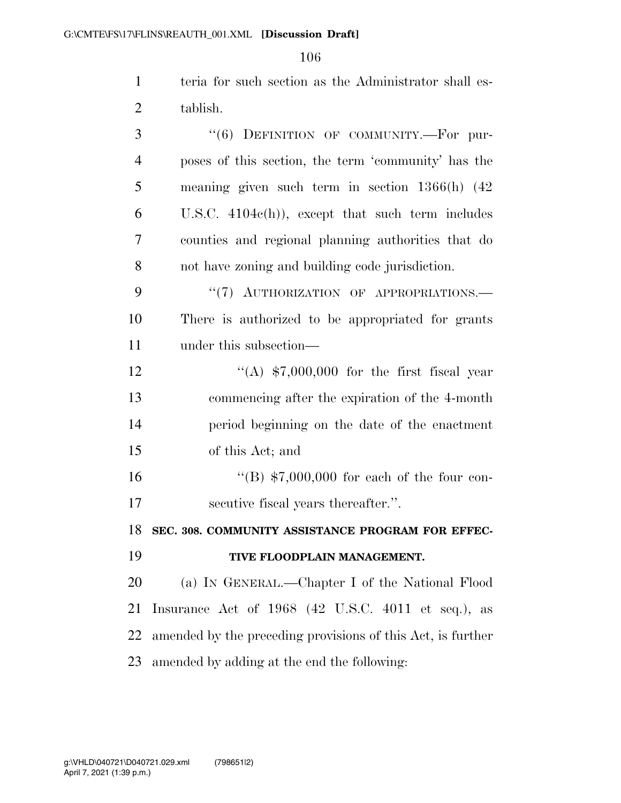teria for such section as the Administrator shall es-tablish.

| 3              | "(6) DEFINITION OF COMMUNITY.-For pur-                      |
|----------------|-------------------------------------------------------------|
| $\overline{4}$ | poses of this section, the term 'community' has the         |
| 5              | meaning given such term in section $1366(h)$ (42)           |
| 6              | U.S.C. $4104e(h)$ , except that such term includes          |
| 7              | counties and regional planning authorities that do          |
| 8              | not have zoning and building code jurisdiction.             |
| 9              | "(7) AUTHORIZATION OF APPROPRIATIONS.-                      |
| 10             | There is authorized to be appropriated for grants           |
| 11             | under this subsection—                                      |
| 12             | "(A) $$7,000,000$ for the first fiscal year                 |
| 13             | commencing after the expiration of the 4-month              |
| 14             | period beginning on the date of the enactment               |
| 15             | of this Act; and                                            |
| 16             | "(B) $$7,000,000$ for each of the four con-                 |
| 17             | secutive fiscal years thereafter.".                         |
| 18             | SEC. 308. COMMUNITY ASSISTANCE PROGRAM FOR EFFEC-           |
| 19             | TIVE FLOODPLAIN MANAGEMENT.                                 |
| 20             | (a) IN GENERAL.—Chapter I of the National Flood             |
| 21             | Insurance Act of 1968 (42 U.S.C. 4011 et seq.), as          |
| 22             | amended by the preceding provisions of this Act, is further |
| 23             | amended by adding at the end the following:                 |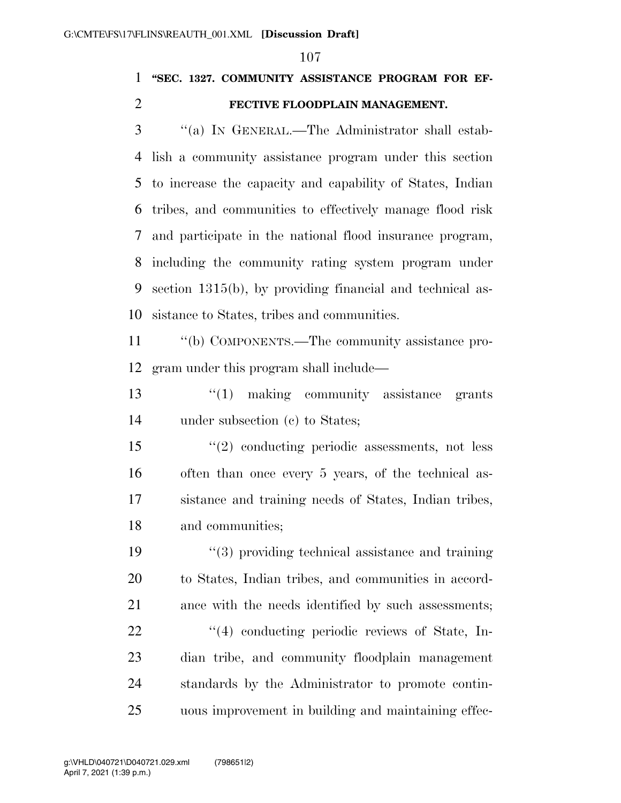### **''SEC. 1327. COMMUNITY ASSISTANCE PROGRAM FOR EF-FECTIVE FLOODPLAIN MANAGEMENT.**

 ''(a) IN GENERAL.—The Administrator shall estab- lish a community assistance program under this section to increase the capacity and capability of States, Indian tribes, and communities to effectively manage flood risk and participate in the national flood insurance program, including the community rating system program under section 1315(b), by providing financial and technical as-sistance to States, tribes and communities.

 ''(b) COMPONENTS.—The community assistance pro-gram under this program shall include—

13 ''(1) making community assistance grants under subsection (c) to States;

 ''(2) conducting periodic assessments, not less often than once every 5 years, of the technical as- sistance and training needs of States, Indian tribes, and communities;

 ''(3) providing technical assistance and training to States, Indian tribes, and communities in accord- ance with the needs identified by such assessments;  $\frac{4}{4}$  conducting periodic reviews of State, In- dian tribe, and community floodplain management standards by the Administrator to promote contin-uous improvement in building and maintaining effec-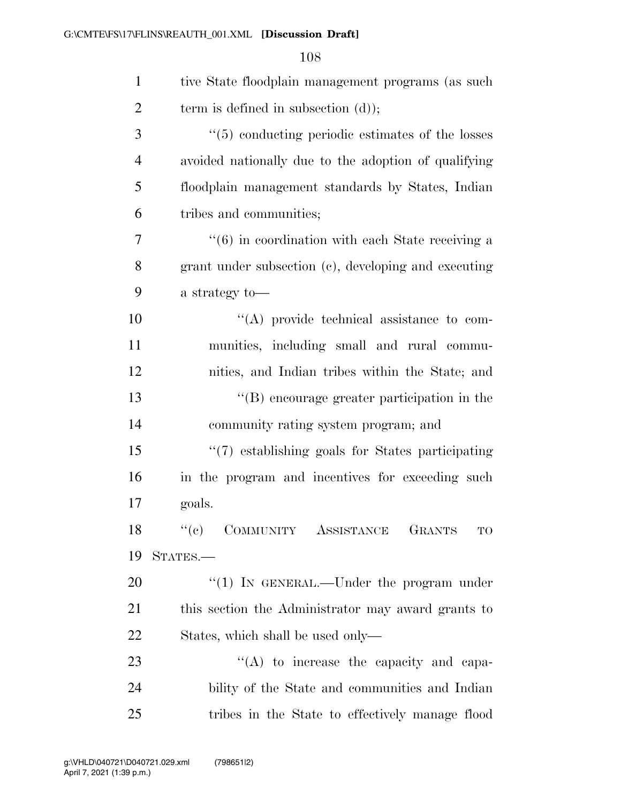| $\mathbf{1}$   | tive State floodplain management programs (as such           |
|----------------|--------------------------------------------------------------|
| $\overline{2}$ | term is defined in subsection $(d)$ ;                        |
| 3              | $\cdot\cdot$ (5) conducting periodic estimates of the losses |
| $\overline{4}$ | avoided nationally due to the adoption of qualifying         |
| 5              | floodplain management standards by States, Indian            |
| 6              | tribes and communities;                                      |
| $\overline{7}$ | $\cdot\cdot$ (6) in coordination with each State receiving a |
| 8              | grant under subsection (c), developing and executing         |
| 9              | a strategy to-                                               |
| 10             | $\lq\lq$ provide technical assistance to com-                |
| 11             | munities, including small and rural commu-                   |
| 12             | nities, and Indian tribes within the State; and              |
| 13             | "(B) encourage greater participation in the                  |
| 14             | community rating system program; and                         |
| 15             | "(7) establishing goals for States participating             |
| 16             | in the program and incentives for exceeding such             |
| 17             | goals.                                                       |
| 18             | "(c) COMMUNITY ASSISTANCE<br>GRANTS TO                       |
| 19             | STATES.-                                                     |
| 20             | "(1) IN GENERAL.—Under the program under                     |
| 21             | this section the Administrator may award grants to           |
| 22             | States, which shall be used only—                            |
| 23             | $\lq\lq$ to increase the capacity and capa-                  |
| 24             | bility of the State and communities and Indian               |
| 25             | tribes in the State to effectively manage flood              |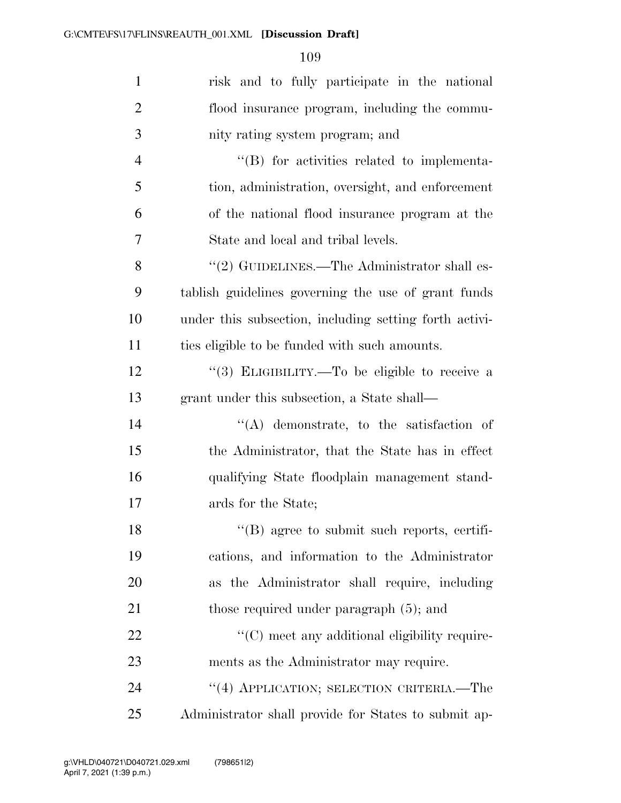| $\mathbf{1}$   | risk and to fully participate in the national          |
|----------------|--------------------------------------------------------|
| $\overline{2}$ | flood insurance program, including the commu-          |
| 3              | nity rating system program; and                        |
| $\overline{4}$ | $\lq\lq$ for activities related to implementa-         |
| 5              | tion, administration, oversight, and enforcement       |
| 6              | of the national flood insurance program at the         |
| 7              | State and local and tribal levels.                     |
| 8              | $"(2)$ GUIDELINES.—The Administrator shall es-         |
| 9              | tablish guidelines governing the use of grant funds    |
| 10             | under this subsection, including setting forth activi- |
| 11             | ties eligible to be funded with such amounts.          |
| 12             | "(3) ELIGIBILITY.—To be eligible to receive a          |
| 13             | grant under this subsection, a State shall—            |
| 14             | $\lq\lq$ demonstrate, to the satisfaction of           |
| 15             | the Administrator, that the State has in effect        |
| 16             | qualifying State floodplain management stand-          |
| 17             | ards for the State;                                    |
| 18             | $\lq\lq$ (B) agree to submit such reports, certifi-    |
| 19             | cations, and information to the Administrator          |
| 20             | as the Administrator shall require, including          |
| 21             | those required under paragraph $(5)$ ; and             |
| 22             | "(C) meet any additional eligibility require-          |
| 23             | ments as the Administrator may require.                |
| 24             | "(4) APPLICATION; SELECTION CRITERIA.—The              |
| 25             | Administrator shall provide for States to submit ap-   |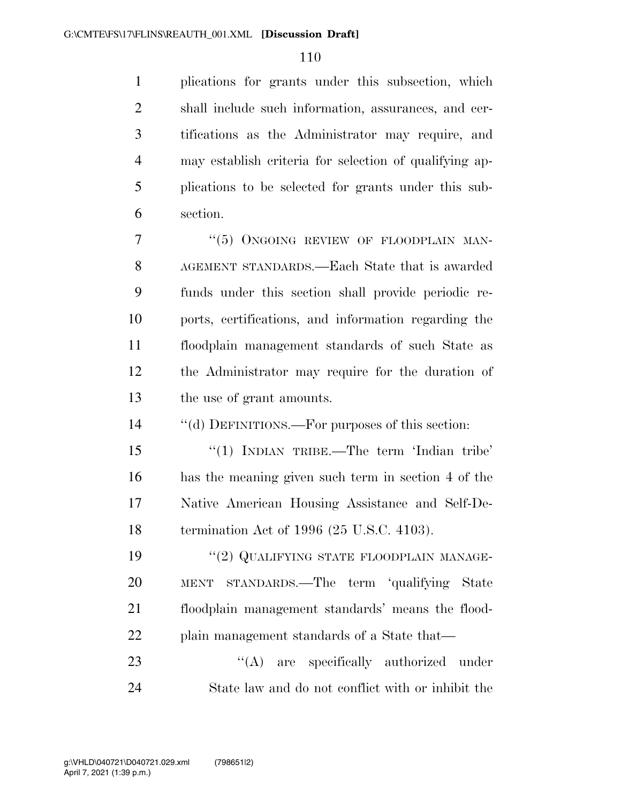plications for grants under this subsection, which shall include such information, assurances, and cer- tifications as the Administrator may require, and may establish criteria for selection of qualifying ap- plications to be selected for grants under this sub-section.

7 "(5) ONGOING REVIEW OF FLOODPLAIN MAN- AGEMENT STANDARDS.—Each State that is awarded funds under this section shall provide periodic re- ports, certifications, and information regarding the floodplain management standards of such State as the Administrator may require for the duration of the use of grant amounts.

''(d) DEFINITIONS.—For purposes of this section:

15 "(1) INDIAN TRIBE.—The term 'Indian tribe' has the meaning given such term in section 4 of the Native American Housing Assistance and Self-De-termination Act of 1996 (25 U.S.C. 4103).

19 "(2) QUALIFYING STATE FLOODPLAIN MANAGE- MENT STANDARDS.—The term 'qualifying State floodplain management standards' means the flood-22 plain management standards of a State that—

23 "(A) are specifically authorized under State law and do not conflict with or inhibit the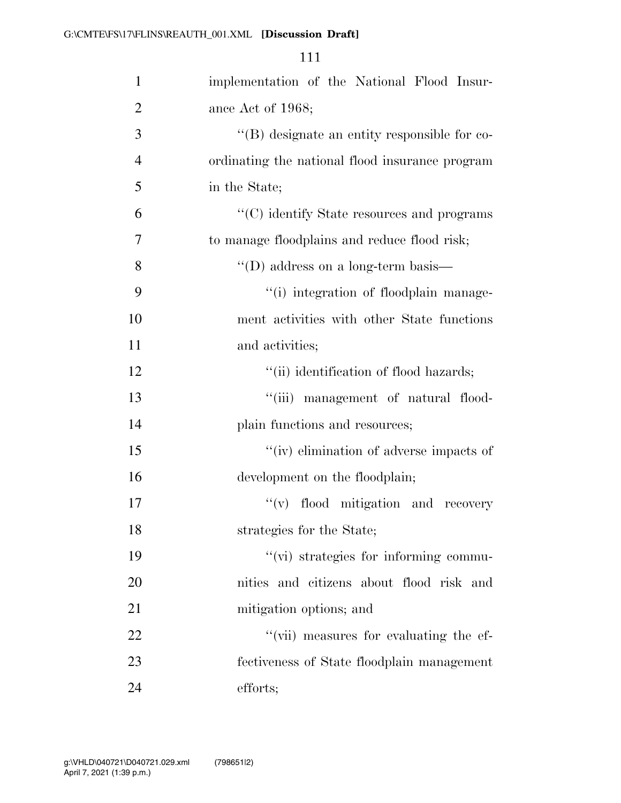| $\mathbf{1}$   | implementation of the National Flood Insur-     |
|----------------|-------------------------------------------------|
| $\overline{2}$ | ance Act of 1968;                               |
| 3              | "(B) designate an entity responsible for co-    |
| $\overline{4}$ | ordinating the national flood insurance program |
| 5              | in the State;                                   |
| 6              | "(C) identify State resources and programs      |
| $\overline{7}$ | to manage floodplains and reduce flood risk;    |
| 8              | $\lq\lq$ (D) address on a long-term basis—      |
| 9              | "(i) integration of floodplain manage-          |
| 10             | ment activities with other State functions      |
| 11             | and activities;                                 |
| 12             | "(ii) identification of flood hazards;          |
| 13             | "(iii) management of natural flood-             |
| 14             | plain functions and resources;                  |
| 15             | "(iv) elimination of adverse impacts of         |
| 16             | development on the floodplain;                  |
| 17             | "(v) flood mitigation and recovery              |
| 18             | strategies for the State;                       |
| 19             | "(vi) strategies for informing commu-           |
| 20             | nities and citizens about flood risk and        |
| 21             | mitigation options; and                         |
| 22             | "(vii) measures for evaluating the ef-          |
| 23             | fectiveness of State floodplain management      |
| 24             | efforts;                                        |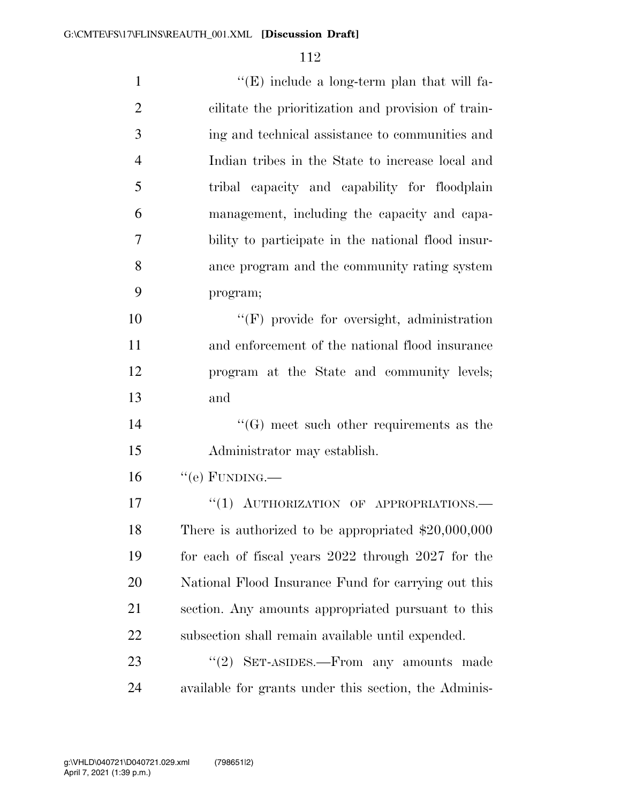| $\mathbf{1}$   | $\lq\lq(E)$ include a long-term plan that will fa-    |
|----------------|-------------------------------------------------------|
| $\overline{2}$ | cilitate the prioritization and provision of train-   |
| 3              | ing and technical assistance to communities and       |
| $\overline{4}$ | Indian tribes in the State to increase local and      |
| 5              | tribal capacity and capability for floodplain         |
| 6              | management, including the capacity and capa-          |
| 7              | bility to participate in the national flood insur-    |
| 8              | ance program and the community rating system          |
| 9              | program;                                              |
| 10             | "(F) provide for oversight, administration            |
| 11             | and enforcement of the national flood insurance       |
| 12             | program at the State and community levels;            |
| 13             | and                                                   |
| 14             | $\lq\lq(G)$ meet such other requirements as the       |
| 15             | Administrator may establish.                          |
| 16             | $``$ (e) FUNDING.—                                    |
| 17             | "(1) AUTHORIZATION OF APPROPRIATIONS.-                |
| 18             | There is authorized to be appropriated $$20,000,000$  |
| 19             | for each of fiscal years 2022 through 2027 for the    |
| 20             | National Flood Insurance Fund for carrying out this   |
| 21             | section. Any amounts appropriated pursuant to this    |
| 22             | subsection shall remain available until expended.     |
| 23             | " $(2)$ SET-ASIDES.—From any amounts made             |
| 24             | available for grants under this section, the Adminis- |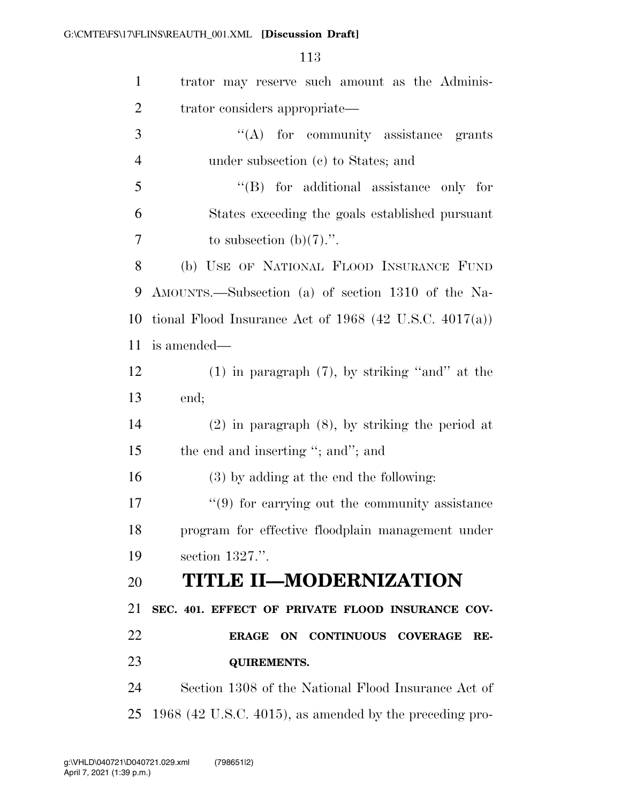| $\mathbf{1}$   | trator may reserve such amount as the Adminis-            |
|----------------|-----------------------------------------------------------|
| $\overline{2}$ | trator considers appropriate—                             |
| 3              | "(A) for community assistance grants                      |
| $\overline{4}$ | under subsection (c) to States; and                       |
| 5              | $\lq\lq$ for additional assistance only for               |
| 6              | States exceeding the goals established pursuant           |
| 7              | to subsection $(b)(7)$ .".                                |
| 8              | (b) USE OF NATIONAL FLOOD INSURANCE FUND                  |
| 9              | AMOUNTS.—Subsection (a) of section 1310 of the Na-        |
| 10             | tional Flood Insurance Act of 1968 (42 U.S.C. $4017(a)$ ) |
| 11             | is amended—                                               |
| 12             | $(1)$ in paragraph $(7)$ , by striking "and" at the       |
| 13             | end;                                                      |
|                | $(2)$ in paragraph $(8)$ , by striking the period at      |
| 14             |                                                           |
| 15             | the end and inserting "; and"; and                        |
| 16             | (3) by adding at the end the following:                   |
| 17             | $\lq(9)$ for carrying out the community assistance        |
| 18             | program for effective floodplain management under         |
| 19             | section 1327.".                                           |
|                | <b>TITLE II-MODERNIZATION</b>                             |
| 20<br>21       | SEC. 401. EFFECT OF PRIVATE FLOOD INSURANCE COV-          |
| 22             | ERAGE ON CONTINUOUS COVERAGE<br>RE-                       |
| 23             | <b>QUIREMENTS.</b>                                        |
| 24             | Section 1308 of the National Flood Insurance Act of       |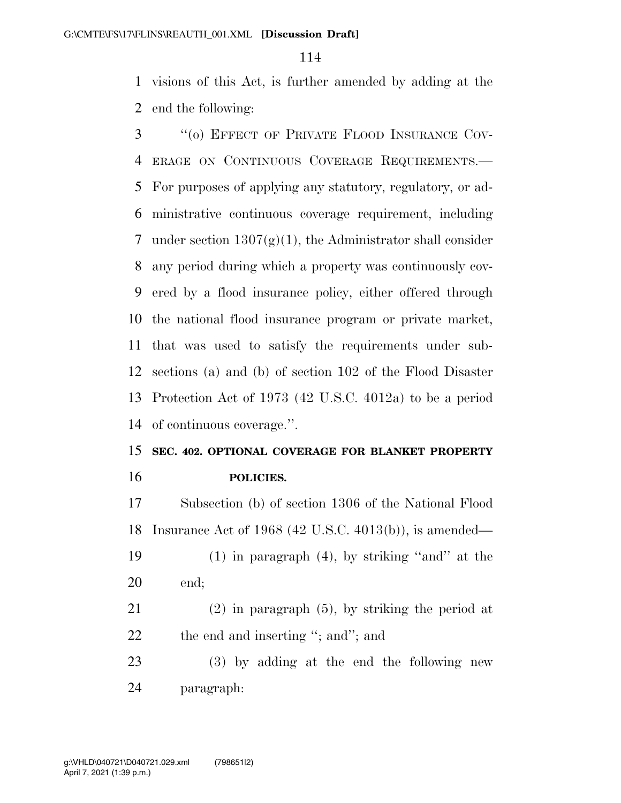visions of this Act, is further amended by adding at the end the following:

 ''(o) EFFECT OF PRIVATE FLOOD INSURANCE COV- ERAGE ON CONTINUOUS COVERAGE REQUIREMENTS.— For purposes of applying any statutory, regulatory, or ad- ministrative continuous coverage requirement, including 7 under section  $1307(g)(1)$ , the Administrator shall consider any period during which a property was continuously cov- ered by a flood insurance policy, either offered through the national flood insurance program or private market, that was used to satisfy the requirements under sub- sections (a) and (b) of section 102 of the Flood Disaster Protection Act of 1973 (42 U.S.C. 4012a) to be a period of continuous coverage.''.

# **SEC. 402. OPTIONAL COVERAGE FOR BLANKET PROPERTY POLICIES.**

 Subsection (b) of section 1306 of the National Flood Insurance Act of 1968 (42 U.S.C. 4013(b)), is amended—

 (1) in paragraph (4), by striking ''and'' at the end;

 (2) in paragraph (5), by striking the period at 22 the end and inserting "; and"; and

 (3) by adding at the end the following new paragraph: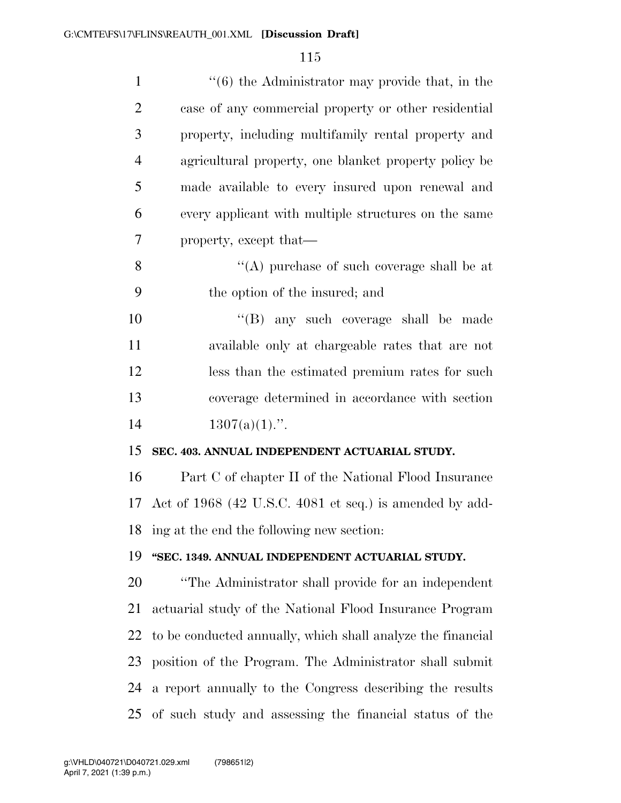| $\mathbf{1}$   | $\cdot$ (6) the Administrator may provide that, in the      |
|----------------|-------------------------------------------------------------|
| $\overline{2}$ | case of any commercial property or other residential        |
| 3              | property, including multifamily rental property and         |
| $\overline{4}$ | agricultural property, one blanket property policy be       |
| 5              | made available to every insured upon renewal and            |
| 6              | every applicant with multiple structures on the same        |
| 7              | property, except that—                                      |
| 8              | "(A) purchase of such coverage shall be at                  |
| 9              | the option of the insured; and                              |
| 10             | "(B) any such coverage shall be made                        |
| 11             | available only at chargeable rates that are not             |
| 12             | less than the estimated premium rates for such              |
| 13             | coverage determined in accordance with section              |
| 14             | $1307(a)(1)$ .".                                            |
| 15             | SEC. 403. ANNUAL INDEPENDENT ACTUARIAL STUDY.               |
| 16             | Part C of chapter II of the National Flood Insurance        |
| 17             | Act of 1968 (42 U.S.C. 4081 et seq.) is amended by add-     |
| 18             | ing at the end the following new section:                   |
| 19             | "SEC. 1349. ANNUAL INDEPENDENT ACTUARIAL STUDY.             |
| 20             | "The Administrator shall provide for an independent         |
| 21             | actuarial study of the National Flood Insurance Program     |
| 22             | to be conducted annually, which shall analyze the financial |
| 23             | position of the Program. The Administrator shall submit     |
| 24             | a report annually to the Congress describing the results    |
| 25             | of such study and assessing the financial status of the     |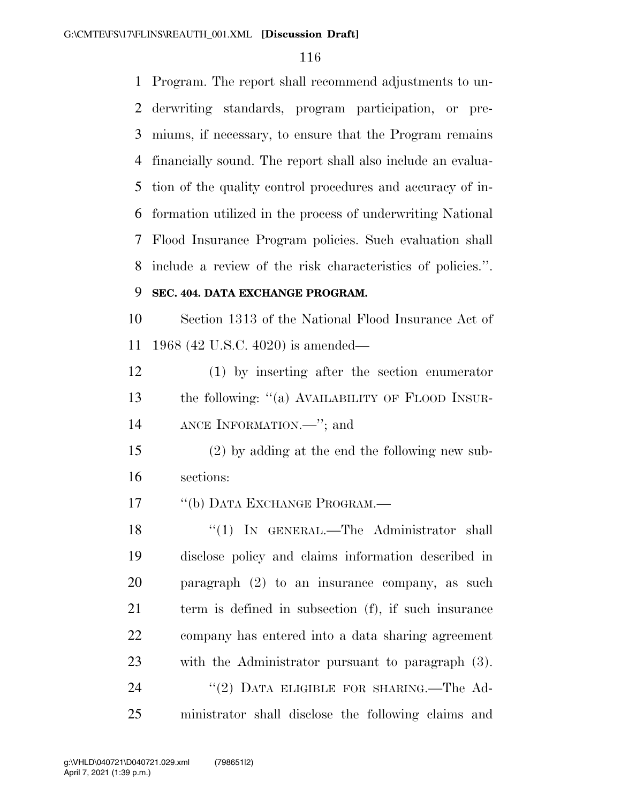Program. The report shall recommend adjustments to un- derwriting standards, program participation, or pre- miums, if necessary, to ensure that the Program remains financially sound. The report shall also include an evalua- tion of the quality control procedures and accuracy of in- formation utilized in the process of underwriting National Flood Insurance Program policies. Such evaluation shall include a review of the risk characteristics of policies.''.

### **SEC. 404. DATA EXCHANGE PROGRAM.**

 Section 1313 of the National Flood Insurance Act of 1968 (42 U.S.C. 4020) is amended—

 (1) by inserting after the section enumerator the following: ''(a) AVAILABILITY OF FLOOD INSUR-ANCE INFORMATION.—''; and

 (2) by adding at the end the following new sub-sections:

17 <sup>"</sup>(b) DATA EXCHANGE PROGRAM.

18 "(1) IN GENERAL.—The Administrator shall disclose policy and claims information described in paragraph (2) to an insurance company, as such term is defined in subsection (f), if such insurance company has entered into a data sharing agreement with the Administrator pursuant to paragraph (3). 24 "(2) DATA ELIGIBLE FOR SHARING.—The Ad-ministrator shall disclose the following claims and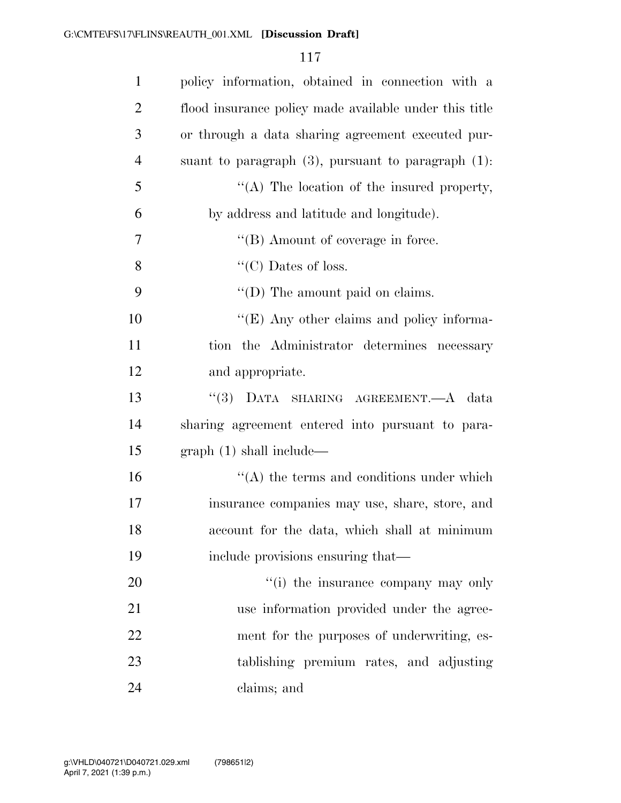| $\mathbf{1}$   | policy information, obtained in connection with a        |
|----------------|----------------------------------------------------------|
| $\overline{2}$ | flood insurance policy made available under this title   |
| 3              | or through a data sharing agreement executed pur-        |
| $\overline{4}$ | suant to paragraph $(3)$ , pursuant to paragraph $(1)$ : |
| 5              | "(A) The location of the insured property,               |
| 6              | by address and latitude and longitude).                  |
| 7              | $\lq\lq (B)$ Amount of coverage in force.                |
| 8              | "(C) Dates of loss.                                      |
| 9              | $\lq\lq$ (D) The amount paid on claims.                  |
| 10             | "(E) Any other claims and policy informa-                |
| 11             | tion the Administrator determines necessary              |
| 12             | and appropriate.                                         |
| 13             | "(3) DATA SHARING AGREEMENT.—A data                      |
| 14             | sharing agreement entered into pursuant to para-         |
| 15             | graph(1) shall include—                                  |
| 16             | $\lq\lq$ the terms and conditions under which            |
| 17             | insurance companies may use, share, store, and           |
| 18             | account for the data, which shall at minimum             |
| 19             | include provisions ensuring that—                        |
| 20             | "(i) the insurance company may only                      |
| 21             | use information provided under the agree-                |
| 22             | ment for the purposes of underwriting, es-               |
| 23             | tablishing premium rates, and adjusting                  |
| 24             | claims; and                                              |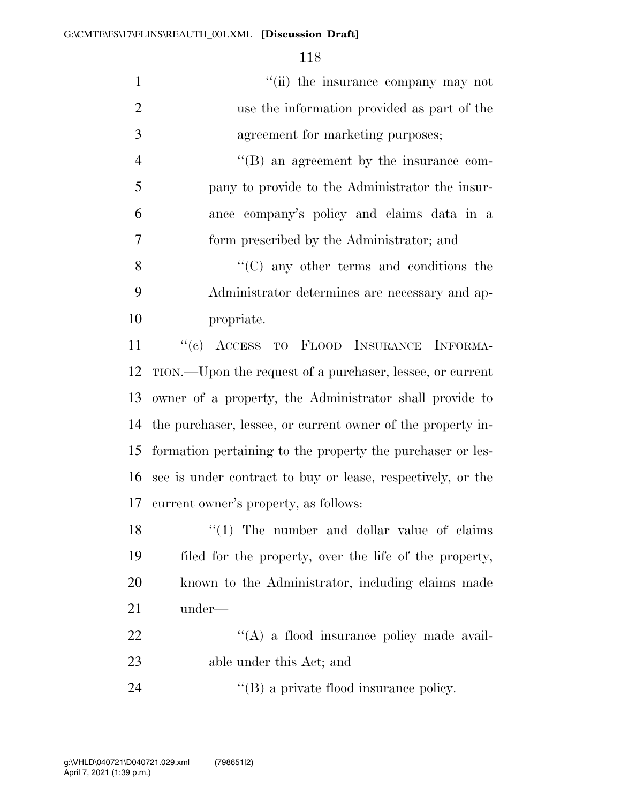| $\mathbf{1}$   | "(ii) the insurance company may not                            |
|----------------|----------------------------------------------------------------|
| $\overline{2}$ | use the information provided as part of the                    |
| 3              | agreement for marketing purposes;                              |
| $\overline{4}$ | "(B) an agreement by the insurance com-                        |
| 5              | pany to provide to the Administrator the insur-                |
| 6              | ance company's policy and claims data in a                     |
| 7              | form prescribed by the Administrator; and                      |
| 8              | $\cdot$ (C) any other terms and conditions the                 |
| 9              | Administrator determines are necessary and ap-                 |
| 10             | propriate.                                                     |
| 11             | "(c) ACCESS TO FLOOD INSURANCE INFORMA-                        |
| 12             | TION.—Upon the request of a purchaser, lessee, or current      |
| 13             | owner of a property, the Administrator shall provide to        |
|                | 14 the purchaser, lessee, or current owner of the property in- |
| 15             | formation pertaining to the property the purchaser or les-     |
| 16             | see is under contract to buy or lease, respectively, or the    |
|                | 17 current owner's property, as follows:                       |
| 18             | $\lq(1)$ The number and dollar value of claims                 |
| 19             | filed for the property, over the life of the property,         |
| 20             | known to the Administrator, including claims made              |
| 21             | under—                                                         |
| 22             | "(A) a flood insurance policy made avail-                      |
| 23             | able under this Act; and                                       |
| 24             | $\lq\lq$ (B) a private flood insurance policy.                 |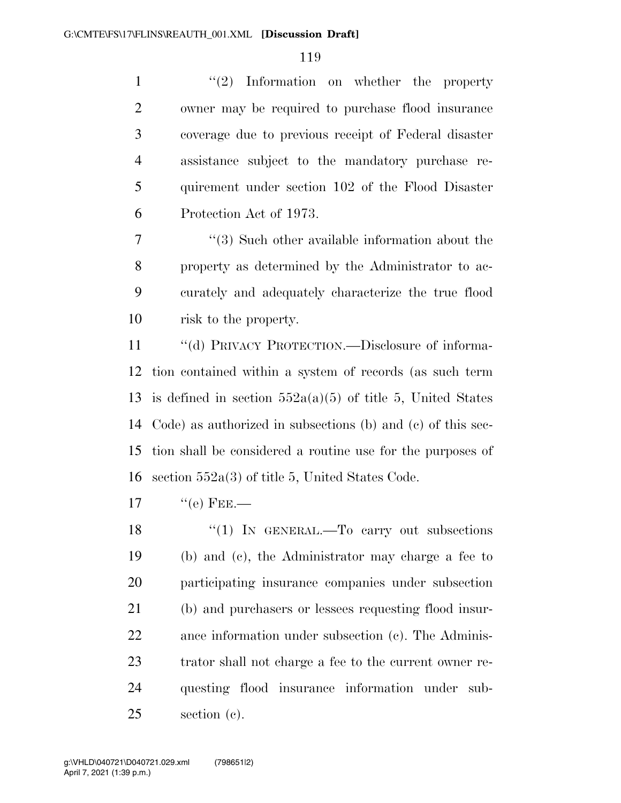1 ''(2) Information on whether the property owner may be required to purchase flood insurance coverage due to previous receipt of Federal disaster assistance subject to the mandatory purchase re- quirement under section 102 of the Flood Disaster Protection Act of 1973.

 ''(3) Such other available information about the property as determined by the Administrator to ac- curately and adequately characterize the true flood risk to the property.

 ''(d) PRIVACY PROTECTION.—Disclosure of informa- tion contained within a system of records (as such term 13 is defined in section  $552a(a)(5)$  of title 5, United States Code) as authorized in subsections (b) and (c) of this sec- tion shall be considered a routine use for the purposes of section 552a(3) of title 5, United States Code.

 $17 \t\t\t\t\t``(e) FEE.$ 

18 "(1) In GENERAL.—To carry out subsections (b) and (c), the Administrator may charge a fee to participating insurance companies under subsection (b) and purchasers or lessees requesting flood insur- ance information under subsection (c). The Adminis- trator shall not charge a fee to the current owner re- questing flood insurance information under sub-section (c).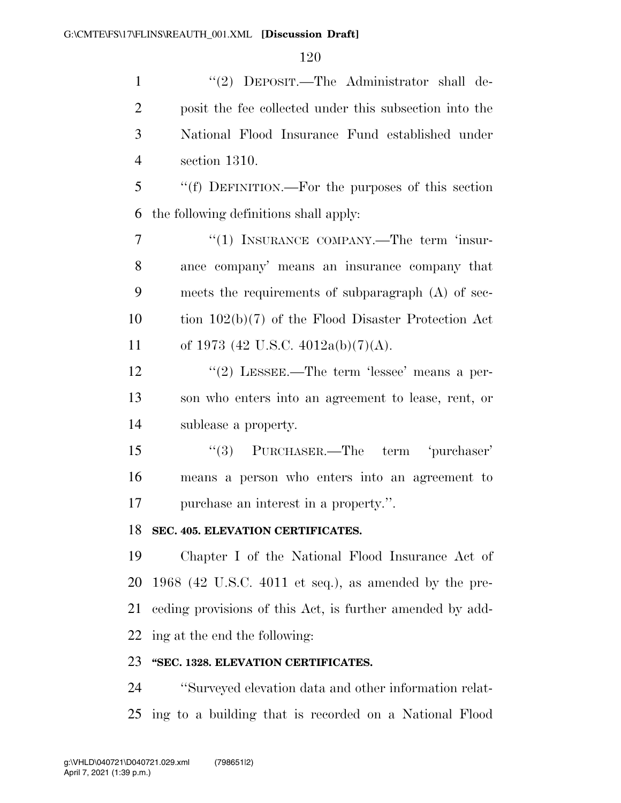1 ''(2) DEPOSIT.—The Administrator shall de- posit the fee collected under this subsection into the National Flood Insurance Fund established under section 1310.

 ''(f) DEFINITION.—For the purposes of this section the following definitions shall apply:

7 "(1) INSURANCE COMPANY.—The term 'insur- ance company' means an insurance company that meets the requirements of subparagraph (A) of sec- tion 102(b)(7) of the Flood Disaster Protection Act 11 of 1973 (42 U.S.C. 4012a(b)(7)(A).

12 ''(2) LESSEE.—The term 'lessee' means a per- son who enters into an agreement to lease, rent, or sublease a property.

15 "(3) PURCHASER.—The term 'purchaser' means a person who enters into an agreement to purchase an interest in a property.''.

### **SEC. 405. ELEVATION CERTIFICATES.**

 Chapter I of the National Flood Insurance Act of 1968 (42 U.S.C. 4011 et seq.), as amended by the pre- ceding provisions of this Act, is further amended by add-ing at the end the following:

### **''SEC. 1328. ELEVATION CERTIFICATES.**

 ''Surveyed elevation data and other information relat-ing to a building that is recorded on a National Flood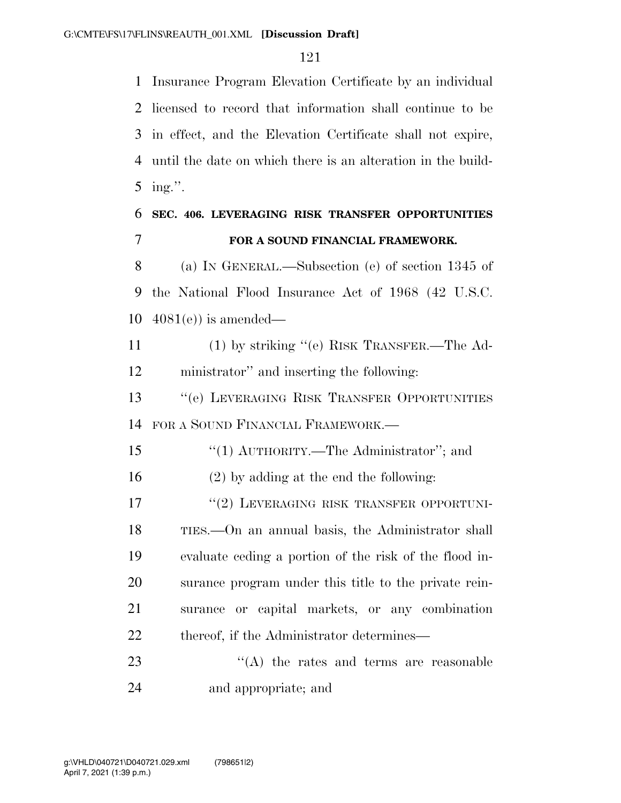Insurance Program Elevation Certificate by an individual licensed to record that information shall continue to be in effect, and the Elevation Certificate shall not expire, until the date on which there is an alteration in the build-ing.''.

## **SEC. 406. LEVERAGING RISK TRANSFER OPPORTUNITIES FOR A SOUND FINANCIAL FRAMEWORK.**

 (a) IN GENERAL.—Subsection (e) of section 1345 of the National Flood Insurance Act of 1968 (42 U.S.C. 4081(e)) is amended—

 (1) by striking ''(e) RISK TRANSFER.—The Ad-ministrator'' and inserting the following:

 ''(e) LEVERAGING RISK TRANSFER OPPORTUNITIES FOR A SOUND FINANCIAL FRAMEWORK.—

15 "(1) AUTHORITY.—The Administrator"; and

(2) by adding at the end the following:

17 <sup>"</sup>(2) LEVERAGING RISK TRANSFER OPPORTUNI- TIES.—On an annual basis, the Administrator shall evaluate ceding a portion of the risk of the flood in- surance program under this title to the private rein- surance or capital markets, or any combination 22 thereof, if the Administrator determines—

23 ''(A) the rates and terms are reasonable and appropriate; and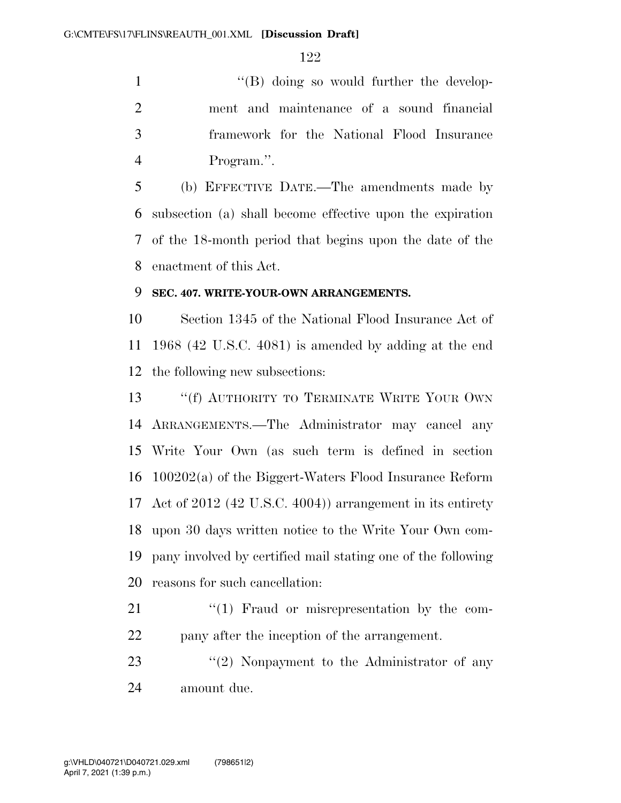1 ''(B) doing so would further the develop- ment and maintenance of a sound financial framework for the National Flood Insurance Program.''.

 (b) EFFECTIVE DATE.—The amendments made by subsection (a) shall become effective upon the expiration of the 18-month period that begins upon the date of the enactment of this Act.

#### **SEC. 407. WRITE-YOUR-OWN ARRANGEMENTS.**

 Section 1345 of the National Flood Insurance Act of 1968 (42 U.S.C. 4081) is amended by adding at the end the following new subsections:

13 ""(f) AUTHORITY TO TERMINATE WRITE YOUR OWN ARRANGEMENTS.—The Administrator may cancel any Write Your Own (as such term is defined in section 100202(a) of the Biggert-Waters Flood Insurance Reform Act of 2012 (42 U.S.C. 4004)) arrangement in its entirety upon 30 days written notice to the Write Your Own com- pany involved by certified mail stating one of the following reasons for such cancellation:

- "(1) Fraud or misrepresentation by the com-pany after the inception of the arrangement.
- 23 "(2) Nonpayment to the Administrator of any amount due.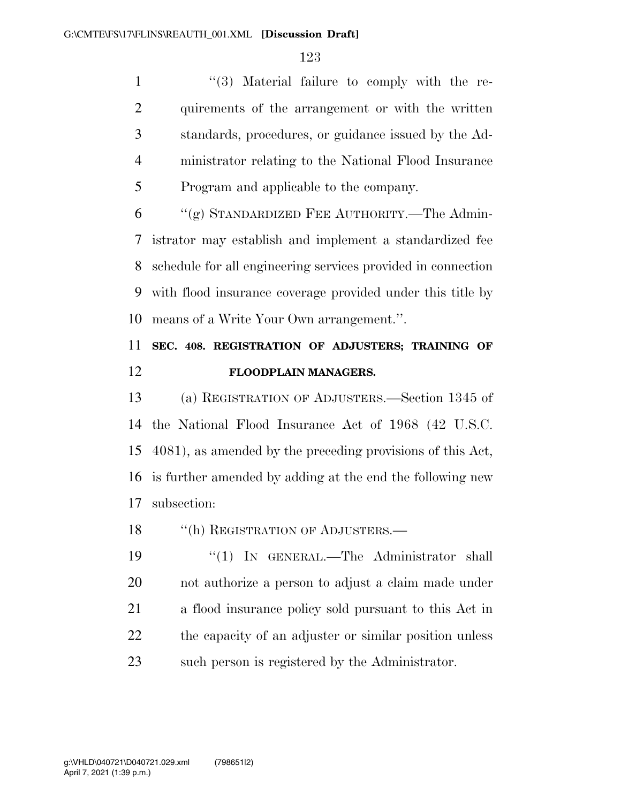1 ''(3) Material failure to comply with the re- quirements of the arrangement or with the written standards, procedures, or guidance issued by the Ad- ministrator relating to the National Flood Insurance Program and applicable to the company.

 "(g) STANDARDIZED FEE AUTHORITY.—The Admin- istrator may establish and implement a standardized fee schedule for all engineering services provided in connection with flood insurance coverage provided under this title by means of a Write Your Own arrangement.''.

## **SEC. 408. REGISTRATION OF ADJUSTERS; TRAINING OF FLOODPLAIN MANAGERS.**

 (a) REGISTRATION OF ADJUSTERS.—Section 1345 of the National Flood Insurance Act of 1968 (42 U.S.C. 4081), as amended by the preceding provisions of this Act, is further amended by adding at the end the following new subsection:

18 "(h) REGISTRATION OF ADJUSTERS.—

19 "(1) IN GENERAL.—The Administrator shall not authorize a person to adjust a claim made under a flood insurance policy sold pursuant to this Act in 22 the capacity of an adjuster or similar position unless such person is registered by the Administrator.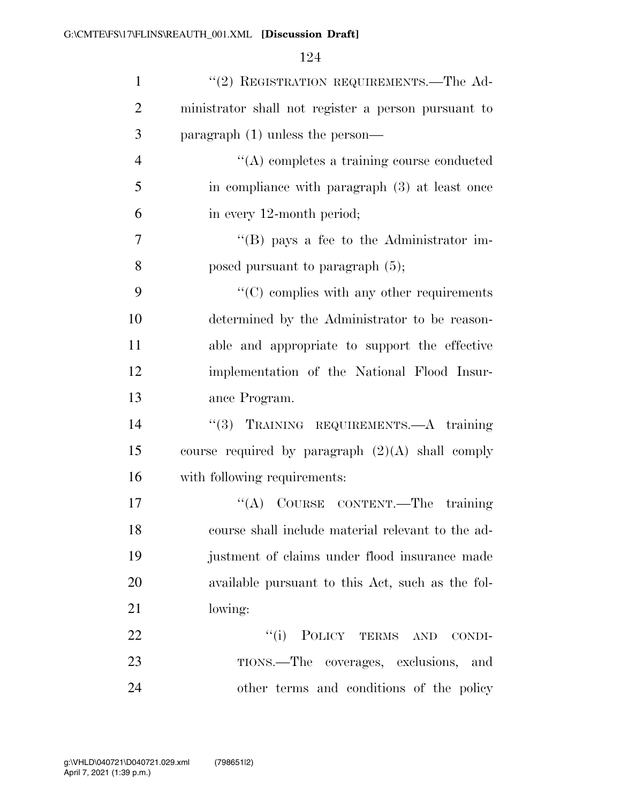| $\mathbf{1}$   | "(2) REGISTRATION REQUIREMENTS.—The Ad-             |
|----------------|-----------------------------------------------------|
| $\overline{2}$ | ministrator shall not register a person pursuant to |
| 3              | paragraph $(1)$ unless the person—                  |
| $\overline{4}$ | $\lq\lq$ completes a training course conducted      |
| 5              | in compliance with paragraph (3) at least once      |
| 6              | in every 12-month period;                           |
| $\overline{7}$ | $\lq\lq (B)$ pays a fee to the Administrator im-    |
| 8              | posed pursuant to paragraph $(5)$ ;                 |
| 9              | $\lq\lq$ complies with any other requirements       |
| 10             | determined by the Administrator to be reason-       |
| 11             | able and appropriate to support the effective       |
| 12             | implementation of the National Flood Insur-         |
| 13             | ance Program.                                       |
| 14             | "(3) TRAINING REQUIREMENTS.—A training              |
| 15             | course required by paragraph $(2)(A)$ shall comply  |
| 16             | with following requirements:                        |
| 17             | "(A) COURSE CONTENT.—The training                   |
| 18             | course shall include material relevant to the ad-   |
| 19             | justment of claims under flood insurance made       |
| 20             | available pursuant to this Act, such as the fol-    |
| 21             | lowing:                                             |
| 22             | "(i) POLICY TERMS AND<br>CONDI-                     |
| 23             | TIONS.—The coverages, exclusions,<br>and            |
| 24             | other terms and conditions of the policy            |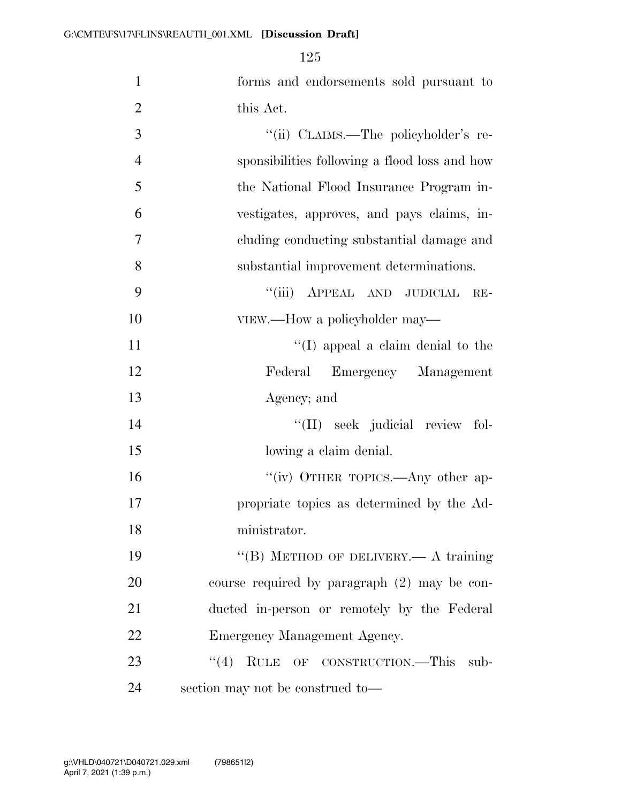| $\mathbf{1}$   | forms and endorsements sold pursuant to        |
|----------------|------------------------------------------------|
| $\overline{2}$ | this Act.                                      |
| 3              | "(ii) CLAIMS.—The policyholder's re-           |
| $\overline{4}$ | sponsibilities following a flood loss and how  |
| 5              | the National Flood Insurance Program in-       |
| 6              | vestigates, approves, and pays claims, in-     |
| 7              | cluding conducting substantial damage and      |
| 8              | substantial improvement determinations.        |
| 9              | "(iii) APPEAL AND JUDICIAL<br>$RE-$            |
| 10             | VIEW.—How a policyholder may—                  |
| 11             | $\lq\lq$ (I) appeal a claim denial to the      |
| 12             | Federal Emergency Management                   |
| 13             | Agency; and                                    |
| 14             | "(II) seek judicial review fol-                |
| 15             | lowing a claim denial.                         |
| 16             | "(iv) OTHER TOPICS.—Any other ap-              |
| 17             | propriate topics as determined by the Ad-      |
| 18             | ministrator.                                   |
| 19             | "(B) METHOD OF DELIVERY.— A training           |
| 20             | course required by paragraph $(2)$ may be con- |
| 21             | ducted in-person or remotely by the Federal    |
| 22             | Emergency Management Agency.                   |
| 23             | $\cdot$ (4) RULE OF CONSTRUCTION.—This<br>sub- |
| 24             | section may not be construed to—               |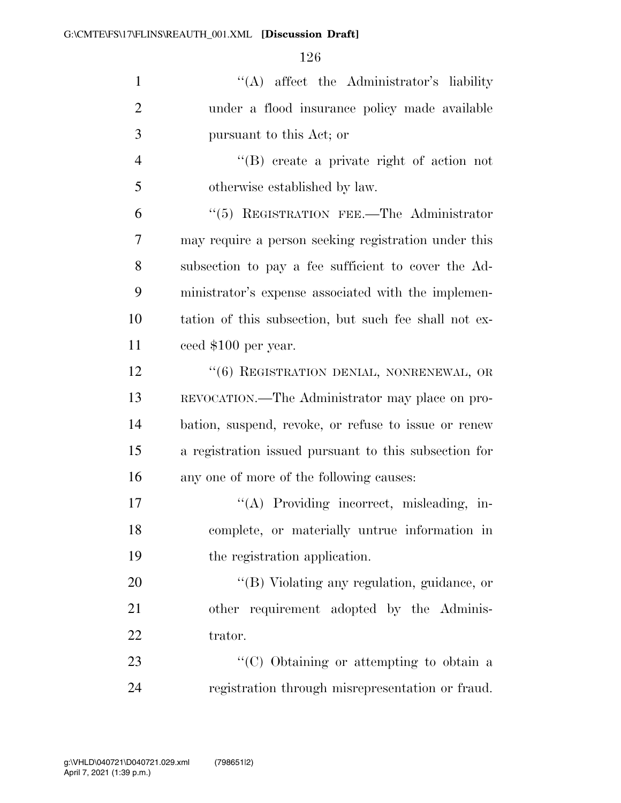| $\mathbf{1}$   | "(A) affect the Administrator's liability             |
|----------------|-------------------------------------------------------|
| $\overline{2}$ | under a flood insurance policy made available         |
| 3              | pursuant to this Act; or                              |
| $\overline{4}$ | $\lq\lq (B)$ create a private right of action not     |
| 5              | otherwise established by law.                         |
| 6              | "(5) REGISTRATION FEE.—The Administrator              |
| 7              | may require a person seeking registration under this  |
| 8              | subsection to pay a fee sufficient to cover the Ad-   |
| 9              | ministrator's expense associated with the implemen-   |
| 10             | tation of this subsection, but such fee shall not ex- |
| 11             | ceed \$100 per year.                                  |
| 12             | "(6) REGISTRATION DENIAL, NONRENEWAL, OR              |
| 13             | REVOCATION.—The Administrator may place on pro-       |
| 14             | bation, suspend, revoke, or refuse to issue or renew  |
| 15             | a registration issued pursuant to this subsection for |
| 16             | any one of more of the following causes:              |
| 17             | "(A) Providing incorrect, misleading, in-             |
| 18             | complete, or materially untrue information in         |
| 19             | the registration application.                         |
| 20             | "(B) Violating any regulation, guidance, or           |
| 21             | other requirement adopted by the Adminis-             |
| 22             | trator.                                               |
| 23             | "(C) Obtaining or attempting to obtain a              |
| 24             | registration through misrepresentation or fraud.      |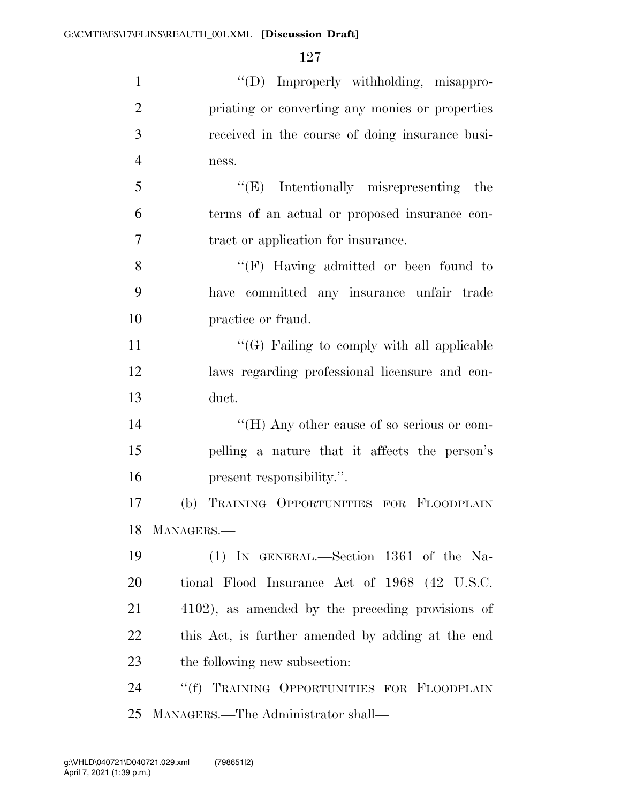| $\mathbf{1}$   | "(D) Improperly withholding, misappro-            |
|----------------|---------------------------------------------------|
| $\overline{2}$ | priating or converting any monies or properties   |
| 3              | received in the course of doing insurance busi-   |
| $\overline{4}$ | ness.                                             |
| 5              | $``(E)$ Intentionally misrepresenting the         |
| 6              | terms of an actual or proposed insurance con-     |
| 7              | tract or application for insurance.               |
| 8              | "(F) Having admitted or been found to             |
| 9              | have committed any insurance unfair trade         |
| 10             | practice or fraud.                                |
| 11             | $\lq\lq(G)$ Failing to comply with all applicable |
| 12             | laws regarding professional licensure and con-    |
| 13             | duct.                                             |
| 14             | "(H) Any other cause of so serious or com-        |
| 15             | pelling a nature that it affects the person's     |
| 16             | present responsibility.".                         |
| 17             | TRAINING OPPORTUNITIES FOR FLOODPLAIN<br>(b)      |
| 18             | MANAGERS.                                         |
| 19             | (1) IN GENERAL.—Section 1361 of the Na-           |
| 20             | tional Flood Insurance Act of 1968 (42 U.S.C.     |
| 21             | 4102), as amended by the preceding provisions of  |
| <u>22</u>      | this Act, is further amended by adding at the end |
| 23             | the following new subsection:                     |
| 24             | "(f) TRAINING OPPORTUNITIES FOR FLOODPLAIN        |
|                |                                                   |

MANAGERS.—The Administrator shall—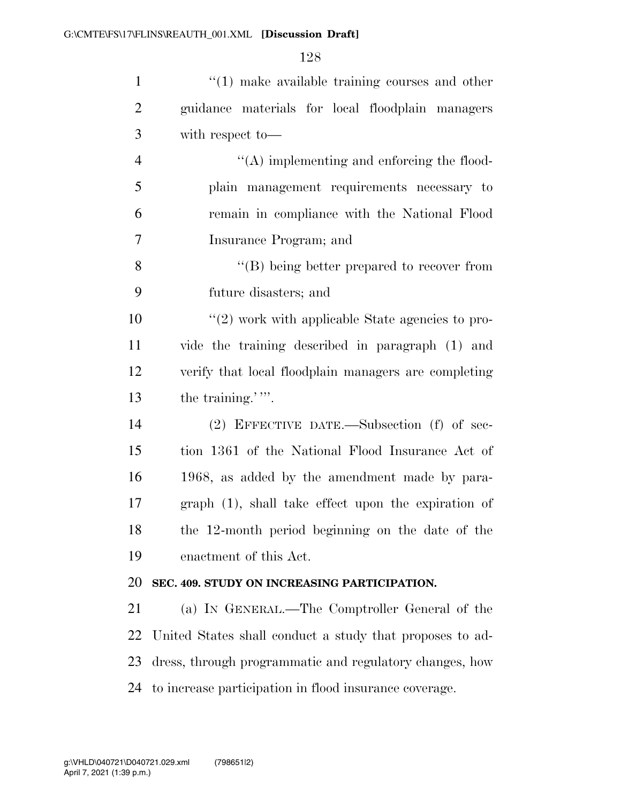| $\mathbf{1}$   | $\cdot$ (1) make available training courses and other     |
|----------------|-----------------------------------------------------------|
| $\overline{2}$ | guidance materials for local floodplain managers          |
| 3              | with respect to-                                          |
| $\overline{4}$ | "(A) implementing and enforcing the flood-                |
| 5              | plain management requirements necessary to                |
| 6              | remain in compliance with the National Flood              |
| $\overline{7}$ | Insurance Program; and                                    |
| 8              | $\lq\lq$ being better prepared to recover from            |
| 9              | future disasters; and                                     |
| 10             | $\lq(2)$ work with applicable State agencies to pro-      |
| 11             | vide the training described in paragraph (1) and          |
| 12             | verify that local floodplain managers are completing      |
| 13             | the training.'''.                                         |
| 14             | $(2)$ EFFECTIVE DATE.—Subsection $(f)$ of sec-            |
| 15             | tion 1361 of the National Flood Insurance Act of          |
| 16             | 1968, as added by the amendment made by para-             |
| 17             | graph (1), shall take effect upon the expiration of       |
| 18             | the 12-month period beginning on the date of the          |
| 19             | enactment of this Act.                                    |
| 20             | SEC. 409. STUDY ON INCREASING PARTICIPATION.              |
| 21             | (a) IN GENERAL.—The Comptroller General of the            |
| 22             | United States shall conduct a study that proposes to ad-  |
| 23             | dress, through programmatic and regulatory changes, how   |
|                | 24 to increase participation in flood insurance coverage. |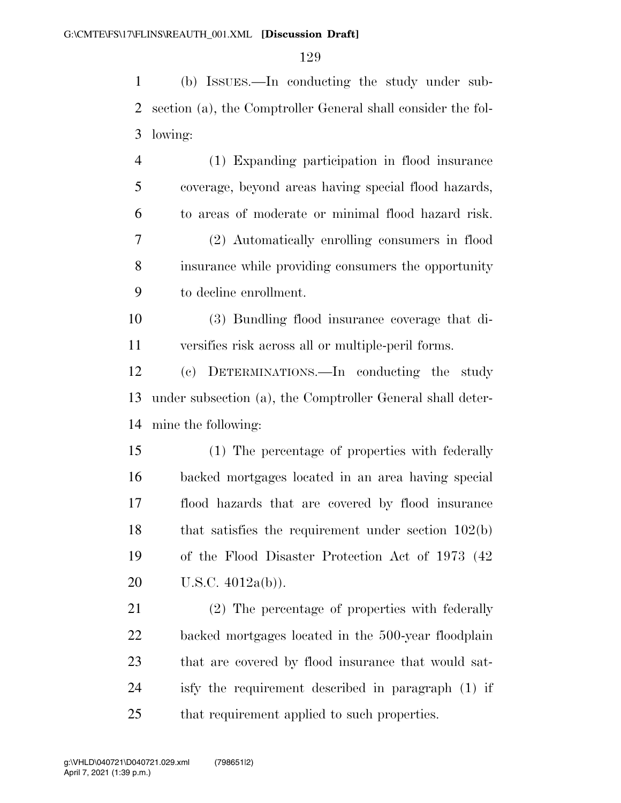(b) ISSUES.—In conducting the study under sub- section (a), the Comptroller General shall consider the fol-lowing:

 (1) Expanding participation in flood insurance coverage, beyond areas having special flood hazards, to areas of moderate or minimal flood hazard risk. (2) Automatically enrolling consumers in flood insurance while providing consumers the opportunity to decline enrollment.

 (3) Bundling flood insurance coverage that di-versifies risk across all or multiple-peril forms.

 (c) DETERMINATIONS.—In conducting the study under subsection (a), the Comptroller General shall deter-mine the following:

 (1) The percentage of properties with federally backed mortgages located in an area having special flood hazards that are covered by flood insurance that satisfies the requirement under section 102(b) of the Flood Disaster Protection Act of 1973 (42 U.S.C. 4012a(b)).

 (2) The percentage of properties with federally backed mortgages located in the 500-year floodplain that are covered by flood insurance that would sat- isfy the requirement described in paragraph (1) if that requirement applied to such properties.